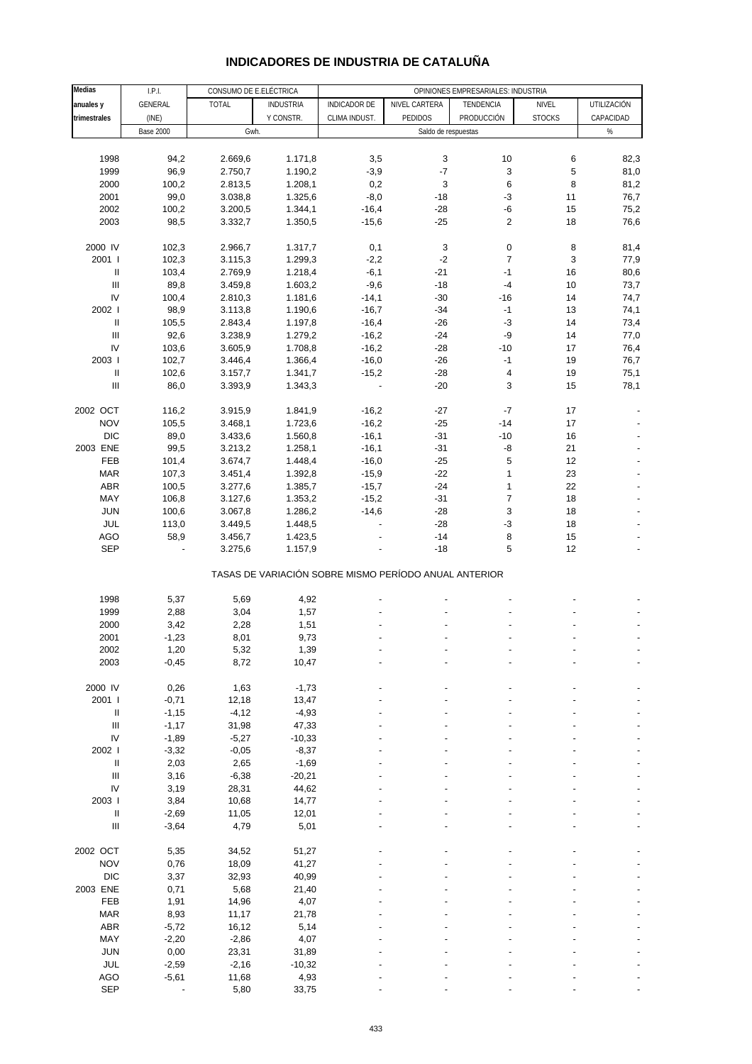# **INDICADORES DE INDUSTRIA DE CATALUÑA**

| <b>Medias</b>                      | LPL              | CONSUMO DE E.ELÉCTRICA |                  |                     |                                                       |                         |               |                          |
|------------------------------------|------------------|------------------------|------------------|---------------------|-------------------------------------------------------|-------------------------|---------------|--------------------------|
| anuales y                          | GENERAL          | <b>TOTAL</b>           | <b>INDUSTRIA</b> | <b>INDICADOR DE</b> | NIVEL CARTERA                                         | TENDENCIA               | NIVEL         | UTILIZACIÓN              |
| trimestrales                       | (INE)            |                        | Y CONSTR.        | CLIMA INDUST.       | PEDIDOS                                               | PRODUCCIÓN              | <b>STOCKS</b> | CAPACIDAD                |
|                                    | <b>Base 2000</b> | Gwh.                   |                  |                     | Saldo de respuestas                                   |                         |               | $\%$                     |
|                                    |                  |                        |                  |                     |                                                       |                         |               |                          |
| 1998                               | 94,2             | 2.669,6                | 1.171,8          | 3,5                 | 3                                                     | 10                      | 6             | 82,3                     |
| 1999                               | 96,9             | 2.750,7                | 1.190,2          | $-3,9$              | $-7$                                                  | 3                       | 5             | 81,0                     |
| 2000                               | 100,2            | 2.813,5                | 1.208,1          | 0,2                 | 3                                                     | 6                       | 8             | 81,2                     |
| 2001                               | 99,0             | 3.038,8                | 1.325,6          | $-8,0$              | $-18$                                                 | $-3$                    | 11            | 76,7                     |
| 2002                               | 100,2            | 3.200,5                | 1.344,1          | $-16,4$             | $-28$                                                 | -6                      | 15            | 75,2                     |
|                                    |                  |                        |                  |                     |                                                       | $\overline{2}$          | 18            |                          |
| 2003                               | 98,5             | 3.332,7                | 1.350,5          | $-15,6$             | $-25$                                                 |                         |               | 76,6                     |
| 2000 IV                            | 102,3            | 2.966,7                | 1.317,7          | 0,1                 | 3                                                     | 0                       | 8             | 81,4                     |
| 2001                               | 102,3            | 3.115,3                | 1.299,3          | $-2,2$              | $-2$                                                  | $\overline{7}$          | 3             | 77,9                     |
| $\mathsf{II}$                      | 103,4            | 2.769,9                | 1.218,4          | $-6,1$              | $-21$                                                 | $-1$                    | $16\,$        | 80,6                     |
| $\ensuremath{\mathsf{III}}\xspace$ | 89,8             | 3.459,8                | 1.603,2          | $-9,6$              | $-18$                                                 | $-4$                    | 10            | 73,7                     |
| IV                                 | 100,4            | 2.810,3                | 1.181,6          | $-14,1$             | $-30$                                                 | $-16$                   | 14            | 74,7                     |
| 2002 l                             | 98,9             | 3.113,8                | 1.190,6          | $-16,7$             | $-34$                                                 | $-1$                    | 13            | 74,1                     |
| Ш                                  | 105,5            | 2.843,4                | 1.197,8          | $-16,4$             | $-26$                                                 | $-3$                    | 14            | 73,4                     |
| Ш                                  |                  |                        |                  |                     |                                                       | -9                      | 14            |                          |
| IV                                 | 92,6             | 3.238,9                | 1.279,2          | $-16,2$             | $-24$                                                 |                         |               | 77,0                     |
|                                    | 103,6            | 3.605,9                | 1.708,8          | $-16,2$             | $-28$                                                 | $-10$                   | 17            | 76,4                     |
| 2003                               | 102,7            | 3.446,4                | 1.366,4          | $-16,0$             | $-26$                                                 | $-1$                    | 19            | 76,7                     |
| $\ensuremath{\mathsf{II}}$         | 102,6            | 3.157,7                | 1.341,7          | $-15,2$             | $-28$                                                 | $\overline{\mathbf{4}}$ | 19            | 75,1                     |
| $\ensuremath{\mathsf{III}}\xspace$ | 86,0             | 3.393,9                | 1.343,3          |                     | $-20$                                                 | 3                       | 15            | 78,1                     |
| 2002 OCT                           | 116,2            | 3.915,9                | 1.841,9          | $-16,2$             | $-27$                                                 | $-7$                    | 17            |                          |
| <b>NOV</b>                         | 105,5            | 3.468,1                | 1.723,6          | $-16,2$             | $-25$                                                 | $-14$                   | 17            |                          |
| <b>DIC</b>                         | 89,0             | 3.433,6                | 1.560,8          | $-16,1$             | $-31$                                                 | $-10$                   | 16            |                          |
| 2003 ENE                           | 99,5             | 3.213,2                | 1.258,1          | $-16,1$             | $-31$                                                 | -8                      | 21            |                          |
| FEB                                | 101,4            | 3.674,7                | 1.448,4          | $-16,0$             | $-25$                                                 | 5                       | 12            |                          |
|                                    | 107,3            |                        |                  | $-15,9$             |                                                       | $\mathbf{1}$            | 23            |                          |
| <b>MAR</b><br>ABR                  |                  | 3.451,4                | 1.392,8          |                     | $-22$                                                 | 1                       | 22            |                          |
|                                    | 100,5            | 3.277,6                | 1.385,7          | $-15,7$             | $-24$                                                 |                         |               |                          |
| MAY                                | 106,8            | 3.127,6                | 1.353,2          | $-15,2$             | $-31$                                                 | $\overline{7}$          | 18            |                          |
| <b>JUN</b>                         | 100,6            | 3.067,8                | 1.286,2          | $-14,6$             | $-28$                                                 | 3                       | 18            |                          |
| JUL                                | 113,0            | 3.449,5                | 1.448,5          |                     | $-28$                                                 | $-3$                    | 18            |                          |
| AGO                                | 58,9             | 3.456,7                | 1.423,5          |                     | $-14$                                                 | $\,8\,$                 | 15            |                          |
| SEP                                |                  | 3.275,6                | 1.157,9          |                     | $-18$                                                 | 5                       | 12            | $\overline{\phantom{a}}$ |
|                                    |                  |                        |                  |                     | TASAS DE VARIACIÓN SOBRE MISMO PERÍODO ANUAL ANTERIOR |                         |               |                          |
| 1998                               | 5,37             | 5,69                   | 4,92             |                     |                                                       |                         |               |                          |
| 1999                               | 2,88             | 3,04                   | 1,57             |                     |                                                       |                         |               |                          |
| 2000                               | 3,42             | 2,28                   | 1,51             |                     |                                                       |                         |               |                          |
| 2001                               | $-1,23$          | 8,01                   | 9,73             |                     |                                                       |                         |               |                          |
| 2002                               | 1,20             | 5,32                   | 1,39             |                     |                                                       |                         |               |                          |
| 2003                               | $-0,45$          | 8,72                   | 10,47            |                     |                                                       |                         |               |                          |
|                                    |                  |                        |                  |                     |                                                       |                         |               |                          |
| 2000 IV                            | 0,26             | 1,63                   | $-1,73$          |                     |                                                       |                         |               |                          |
| 2001 l                             | $-0,71$          | 12,18                  | 13,47            |                     |                                                       |                         |               |                          |
| $\mathsf{II}$                      | $-1,15$          | $-4, 12$               | $-4,93$          |                     |                                                       |                         |               |                          |
| Ш                                  | $-1,17$          | 31,98                  | 47,33            |                     |                                                       |                         |               |                          |
| IV                                 | $-1,89$          | $-5,27$                | $-10,33$         |                     |                                                       |                         |               |                          |
| 2002 l                             | $-3,32$          | $-0,05$                | $-8,37$          |                     |                                                       |                         |               |                          |
| $\mathsf{II}$                      | 2,03             | 2,65                   | $-1,69$          |                     |                                                       |                         |               |                          |
| $\ensuremath{\mathsf{III}}\xspace$ | 3,16             | $-6,38$                | $-20,21$         |                     |                                                       |                         |               |                          |
| IV                                 | 3,19             | 28,31                  | 44,62            |                     |                                                       |                         |               |                          |
| 2003 l                             | 3,84             | 10,68                  | 14,77            |                     |                                                       |                         |               |                          |
| $\mathsf{II}$                      | $-2,69$          | 11,05                  | 12,01            |                     |                                                       |                         |               |                          |
| $\ensuremath{\mathsf{III}}\xspace$ | $-3,64$          | 4,79                   | 5,01             |                     |                                                       |                         |               |                          |
|                                    |                  |                        |                  |                     |                                                       |                         |               |                          |
| 2002 OCT                           | 5,35             | 34,52                  | 51,27            |                     |                                                       |                         |               |                          |
| <b>NOV</b>                         | 0,76             | 18,09                  | 41,27            |                     |                                                       |                         |               |                          |
| <b>DIC</b>                         | 3,37             | 32,93                  | 40,99            |                     |                                                       |                         |               |                          |
| 2003 ENE                           | 0,71             | 5,68                   | 21,40            |                     |                                                       |                         |               |                          |
| FEB                                | 1,91             | 14,96                  | 4,07             |                     |                                                       |                         |               |                          |
| <b>MAR</b>                         | 8,93             | 11,17                  | 21,78            |                     |                                                       |                         |               |                          |
| ABR                                | $-5,72$          | 16,12                  | 5,14             |                     |                                                       |                         |               |                          |
| MAY                                | $-2,20$          | $-2,86$                | 4,07             |                     |                                                       |                         |               |                          |
| <b>JUN</b>                         | 0,00             | 23,31                  | 31,89            |                     |                                                       |                         |               |                          |
| JUL                                | $-2,59$          | $-2,16$                | $-10,32$         |                     |                                                       |                         |               |                          |
| AGO                                | $-5,61$          | 11,68                  | 4,93             |                     |                                                       |                         |               |                          |
| <b>SEP</b>                         |                  | 5,80                   | 33,75            |                     |                                                       |                         |               |                          |
|                                    |                  |                        |                  |                     |                                                       |                         |               |                          |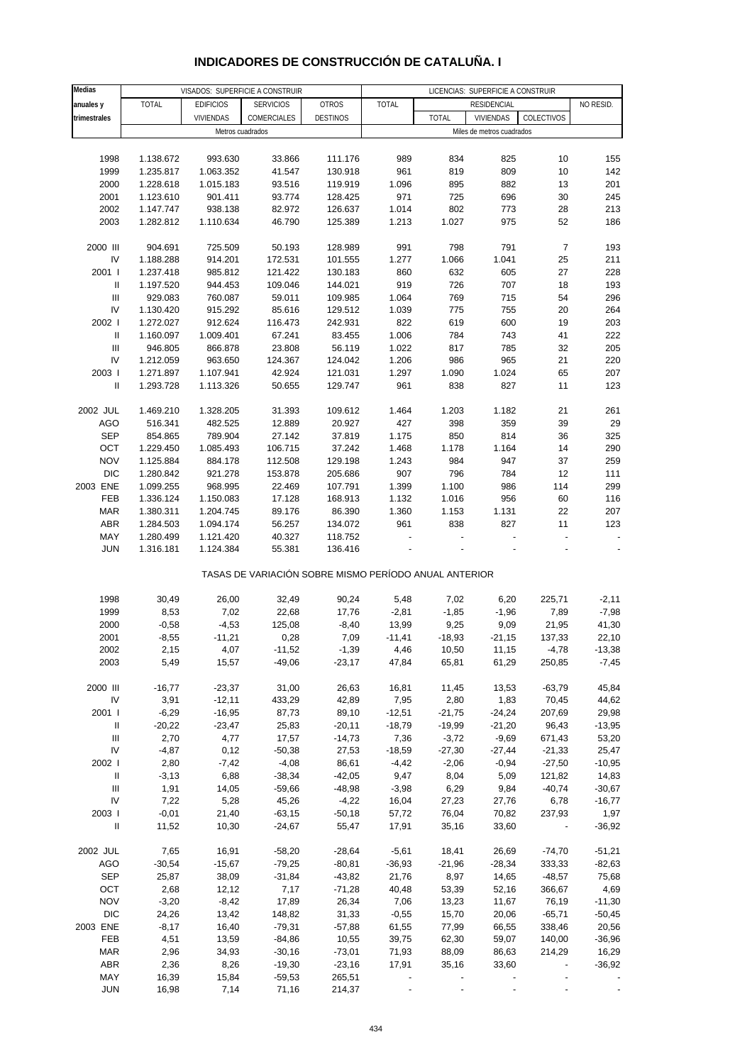#### **Medias anuales y** | TOTAL | EDIFICIOS | SERVICIOS | OTROS | TOTAL | RESIDENCIAL | NO RESID. **trimestrales** VIVIENDAS COMERCIALES DESTINOS TOTAL VIVIENDAS COLECTIVOS 1998 1.138.672 993.630 33.866 111.176 989 834 825 10 155 1999 1.235.817 1.063.352 41.547 130.918 961 819 809 10 142 2000 1.228.618 1.015.183 93.516 119.919 1.096 895 882 13 201 2001 1.123.610 901.411 93.774 128.425 971 725 696 30 245 2002 1.147.747 938.138 82.972 126.637 1.014 802 773 28 213 2003 1.282.812 1.110.634 46.790 125.389 1.213 1.027 975 52 186 2000 III 904.691 725.509 50.193 128.989 991 798 791 7 193 IV 1.188.288 914.201 172.531 101.555 1.277 1.066 1.041 25 211 2001 I 1.237.418 985.812 121.422 130.183 860 632 605 27 228 II 1.197.520 944.453 109.046 144.021 919 726 707 18 193 III 929.083 760.087 59.011 109.985 1.064 769 715 54 296 IV 1.130.420 915.292 85.616 129.512 1.039 775 755 20 264 2002 I 1.272.027 912.624 116.473 242.931 822 619 600 19 203 II 1.160.097 1.009.401 67.241 83.455 1.006 784 743 41 222 III 946.805 866.878 23.808 56.119 1.022 817 785 32 205 IV 1.212.059 963.650 124.367 124.042 1.206 986 965 21 220 2003 I 1.271.897 1.107.941 42.924 121.031 1.297 1.090 1.024 65 207 II 1.293.728 1.113.326 50.655 129.747 961 838 827 11 123 2002 JUL 1.469.210 1.328.205 31.393 109.612 1.464 1.203 1.182 21 261 AGO 516.341 482.525 12.889 20.927 427 398 359 39 29 SEP 854.865 789.904 27.142 37.819 1.175 850 814 36 325 OCT 1.229.450 1.085.493 106.715 37.242 1.468 1.178 1.164 14 290 NOV 1.125.884 884.178 112.508 129.198 1.243 984 947 37 259 DIC 1.280.842 921.278 153.878 205.686 907 796 784 12 111 2003 ENE 1.099.255 968.995 22.469 107.791 1.399 1.100 986 114 299 FEB 1.336.124 1.150.083 17.128 168.913 1.132 1.016 956 60 116 MAR 1.380.311 1.204.745 89.176 86.390 1.360 1.153 1.131 22 207 ABR 1.284.503 1.094.174 56.257 134.072 961 838 827 11 123 MAY 1.280.499 1.121.420 40.327 118.752 - - - - - JUN 1.316.181 1.124.384 55.381 136.416 - - - - - TASAS DE VARIACIÓN SOBRE MISMO PERÍODO ANUAL ANTERIOR 1998 30,49 26,00 32,49 90,24 5,48 7,02 6,20 225,71 -2,11 1999 8,53 7,02 22,68 17,76 -2,81 -1,85 -1,96 7,89 -7,98 2000 -0,58 -4,53 125,08 -8,40 13,99 9,25 9,09 21,95 41,30 2001 -8,55 -11,21 0,28 7,09 -11,41 -18,93 -21,15 137,33 22,10 2002 2,15 4,07 -11,52 -1,39 4,46 10,50 11,15 -4,78 -13,38 2003 5,49 15,57 -49,06 -23,17 47,84 65,81 61,29 250,85 -7,45 2000 III -16,77 -23,37 31,00 26,63 16,81 11,45 13,53 -63,79 45,84 IV 3,91 -12,11 433,29 42,89 7,95 2,80 1,83 70,45 44,62 2001 I -6,29 -16,95 87,73 89,10 -12,51 -21,75 -24,24 207,69 29,98 II -20,22 -23,47 25,83 -20,11 -18,79 -19,99 -21,20 96,43 -13,95 III 2,70 4,77 17,57 -14,73 7,36 -3,72 -9,69 671,43 53,20 IV -4,87 0,12 -50,38 27,53 -18,59 -27,30 -27,44 -21,33 25,47 2002 I 2,80 -7,42 -4,08 86,61 -4,42 -2,06 -0,94 -27,50 -10,95 II -3,13 6,88 -38,34 -42,05 9,47 8,04 5,09 121,82 14,83 III 1,91 14,05 -59,66 -48,98 -3,98 6,29 9,84 -40,74 -30,67 IV 7,22 5,28 45,26 -4,22 16,04 27,23 27,76 6,78 -16,77 2003 I -0,01 21,40 -63,15 -50,18 57,72 76,04 70,82 237,93 1,97 II 11,52 10,30 -24,67 55,47 17,91 35,16 33,60 - -36,92 2002 JUL 7,65 16,91 -58,20 -28,64 -5,61 18,41 26,69 -74,70 -51,21 AGO -30,54 -15,67 -79,25 -80,81 -36,93 -21,96 -28,34 333,33 -82,63 SEP 25,87 38,09 -31,84 -43,82 21,76 8,97 14,65 -48,57 75,68 OCT 2,68 12,12 7,17 -71,28 40,48 53,39 52,16 366,67 4,69 NOV -3,20 -8,42 17,89 26,34 7,06 13,23 11,67 76,19 -11,30 DIC 24,26 13,42 148,82 31,33 -0,55 15,70 20,06 -65,71 -50,45 2003 ENE -8,17 16,40 -79,31 -57,88 61,55 77,99 66,55 338,46 20,56 FEB 4,51 13,59 -84,86 10,55 39,75 62,30 59,07 140,00 -36,96 MAR 2,96 34,93 -30,16 -73,01 71,93 88,09 86,63 214,29 16,29 ABR 2,36 8,26 -19,30 -23,16 17,91 35,16 33,60 - -36,92 MAY 16,39 15,84 -59,53 265,51 - - - - - VISADOS: SUPERFICIE A CONSTRUIR LICENCIAS: SUPERFICIE A CONSTRUIR **RESIDENCIAL** Metros cuadrados **Metros** cuadrados **Miles de metros cuadrados Miles de metros cuadrados**

#### **INDICADORES DE CONSTRUCCIÓN DE CATALUÑA. I**

JUN 16,98 7,14 71,16 214,37 - - - - -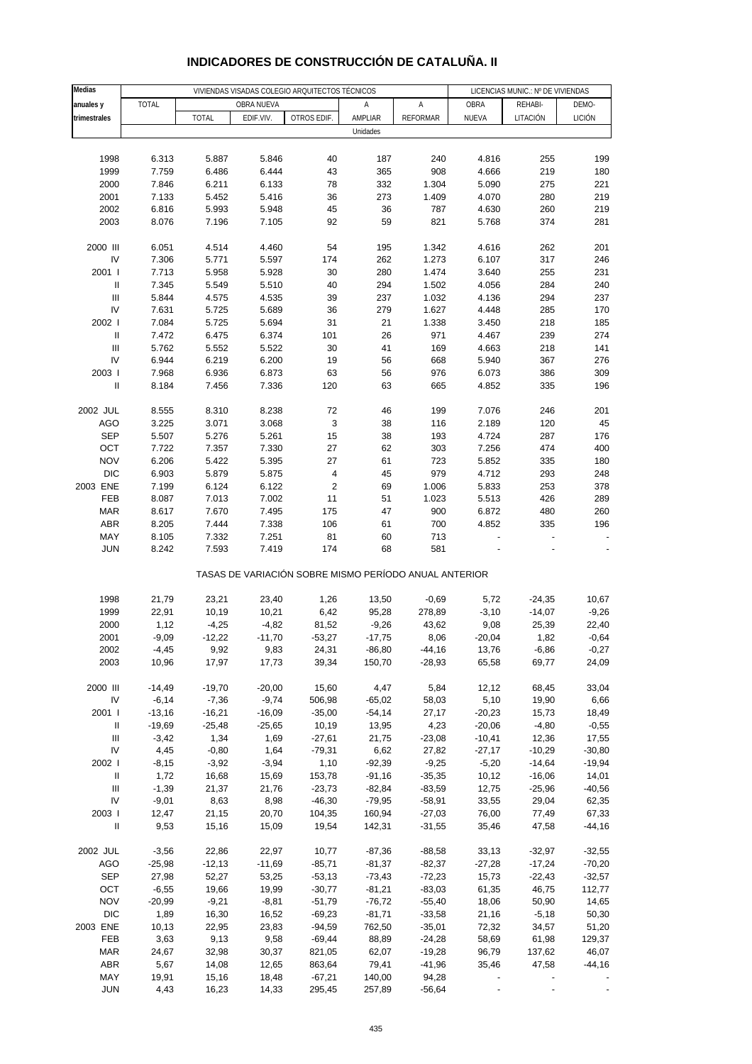| <b>Medias</b>              |              |              | VIVIENDAS VISADAS COLEGIO ARQUITECTOS TÉCNICOS |                                                       | LICENCIAS MUNIC.: Nº DE VIVIENDAS |                 |          |                          |               |
|----------------------------|--------------|--------------|------------------------------------------------|-------------------------------------------------------|-----------------------------------|-----------------|----------|--------------------------|---------------|
|                            | <b>TOTAL</b> |              | OBRA NUEVA                                     |                                                       | Α                                 | А               | OBRA     | REHABI-                  | DEMO-         |
| anuales y                  |              |              |                                                |                                                       |                                   |                 |          |                          |               |
| trimestrales               |              | <b>TOTAL</b> | EDIF.VIV.                                      | OTROS EDIF.                                           | AMPLIAR                           | <b>REFORMAR</b> | NUEVA    | LITACIÓN                 | <b>LICIÓN</b> |
|                            |              |              |                                                |                                                       | Unidades                          |                 |          |                          |               |
|                            |              |              |                                                |                                                       |                                   |                 |          |                          |               |
| 1998                       | 6.313        | 5.887        | 5.846                                          | 40                                                    | 187                               | 240             | 4.816    | 255                      | 199           |
| 1999                       | 7.759        | 6.486        | 6.444                                          | 43                                                    | 365                               | 908             | 4.666    | 219                      | 180           |
| 2000                       | 7.846        | 6.211        | 6.133                                          | 78                                                    | 332                               | 1.304           | 5.090    | 275                      | 221           |
| 2001                       | 7.133        | 5.452        | 5.416                                          | 36                                                    | 273                               | 1.409           | 4.070    | 280                      | 219           |
| 2002                       | 6.816        | 5.993        | 5.948                                          | 45                                                    | 36                                | 787             | 4.630    | 260                      | 219           |
| 2003                       | 8.076        | 7.196        | 7.105                                          | 92                                                    | 59                                | 821             | 5.768    | 374                      | 281           |
|                            |              |              |                                                |                                                       |                                   |                 |          |                          |               |
| 2000 III                   | 6.051        | 4.514        | 4.460                                          | 54                                                    | 195                               | 1.342           | 4.616    | 262                      | 201           |
| IV                         | 7.306        | 5.771        | 5.597                                          | 174                                                   | 262                               | 1.273           | 6.107    | 317                      | 246           |
| 2001 l                     | 7.713        | 5.958        | 5.928                                          | 30                                                    | 280                               | 1.474           | 3.640    | 255                      | 231           |
| $\ensuremath{\mathsf{II}}$ | 7.345        | 5.549        | 5.510                                          | 40                                                    | 294                               | 1.502           | 4.056    | 284                      | 240           |
| Ш                          | 5.844        | 4.575        | 4.535                                          | 39                                                    | 237                               | 1.032           | 4.136    | 294                      | 237           |
| IV                         | 7.631        | 5.725        | 5.689                                          | 36                                                    | 279                               | 1.627           | 4.448    | 285                      | 170           |
| 2002                       | 7.084        | 5.725        | 5.694                                          | 31                                                    | 21                                | 1.338           | 3.450    | 218                      | 185           |
| $\mathbf{I}$               | 7.472        | 6.475        | 6.374                                          | 101                                                   | 26                                | 971             | 4.467    | 239                      | 274           |
| Ш                          | 5.762        | 5.552        | 5.522                                          | 30                                                    | 41                                | 169             | 4.663    | 218                      | 141           |
| IV                         | 6.944        | 6.219        | 6.200                                          | 19                                                    | 56                                | 668             | 5.940    | 367                      | 276           |
| 2003                       | 7.968        | 6.936        | 6.873                                          | 63                                                    | 56                                | 976             | 6.073    | 386                      | 309           |
| $\ensuremath{\mathsf{II}}$ | 8.184        | 7.456        | 7.336                                          | 120                                                   | 63                                | 665             | 4.852    | 335                      | 196           |
|                            |              |              |                                                |                                                       |                                   |                 |          |                          |               |
| 2002 JUL                   | 8.555        | 8.310        | 8.238                                          | 72                                                    | 46                                | 199             | 7.076    | 246                      | 201           |
| <b>AGO</b>                 | 3.225        | 3.071        | 3.068                                          | 3                                                     | 38                                | 116             | 2.189    | 120                      | 45            |
| <b>SEP</b>                 | 5.507        | 5.276        | 5.261                                          | 15                                                    | 38                                | 193             | 4.724    | 287                      | 176           |
| OCT                        | 7.722        | 7.357        | 7.330                                          | 27                                                    | 62                                | 303             | 7.256    | 474                      | 400           |
| <b>NOV</b>                 | 6.206        | 5.422        | 5.395                                          | 27                                                    | 61                                | 723             | 5.852    | 335                      | 180           |
| <b>DIC</b>                 |              |              |                                                |                                                       | 45                                | 979             |          | 293                      | 248           |
|                            | 6.903        | 5.879        | 5.875                                          | $\overline{\mathbf{4}}$                               |                                   |                 | 4.712    |                          |               |
| 2003 ENE                   | 7.199        | 6.124        | 6.122                                          | $\sqrt{2}$                                            | 69                                | 1.006           | 5.833    | 253                      | 378           |
| FEB                        | 8.087        | 7.013        | 7.002                                          | 11                                                    | 51                                | 1.023           | 5.513    | 426                      | 289           |
| <b>MAR</b>                 | 8.617        | 7.670        | 7.495                                          | 175                                                   | 47                                | 900             | 6.872    | 480                      | 260           |
| <b>ABR</b>                 | 8.205        | 7.444        | 7.338                                          | 106                                                   | 61                                | 700             | 4.852    | 335                      | 196           |
| MAY                        | 8.105        | 7.332        | 7.251                                          | 81                                                    | 60                                | 713             |          | $\overline{\phantom{a}}$ |               |
| <b>JUN</b>                 | 8.242        | 7.593        | 7.419                                          | 174                                                   | 68                                | 581             |          |                          |               |
|                            |              |              |                                                | TASAS DE VARIACIÓN SOBRE MISMO PERÍODO ANUAL ANTERIOR |                                   |                 |          |                          |               |
| 1998                       | 21,79        | 23,21        | 23,40                                          | 1,26                                                  | 13,50                             | $-0,69$         | 5,72     | $-24,35$                 | 10,67         |
| 1999                       | 22,91        | 10,19        | 10,21                                          | 6,42                                                  | 95,28                             | 278,89          | $-3,10$  | $-14,07$                 | $-9,26$       |
| 2000                       |              |              |                                                |                                                       |                                   |                 |          |                          |               |
|                            | 1,12         | $-4,25$      | $-4,82$                                        | 81,52                                                 | $-9,26$                           | 43,62           | 9,08     | 25,39                    | 22,40         |
| 2001                       | $-9,09$      | $-12,22$     | $-11,70$                                       | $-53,27$                                              | $-17,75$                          | 8,06            | $-20,04$ | 1,82                     | $-0,64$       |
| 2002                       | $-4,45$      | 9,92         | 9,83                                           | 24,31                                                 | $-86,80$                          | $-44,16$        | 13,76    | $-6,86$                  | $-0,27$       |
| 2003                       | 10,96        | 17,97        | 17,73                                          | 39,34                                                 | 150,70                            | $-28,93$        | 65,58    | 69,77                    | 24,09         |
|                            |              |              |                                                |                                                       |                                   |                 |          |                          |               |
| 2000 III                   | $-14,49$     | $-19,70$     | $-20,00$                                       | 15,60                                                 | 4,47                              | 5,84            | 12,12    | 68,45                    | 33,04         |
| IV                         | $-6,14$      | $-7,36$      | $-9,74$                                        | 506,98                                                | $-65,02$                          | 58,03           | 5,10     | 19,90                    | 6,66          |
| 2001 l                     | $-13,16$     | $-16,21$     | $-16,09$                                       | $-35,00$                                              | $-54,14$                          | 27,17           | $-20,23$ | 15,73                    | 18,49         |
| Ш                          | $-19,69$     | $-25,48$     | $-25,65$                                       | 10,19                                                 | 13,95                             | 4,23            | $-20,06$ | $-4,80$                  | $-0,55$       |
| Ш                          | $-3,42$      | 1,34         | 1,69                                           | $-27,61$                                              | 21,75                             | $-23,08$        | $-10,41$ | 12,36                    | 17,55         |
| IV                         | 4,45         | $-0,80$      | 1,64                                           | $-79,31$                                              | 6,62                              | 27,82           | $-27,17$ | $-10,29$                 | $-30,80$      |
| 2002                       | $-8,15$      | $-3,92$      | $-3,94$                                        | 1,10                                                  | $-92,39$                          | $-9,25$         | $-5,20$  | $-14,64$                 | $-19,94$      |
| $\, \parallel$             | 1,72         | 16,68        | 15,69                                          | 153,78                                                | $-91,16$                          | $-35,35$        | 10,12    | $-16,06$                 | 14,01         |
| Ш                          | $-1,39$      | 21,37        | 21,76                                          | $-23,73$                                              | $-82,84$                          | $-83,59$        | 12,75    | $-25,96$                 | $-40,56$      |
| IV                         | $-9,01$      | 8,63         | 8,98                                           | $-46,30$                                              | $-79,95$                          | $-58,91$        | 33,55    | 29,04                    | 62,35         |
| 2003                       | 12,47        | 21,15        | 20,70                                          | 104,35                                                | 160,94                            | $-27,03$        | 76,00    | 77,49                    | 67,33         |
| $\ensuremath{\mathsf{II}}$ | 9,53         | 15,16        | 15,09                                          | 19,54                                                 | 142,31                            | $-31,55$        | 35,46    | 47,58                    | $-44,16$      |
|                            |              |              |                                                |                                                       |                                   |                 |          |                          |               |
| 2002 JUL                   | $-3,56$      | 22,86        | 22,97                                          | 10,77                                                 | $-87,36$                          | $-88,58$        | 33,13    | $-32,97$                 | $-32,55$      |
| <b>AGO</b>                 | $-25,98$     | $-12,13$     | $-11,69$                                       | $-85,71$                                              | $-81,37$                          | $-82,37$        | $-27,28$ | $-17,24$                 | $-70,20$      |
| <b>SEP</b>                 | 27,98        | 52,27        | 53,25                                          | $-53,13$                                              | $-73,43$                          | $-72,23$        | 15,73    | $-22,43$                 | $-32,57$      |
| OCT                        | $-6,55$      | 19,66        | 19,99                                          | $-30,77$                                              | $-81,21$                          | $-83,03$        | 61,35    | 46,75                    | 112,77        |
| <b>NOV</b>                 | $-20,99$     | $-9,21$      | $-8,81$                                        | $-51,79$                                              | $-76,72$                          | $-55,40$        | 18,06    | 50,90                    | 14,65         |
| <b>DIC</b>                 | 1,89         | 16,30        | 16,52                                          | $-69,23$                                              | $-81,71$                          | $-33,58$        | 21,16    | $-5,18$                  | 50,30         |
| 2003 ENE                   | 10,13        | 22,95        | 23,83                                          | $-94,59$                                              | 762,50                            | $-35,01$        | 72,32    | 34,57                    | 51,20         |
| FEB                        | 3,63         | 9,13         | 9,58                                           | $-69,44$                                              | 88,89                             | $-24,28$        | 58,69    | 61,98                    | 129,37        |
| MAR                        | 24,67        | 32,98        | 30,37                                          | 821,05                                                | 62,07                             | $-19,28$        | 96,79    | 137,62                   | 46,07         |
| <b>ABR</b>                 | 5,67         | 14,08        | 12,65                                          | 863,64                                                | 79,41                             | $-41,96$        | 35,46    | 47,58                    | $-44,16$      |
| MAY                        | 19,91        | 15,16        | 18,48                                          | $-67,21$                                              | 140,00                            | 94,28           |          |                          |               |
| <b>JUN</b>                 | 4,43         | 16,23        | 14,33                                          | 295,45                                                | 257,89                            | $-56,64$        |          |                          |               |
|                            |              |              |                                                |                                                       |                                   |                 |          |                          |               |

# **INDICADORES DE CONSTRUCCIÓN DE CATALUÑA. II**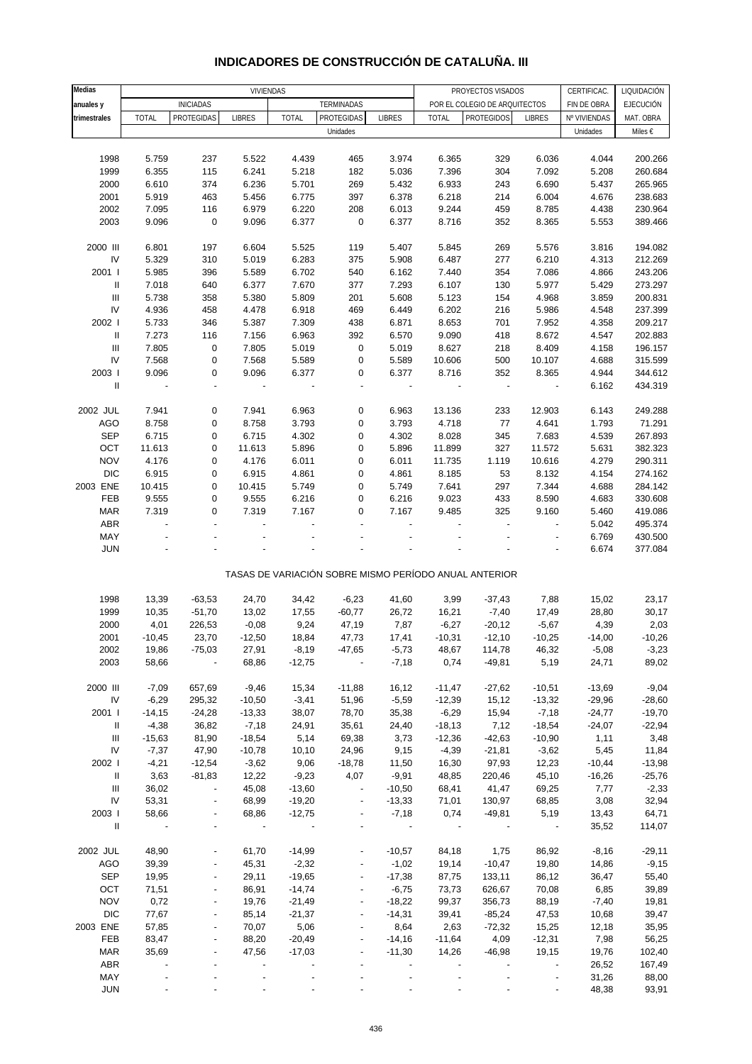| Medias                             |                          | VIVIENDAS                |                          |              |                          |                          |                          | PROYECTOS VISADOS                                     |                          | CERTIFICAC.              | LIQUIDACIÓN      |
|------------------------------------|--------------------------|--------------------------|--------------------------|--------------|--------------------------|--------------------------|--------------------------|-------------------------------------------------------|--------------------------|--------------------------|------------------|
| anuales y                          |                          | <b>INICIADAS</b>         |                          |              | <b>TERMINADAS</b>        |                          |                          | POR EL COLEGIO DE ARQUITECTOS                         |                          | FIN DE OBRA              | <b>EJECUCIÓN</b> |
|                                    |                          | PROTEGIDAS               |                          | <b>TOTAL</b> | PROTEGIDAS               | <b>LIBRES</b>            |                          | <b>PROTEGIDOS</b>                                     | <b>LIBRES</b>            |                          |                  |
| trimestrales                       | <b>TOTAL</b>             |                          | <b>LIBRES</b>            |              |                          |                          | <b>TOTAL</b>             |                                                       |                          | Nº VIVIENDAS<br>Unidades | MAT. OBRA        |
|                                    |                          |                          |                          |              | Unidades                 |                          |                          |                                                       |                          |                          | Miles €          |
|                                    |                          |                          |                          |              |                          |                          |                          |                                                       |                          |                          |                  |
| 1998                               | 5.759                    | 237                      | 5.522                    | 4.439        | 465                      | 3.974                    | 6.365                    | 329                                                   | 6.036                    | 4.044                    | 200.266          |
| 1999                               | 6.355                    | 115                      | 6.241                    | 5.218        | 182                      | 5.036                    | 7.396                    | 304                                                   | 7.092                    | 5.208                    | 260.684          |
| 2000                               | 6.610                    | 374                      | 6.236                    | 5.701        | 269                      | 5.432                    | 6.933                    | 243                                                   | 6.690                    | 5.437                    | 265.965          |
| 2001                               | 5.919                    | 463                      | 5.456                    | 6.775        | 397                      | 6.378                    | 6.218                    | 214                                                   | 6.004                    | 4.676                    | 238.683          |
| 2002                               | 7.095                    | 116                      | 6.979                    | 6.220        | 208                      | 6.013                    | 9.244                    | 459                                                   | 8.785                    | 4.438                    | 230.964          |
| 2003                               | 9.096                    | $\pmb{0}$                | 9.096                    | 6.377        | $\pmb{0}$                | 6.377                    | 8.716                    | 352                                                   | 8.365                    | 5.553                    | 389.466          |
|                                    |                          |                          |                          |              |                          |                          |                          |                                                       |                          |                          |                  |
| 2000 III                           | 6.801                    | 197                      | 6.604                    | 5.525        | 119                      | 5.407                    | 5.845                    | 269                                                   | 5.576                    | 3.816                    | 194.082          |
| IV                                 | 5.329                    | 310                      | 5.019                    | 6.283        | 375                      | 5.908                    | 6.487                    | 277                                                   | 6.210                    | 4.313                    | 212.269          |
| 2001 l                             | 5.985                    | 396                      | 5.589                    | 6.702        | 540                      | 6.162                    | 7.440                    | 354                                                   | 7.086                    | 4.866                    | 243.206          |
| Ш                                  | 7.018                    | 640                      | 6.377                    | 7.670        | 377                      | 7.293                    | 6.107                    | 130                                                   | 5.977                    | 5.429                    | 273.297          |
| $\mathbf{III}$                     | 5.738                    | 358                      | 5.380                    | 5.809        | 201                      | 5.608                    | 5.123                    | 154                                                   | 4.968                    | 3.859                    | 200.831          |
| IV                                 | 4.936                    | 458                      | 4.478                    | 6.918        | 469                      | 6.449                    | 6.202                    | 216                                                   | 5.986                    | 4.548                    | 237.399          |
|                                    |                          |                          |                          |              |                          |                          |                          |                                                       |                          |                          |                  |
| 2002 l                             | 5.733                    | 346                      | 5.387                    | 7.309        | 438                      | 6.871                    | 8.653                    | 701                                                   | 7.952                    | 4.358                    | 209.217          |
| $\mathbf{I}$                       | 7.273                    | 116                      | 7.156                    | 6.963        | 392                      | 6.570                    | 9.090                    | 418                                                   | 8.672                    | 4.547                    | 202.883          |
| $\mathbf{III}$                     | 7.805                    | $\pmb{0}$                | 7.805                    | 5.019        | 0                        | 5.019                    | 8.627                    | 218                                                   | 8.409                    | 4.158                    | 196.157          |
| IV                                 | 7.568                    | $\pmb{0}$                | 7.568                    | 5.589        | 0                        | 5.589                    | 10.606                   | 500                                                   | 10.107                   | 4.688                    | 315.599          |
| 2003                               | 9.096                    | 0                        | 9.096                    | 6.377        | 0                        | 6.377                    | 8.716                    | 352                                                   | 8.365                    | 4.944                    | 344.612          |
| $\mathbf{I}$                       | $\blacksquare$           | $\overline{\phantom{a}}$ | $\overline{\phantom{a}}$ |              | $\blacksquare$           | $\overline{\phantom{a}}$ |                          | ÷,                                                    | $\overline{\phantom{a}}$ | 6.162                    | 434.319          |
|                                    |                          |                          |                          |              |                          |                          |                          |                                                       |                          |                          |                  |
| 2002 JUL                           | 7.941                    | 0                        | 7.941                    | 6.963        | 0                        | 6.963                    | 13.136                   | 233                                                   | 12.903                   | 6.143                    | 249.288          |
| AGO                                | 8.758                    | 0                        | 8.758                    | 3.793        | 0                        | 3.793                    | 4.718                    | 77                                                    | 4.641                    | 1.793                    | 71.291           |
| <b>SEP</b>                         | 6.715                    | 0                        | 6.715                    | 4.302        | 0                        | 4.302                    | 8.028                    | 345                                                   | 7.683                    | 4.539                    | 267.893          |
| OCT                                | 11.613                   | $\pmb{0}$                | 11.613                   | 5.896        | 0                        | 5.896                    | 11.899                   | 327                                                   | 11.572                   | 5.631                    | 382.323          |
| <b>NOV</b>                         | 4.176                    | 0                        | 4.176                    | 6.011        | 0                        | 6.011                    | 11.735                   | 1.119                                                 | 10.616                   | 4.279                    | 290.311          |
| <b>DIC</b>                         | 6.915                    | $\pmb{0}$                | 6.915                    | 4.861        | 0                        | 4.861                    | 8.185                    | 53                                                    | 8.132                    | 4.154                    | 274.162          |
| 2003 ENE                           | 10.415                   | 0                        | 10.415                   | 5.749        | 0                        | 5.749                    | 7.641                    | 297                                                   | 7.344                    | 4.688                    | 284.142          |
| FEB                                | 9.555                    | 0                        | 9.555                    | 6.216        | 0                        | 6.216                    | 9.023                    | 433                                                   | 8.590                    | 4.683                    | 330.608          |
| <b>MAR</b>                         | 7.319                    | 0                        | 7.319                    | 7.167        | 0                        | 7.167                    | 9.485                    | 325                                                   | 9.160                    | 5.460                    | 419.086          |
| ABR                                | $\overline{a}$           | $\overline{a}$           |                          |              |                          |                          |                          | ÷,                                                    | $\overline{a}$           |                          |                  |
|                                    |                          |                          |                          |              |                          |                          |                          |                                                       |                          | 5.042                    | 495.374          |
| MAY                                |                          |                          |                          |              |                          |                          |                          |                                                       |                          | 6.769                    | 430.500          |
| <b>JUN</b>                         |                          |                          |                          |              |                          |                          |                          |                                                       |                          | 6.674                    | 377.084          |
|                                    |                          |                          |                          |              |                          |                          |                          |                                                       |                          |                          |                  |
|                                    |                          |                          |                          |              |                          |                          |                          | TASAS DE VARIACIÓN SOBRE MISMO PERÍODO ANUAL ANTERIOR |                          |                          |                  |
| 1998                               | 13,39                    | $-63,53$                 | 24,70                    | 34,42        | $-6,23$                  | 41,60                    | 3,99                     |                                                       | 7,88                     | 15,02                    | 23,17            |
|                                    |                          |                          |                          |              |                          |                          |                          | $-37,43$                                              |                          |                          |                  |
| 1999                               | 10,35                    | $-51,70$                 | 13,02                    | 17,55        | $-60,77$                 | 26,72                    | 16,21                    | $-7,40$                                               | 17,49                    | 28,80                    | 30,17            |
| 2000                               | 4,01                     | 226,53                   | $-0,08$                  | 9,24         | 47,19                    | 7,87                     | $-6,27$                  | $-20,12$                                              | $-5,67$                  | 4,39                     | 2,03             |
| 2001                               | $-10,45$                 | 23,70                    | $-12,50$                 | 18,84        | 47,73                    | 17,41                    | $-10,31$                 | $-12,10$                                              | $-10,25$                 | $-14,00$                 | $-10,26$         |
| 2002                               | 19,86                    | $-75,03$                 | 27,91                    | $-8,19$      | $-47,65$                 | $-5,73$                  | 48,67                    | 114,78                                                | 46,32                    | $-5,08$                  | $-3,23$          |
| 2003                               | 58,66                    |                          | 68,86                    | $-12,75$     |                          | $-7,18$                  | 0,74                     | $-49,81$                                              | 5,19                     | 24,71                    | 89,02            |
|                                    |                          |                          |                          |              |                          |                          |                          |                                                       |                          |                          |                  |
| 2000 III                           | $-7,09$                  | 657,69                   | $-9,46$                  | 15,34        | $-11,88$                 | 16,12                    | $-11,47$                 | $-27,62$                                              | $-10,51$                 | $-13,69$                 | $-9,04$          |
| ${\sf IV}$                         | $-6,29$                  | 295,32                   | $-10,50$                 | $-3,41$      | 51,96                    | $-5,59$                  | $-12,39$                 | 15,12                                                 | $-13,32$                 | $-29,96$                 | $-28,60$         |
| 2001                               | $-14,15$                 | $-24,28$                 | $-13,33$                 | 38,07        | 78,70                    | 35,38                    | $-6,29$                  | 15,94                                                 | $-7,18$                  | $-24,77$                 | $-19,70$         |
| Ш                                  | $-4,38$                  | 36,82                    | $-7,18$                  | 24,91        | 35,61                    | 24,40                    | $-18,13$                 | 7,12                                                  | $-18,54$                 | $-24,07$                 | $-22,94$         |
| $\ensuremath{\mathsf{III}}\xspace$ | $-15,63$                 | 81,90                    | $-18,54$                 | 5,14         | 69,38                    | 3,73                     | $-12,36$                 | $-42,63$                                              | $-10,90$                 | 1,11                     | 3,48             |
| IV                                 | $-7,37$                  | 47,90                    | $-10,78$                 | 10, 10       | 24,96                    | 9,15                     | $-4,39$                  | $-21,81$                                              | $-3,62$                  | 5,45                     | 11,84            |
| 2002 l                             | $-4,21$                  | $-12,54$                 | $-3,62$                  | 9,06         | $-18,78$                 | 11,50                    | 16,30                    | 97,93                                                 | 12,23                    | $-10,44$                 | $-13,98$         |
| Ш                                  | 3,63                     | $-81,83$                 | 12,22                    | $-9,23$      | 4,07                     | $-9,91$                  | 48,85                    | 220,46                                                | 45,10                    | $-16,26$                 | $-25,76$         |
| Ш                                  | 36,02                    | $\blacksquare$           | 45,08                    | $-13,60$     | $\overline{\phantom{a}}$ | $-10,50$                 | 68,41                    | 41,47                                                 | 69,25                    | 7,77                     | $-2,33$          |
| IV                                 | 53,31                    |                          | 68,99                    | $-19,20$     |                          | $-13,33$                 | 71,01                    | 130,97                                                | 68,85                    | 3,08                     | 32,94            |
| 2003                               | 58,66                    |                          | 68,86                    | $-12,75$     |                          | $-7,18$                  | 0,74                     | $-49,81$                                              | 5,19                     | 13,43                    | 64,71            |
| $\mathbf{II}$                      | $\overline{\phantom{a}}$ |                          | $\overline{\phantom{a}}$ | $\sim$ $-$   |                          | $\blacksquare$           | $\overline{\phantom{a}}$ |                                                       | $\sim$                   | 35,52                    | 114,07           |
|                                    |                          |                          |                          |              |                          |                          |                          |                                                       |                          |                          |                  |
|                                    |                          |                          |                          |              |                          |                          |                          |                                                       |                          |                          |                  |
| 2002 JUL                           | 48,90                    |                          | 61,70                    | $-14,99$     |                          | $-10,57$                 | 84,18                    | 1,75                                                  | 86,92                    | $-8,16$                  | $-29,11$         |
| <b>AGO</b>                         | 39,39                    |                          | 45,31                    | $-2,32$      |                          | $-1,02$                  | 19,14                    | $-10,47$                                              | 19,80                    | 14,86                    | $-9,15$          |
| <b>SEP</b>                         | 19,95                    |                          | 29,11                    | $-19,65$     |                          | $-17,38$                 | 87,75                    | 133,11                                                | 86,12                    | 36,47                    | 55,40            |
| OCT                                | 71,51                    |                          | 86,91                    | $-14,74$     |                          | $-6,75$                  | 73,73                    | 626,67                                                | 70,08                    | 6,85                     | 39,89            |
| <b>NOV</b>                         | 0,72                     | $\overline{\phantom{a}}$ | 19,76                    | $-21,49$     | $\overline{\phantom{a}}$ | $-18,22$                 | 99,37                    | 356,73                                                | 88,19                    | $-7,40$                  | 19,81            |
| <b>DIC</b>                         | 77,67                    |                          | 85,14                    | $-21,37$     |                          | $-14,31$                 | 39,41                    | $-85,24$                                              | 47,53                    | 10,68                    | 39,47            |
| 2003 ENE                           | 57,85                    |                          | 70,07                    | 5,06         |                          | 8,64                     | 2,63                     | $-72,32$                                              | 15,25                    | 12,18                    | 35,95            |
| FEB                                | 83,47                    | ÷                        | 88,20                    | $-20,49$     | $\overline{\phantom{a}}$ | $-14,16$                 | $-11,64$                 | 4,09                                                  | $-12,31$                 | 7,98                     | 56,25            |
| <b>MAR</b>                         | 35,69                    |                          | 47,56                    | $-17,03$     |                          | $-11,30$                 | 14,26                    | $-46,98$                                              | 19,15                    | 19,76                    | 102,40           |
| ABR                                |                          |                          |                          |              |                          |                          |                          |                                                       |                          | 26,52                    | 167,49           |
| MAY                                |                          |                          |                          |              |                          |                          |                          |                                                       |                          | 31,26                    | 88,00            |

#### **INDICADORES DE CONSTRUCCIÓN DE CATALUÑA. III**

JUN - - - - - - - - - 48,38 93,91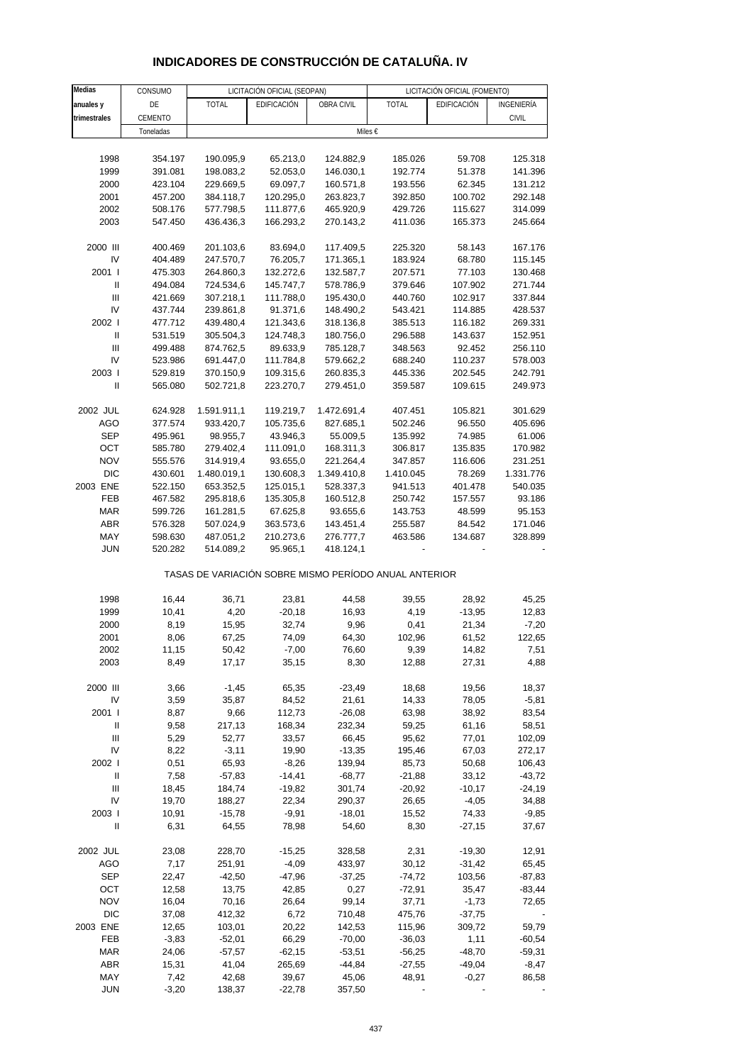|  | <b>INDICADORES DE CONSTRUCCION DE CATALUNA. IV</b> |
|--|----------------------------------------------------|
|  |                                                    |
|  |                                                    |
|  |                                                    |

| Medias                     | CONSUMO   |              | LICITACIÓN OFICIAL (SEOPAN)                           |             |              | LICITACIÓN OFICIAL (FOMENTO) |              |
|----------------------------|-----------|--------------|-------------------------------------------------------|-------------|--------------|------------------------------|--------------|
| anuales y                  | DE        | <b>TOTAL</b> | EDIFICACIÓN                                           | OBRA CIVIL  | <b>TOTAL</b> | EDIFICACIÓN                  | INGENIERÍA   |
| trimestrales               | CEMENTO   |              |                                                       |             |              |                              | <b>CIVIL</b> |
|                            | Toneladas |              |                                                       | Miles €     |              |                              |              |
|                            |           |              |                                                       |             |              |                              |              |
| 1998                       | 354.197   | 190.095,9    | 65.213,0                                              | 124.882,9   | 185.026      | 59.708                       | 125.318      |
| 1999                       | 391.081   | 198.083,2    | 52.053,0                                              | 146.030,1   | 192.774      | 51.378                       | 141.396      |
| 2000                       | 423.104   | 229.669,5    | 69.097,7                                              | 160.571,8   | 193.556      | 62.345                       | 131.212      |
| 2001                       | 457.200   | 384.118,7    | 120.295,0                                             | 263.823,7   | 392.850      | 100.702                      | 292.148      |
| 2002                       | 508.176   | 577.798,5    | 111.877,6                                             | 465.920,9   | 429.726      | 115.627                      | 314.099      |
| 2003                       | 547.450   | 436.436,3    | 166.293,2                                             | 270.143,2   | 411.036      | 165.373                      | 245.664      |
|                            |           |              |                                                       |             |              |                              |              |
| 2000 III                   | 400.469   | 201.103,6    | 83.694,0                                              | 117.409,5   | 225.320      | 58.143                       | 167.176      |
| IV                         | 404.489   | 247.570,7    | 76.205,7                                              | 171.365,1   | 183.924      | 68.780                       | 115.145      |
| 2001 l                     | 475.303   | 264.860,3    | 132.272,6                                             | 132.587,7   | 207.571      | 77.103                       | 130.468      |
| $\ensuremath{\mathsf{II}}$ | 494.084   | 724.534,6    | 145.747,7                                             | 578.786,9   | 379.646      | 107.902                      | 271.744      |
| Ш                          | 421.669   | 307.218,1    | 111.788,0                                             | 195.430,0   | 440.760      | 102.917                      | 337.844      |
| IV                         | 437.744   | 239.861,8    | 91.371,6                                              | 148.490,2   | 543.421      | 114.885                      | 428.537      |
| 2002 l                     | 477.712   | 439.480,4    | 121.343,6                                             | 318.136,8   | 385.513      | 116.182                      | 269.331      |
| $\sf II$                   | 531.519   | 305.504,3    | 124.748,3                                             | 180.756,0   | 296.588      | 143.637                      | 152.951      |
| Ш                          | 499.488   | 874.762,5    | 89.633,9                                              | 785.128,7   | 348.563      | 92.452                       | 256.110      |
| IV                         | 523.986   | 691.447,0    | 111.784,8                                             | 579.662,2   | 688.240      | 110.237                      | 578.003      |
| 2003                       | 529.819   | 370.150,9    | 109.315,6                                             | 260.835,3   | 445.336      | 202.545                      | 242.791      |
| Ш                          | 565.080   | 502.721,8    | 223.270,7                                             | 279.451,0   | 359.587      | 109.615                      | 249.973      |
|                            |           |              |                                                       |             |              |                              |              |
| 2002 JUL                   | 624.928   | 1.591.911,1  | 119.219,7                                             | 1.472.691,4 | 407.451      | 105.821                      | 301.629      |
| AGO                        | 377.574   | 933.420,7    | 105.735,6                                             | 827.685,1   | 502.246      | 96.550                       | 405.696      |
| <b>SEP</b>                 | 495.961   | 98.955,7     | 43.946,3                                              | 55.009,5    | 135.992      | 74.985                       | 61.006       |
| OCT                        | 585.780   | 279.402,4    | 111.091,0                                             | 168.311,3   | 306.817      | 135.835                      | 170.982      |
| <b>NOV</b>                 | 555.576   | 314.919,4    | 93.655,0                                              | 221.264,4   | 347.857      | 116.606                      | 231.251      |
| <b>DIC</b>                 | 430.601   | 1.480.019,1  | 130.608,3                                             | 1.349.410,8 | 1.410.045    | 78.269                       | 1.331.776    |
| 2003 ENE                   | 522.150   | 653.352,5    | 125.015,1                                             | 528.337,3   | 941.513      | 401.478                      | 540.035      |
| FEB                        | 467.582   | 295.818,6    | 135.305,8                                             | 160.512,8   | 250.742      | 157.557                      | 93.186       |
| <b>MAR</b>                 | 599.726   | 161.281,5    | 67.625,8                                              | 93.655,6    | 143.753      | 48.599                       | 95.153       |
| <b>ABR</b>                 | 576.328   | 507.024,9    | 363.573,6                                             | 143.451,4   | 255.587      | 84.542                       | 171.046      |
| MAY                        | 598.630   | 487.051,2    | 210.273,6                                             | 276.777,7   | 463.586      | 134.687                      | 328.899      |
| <b>JUN</b>                 | 520.282   | 514.089,2    | 95.965,1                                              | 418.124,1   |              |                              |              |
|                            |           |              | TASAS DE VARIACIÓN SOBRE MISMO PERÍODO ANUAL ANTERIOR |             |              |                              |              |
| 1998                       | 16,44     | 36,71        | 23,81                                                 | 44,58       | 39,55        | 28,92                        | 45,25        |
| 1999                       | 10,41     | 4,20         | $-20,18$                                              | 16,93       | 4,19         | $-13,95$                     | 12,83        |
| 2000                       | 8,19      | 15,95        | 32,74                                                 | 9,96        | 0,41         | 21,34                        | $-7,20$      |
| 2001                       | 8,06      | 67,25        | 74,09                                                 | 64,30       | 102,96       | 61,52                        | 122,65       |
| 2002                       | 11,15     | 50,42        | $-7,00$                                               | 76,60       | 9,39         | 14,82                        | 7,51         |
| 2003                       | 8,49      | 17,17        | 35,15                                                 | 8,30        | 12,88        | 27,31                        | 4,88         |
|                            |           |              |                                                       |             |              |                              |              |
| 2000 III                   | 3,66      | $-1,45$      | 65,35                                                 | $-23,49$    | 18,68        | 19,56                        | 18,37        |
| IV                         | 3,59      | 35,87        | 84,52                                                 | 21,61       | 14,33        | 78,05                        | $-5,81$      |
| 2001                       | 8,87      | 9,66         | 112,73                                                | $-26,08$    | 63,98        | 38,92                        | 83,54        |
| Ш                          | 9,58      | 217,13       | 168,34                                                | 232,34      | 59,25        | 61,16                        | 58,51        |
| Ш                          | 5,29      | 52,77        | 33,57                                                 | 66,45       | 95,62        | 77,01                        | 102,09       |
| IV                         | 8,22      | $-3,11$      | 19,90                                                 | $-13,35$    | 195,46       | 67,03                        | 272,17       |
| 2002                       | 0,51      | 65,93        | $-8,26$                                               | 139,94      | 85,73        | 50,68                        | 106,43       |
| Ш                          | 7,58      | $-57,83$     | $-14,41$                                              | $-68,77$    | $-21,88$     | 33,12                        | $-43,72$     |
| Ш                          | 18,45     | 184,74       | $-19,82$                                              | 301,74      | $-20,92$     | $-10,17$                     | $-24,19$     |
| IV                         | 19,70     | 188,27       | 22,34                                                 | 290,37      | 26,65        | $-4,05$                      | 34,88        |
| 2003                       | 10,91     | $-15,78$     | $-9,91$                                               | $-18,01$    | 15,52        | 74,33                        | $-9,85$      |
| Ш                          | 6,31      | 64,55        | 78,98                                                 | 54,60       | 8,30         | $-27,15$                     | 37,67        |
|                            |           |              |                                                       |             |              |                              |              |
| 2002 JUL                   | 23,08     | 228,70       | $-15,25$                                              | 328,58      | 2,31         | $-19,30$                     | 12,91        |
| AGO                        | 7,17      | 251,91       | $-4,09$                                               | 433,97      | 30,12        | $-31,42$                     | 65,45        |
| SEP                        | 22,47     | $-42,50$     | $-47,96$                                              | $-37,25$    | $-74,72$     | 103,56                       | $-87,83$     |
| OCT                        | 12,58     | 13,75        | 42,85                                                 | 0,27        | $-72,91$     | 35,47                        | $-83,44$     |
| <b>NOV</b>                 | 16,04     | 70,16        | 26,64                                                 | 99,14       | 37,71        | $-1,73$                      | 72,65        |
| <b>DIC</b>                 | 37,08     | 412,32       | 6,72                                                  | 710,48      | 475,76       | $-37,75$                     |              |
| 2003 ENE                   | 12,65     | 103,01       | 20,22                                                 | 142,53      | 115,96       | 309,72                       | 59,79        |
| FEB                        | $-3,83$   | $-52,01$     | 66,29                                                 | $-70,00$    | $-36,03$     | 1,11                         | $-60,54$     |
| MAR                        | 24,06     | $-57,57$     | $-62,15$                                              | $-53,51$    | $-56,25$     | $-48,70$                     | -59,31       |
| ABR                        | 15,31     | 41,04        | 265,69                                                | $-44,84$    | $-27,55$     | $-49,04$                     | $-8,47$      |
| MAY                        | 7,42      | 42,68        | 39,67                                                 | 45,06       | 48,91        | $-0,27$                      | 86,58        |
| <b>JUN</b>                 | $-3,20$   | 138,37       | $-22,78$                                              | 357,50      |              |                              |              |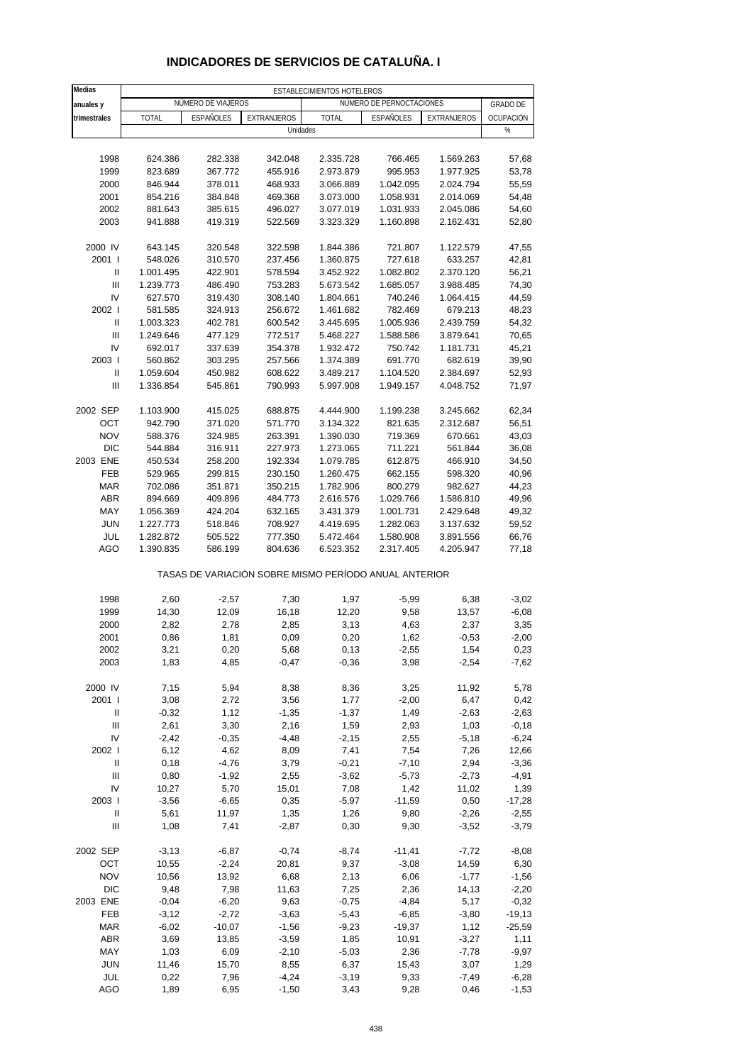| Medias                             | ESTABLECIMIENTOS HOTELEROS |                    |                                                       |                        |                          |                        |                 |  |
|------------------------------------|----------------------------|--------------------|-------------------------------------------------------|------------------------|--------------------------|------------------------|-----------------|--|
| anuales y                          |                            | NÚMERO DE VIAJEROS |                                                       |                        | NÚMERO DE PERNOCTACIONES |                        | <b>GRADO DE</b> |  |
| trimestrales                       | <b>TOTAL</b>               | ESPAÑOLES          | EXTRANJEROS                                           | <b>TOTAL</b>           | ESPAÑOLES                | EXTRANJEROS            | OCUPACIÓN       |  |
|                                    |                            |                    | Unidades                                              |                        |                          |                        | %               |  |
|                                    |                            |                    |                                                       |                        |                          |                        |                 |  |
| 1998                               | 624.386                    | 282.338            | 342.048                                               | 2.335.728              | 766.465                  | 1.569.263              | 57,68           |  |
| 1999                               | 823.689                    | 367.772            | 455.916                                               | 2.973.879              | 995.953                  | 1.977.925              | 53,78           |  |
| 2000                               | 846.944                    | 378.011            | 468.933                                               | 3.066.889              | 1.042.095                | 2.024.794              | 55,59           |  |
| 2001                               | 854.216                    | 384.848            | 469.368                                               | 3.073.000              | 1.058.931                | 2.014.069              | 54,48           |  |
| 2002                               | 881.643                    | 385.615            | 496.027                                               | 3.077.019              | 1.031.933                | 2.045.086              | 54,60           |  |
| 2003                               | 941.888                    | 419.319            | 522.569                                               | 3.323.329              | 1.160.898                | 2.162.431              | 52,80           |  |
|                                    |                            |                    |                                                       |                        |                          |                        |                 |  |
| 2000 IV                            | 643.145                    | 320.548            | 322.598                                               | 1.844.386              | 721.807                  | 1.122.579              | 47,55           |  |
| 2001 l                             | 548.026                    | 310.570            | 237.456                                               | 1.360.875              | 727.618                  | 633.257                | 42,81           |  |
| Ш                                  | 1.001.495                  | 422.901            | 578.594                                               | 3.452.922              | 1.082.802                | 2.370.120              | 56,21           |  |
| $\ensuremath{\mathsf{III}}\xspace$ | 1.239.773                  | 486.490            | 753.283                                               | 5.673.542              | 1.685.057                | 3.988.485              | 74,30           |  |
| IV                                 | 627.570                    | 319.430            | 308.140                                               | 1.804.661              | 740.246                  | 1.064.415              | 44,59           |  |
| 2002                               | 581.585                    | 324.913            | 256.672                                               | 1.461.682              | 782.469                  | 679.213                | 48,23           |  |
| Ш                                  | 1.003.323                  | 402.781            | 600.542                                               | 3.445.695              | 1.005.936                | 2.439.759              | 54,32           |  |
| $\mathbf{III}$                     | 1.249.646                  | 477.129            | 772.517                                               | 5.468.227              | 1.588.586                | 3.879.641              | 70,65           |  |
| IV                                 | 692.017                    | 337.639            | 354.378                                               | 1.932.472              | 750.742                  | 1.181.731              | 45,21           |  |
| 2003                               | 560.862                    | 303.295            | 257.566                                               | 1.374.389              | 691.770                  | 682.619                | 39,90           |  |
| $\sf II$                           | 1.059.604                  | 450.982            | 608.622                                               | 3.489.217              | 1.104.520                | 2.384.697              | 52,93           |  |
| $\mathbf{III}$                     | 1.336.854                  | 545.861            | 790.993                                               | 5.997.908              | 1.949.157                | 4.048.752              | 71,97           |  |
|                                    |                            |                    |                                                       |                        |                          |                        |                 |  |
| 2002 SEP                           | 1.103.900                  | 415.025            | 688.875                                               | 4.444.900              | 1.199.238                | 3.245.662              | 62,34           |  |
| OCT                                | 942.790                    | 371.020            | 571.770                                               | 3.134.322              | 821.635                  | 2.312.687              | 56,51           |  |
| <b>NOV</b>                         | 588.376                    | 324.985            | 263.391                                               | 1.390.030              | 719.369                  | 670.661                | 43,03           |  |
| <b>DIC</b>                         | 544.884                    | 316.911            | 227.973                                               | 1.273.065              | 711.221                  | 561.844                | 36,08           |  |
| 2003 ENE                           | 450.534                    | 258.200            | 192.334                                               | 1.079.785              | 612.875                  | 466.910                | 34,50           |  |
| FEB                                | 529.965                    | 299.815            | 230.150                                               | 1.260.475              | 662.155                  | 598.320                | 40,96           |  |
| <b>MAR</b>                         | 702.086                    | 351.871            | 350.215                                               | 1.782.906              | 800.279                  | 982.627                | 44,23           |  |
| <b>ABR</b>                         | 894.669                    | 409.896            | 484.773                                               | 2.616.576              | 1.029.766                | 1.586.810              | 49,96           |  |
| MAY                                | 1.056.369                  | 424.204            | 632.165                                               | 3.431.379              | 1.001.731                | 2.429.648              | 49,32           |  |
| <b>JUN</b>                         | 1.227.773                  | 518.846            | 708.927                                               | 4.419.695              | 1.282.063                | 3.137.632              | 59,52           |  |
| JUL<br>AGO                         | 1.282.872<br>1.390.835     | 505.522<br>586.199 | 777.350<br>804.636                                    | 5.472.464<br>6.523.352 | 1.580.908<br>2.317.405   | 3.891.556<br>4.205.947 | 66,76<br>77,18  |  |
|                                    |                            |                    |                                                       |                        |                          |                        |                 |  |
|                                    |                            |                    | TASAS DE VARIACIÓN SOBRE MISMO PERÍODO ANUAL ANTERIOR |                        |                          |                        |                 |  |
| 1998                               | 2,60                       | $-2,57$            | 7,30                                                  | 1,97                   | $-5,99$                  | 6,38                   | $-3,02$         |  |
| 1999                               | 14,30                      | 12,09              | 16,18                                                 | 12,20                  | 9,58                     | 13,57                  | $-6,08$         |  |
| 2000                               | 2,82                       | 2,78               | 2,85                                                  | 3,13                   | 4,63                     | 2,37                   | 3,35            |  |
| 2001                               | 0,86                       | 1,81               | 0,09                                                  | 0,20                   | 1,62                     | $-0,53$                | $-2,00$         |  |
| 2002                               | 3,21                       | 0,20               | 5,68                                                  | 0,13                   | $-2,55$                  | 1,54                   | 0,23            |  |
| 2003                               | 1,83                       | 4,85               | $-0,47$                                               | $-0,36$                | 3,98                     | $-2,54$                | $-7,62$         |  |
|                                    |                            |                    |                                                       |                        |                          |                        |                 |  |
| 2000 IV                            | 7,15                       | 5,94               | 8,38                                                  | 8,36                   | 3,25                     | 11,92                  | 5,78            |  |
| 2001 l                             | 3,08                       | 2,72               | 3,56                                                  | 1,77                   | $-2,00$                  | 6,47                   | 0,42            |  |
| Ш                                  | $-0,32$                    | 1,12               | $-1,35$                                               | $-1,37$                | 1,49                     | $-2,63$                | $-2,63$         |  |
| $\ensuremath{\mathsf{III}}\xspace$ | 2,61                       | 3,30               | 2,16                                                  | 1,59                   | 2,93                     | 1,03                   | $-0,18$         |  |
| IV                                 | $-2,42$                    | $-0,35$            | $-4,48$                                               | $-2,15$                | 2,55                     | $-5,18$                | $-6,24$         |  |
| 2002 l                             | 6,12                       | 4,62               | 8,09                                                  | 7,41                   | 7,54                     | 7,26                   | 12,66           |  |
| Ш                                  | 0,18                       | $-4,76$            | 3,79                                                  | $-0,21$                | $-7,10$                  | 2,94                   | $-3,36$         |  |
| $\mathbf{III}$                     | 0,80                       | $-1,92$            | 2,55                                                  | $-3,62$                | $-5,73$                  | $-2,73$                | $-4,91$         |  |
| IV                                 | 10,27                      | 5,70               | 15,01                                                 | 7,08                   | 1,42                     | 11,02                  | 1,39            |  |
| 2003                               | $-3,56$                    | $-6,65$            | 0,35                                                  | $-5,97$                | $-11,59$                 | 0,50                   | -17,28          |  |
| Ш                                  | 5,61                       | 11,97              | 1,35                                                  | 1,26                   | 9,80                     | $-2,26$                | $-2,55$         |  |
| $\ensuremath{\mathsf{III}}\xspace$ | 1,08                       | 7,41               | $-2,87$                                               | 0,30                   | 9,30                     | $-3,52$                | $-3,79$         |  |
| 2002 SEP                           | $-3,13$                    | $-6,87$            | $-0,74$                                               | $-8,74$                | $-11,41$                 | $-7,72$                | $-8,08$         |  |
| OCT                                | 10,55                      | $-2,24$            | 20,81                                                 | 9,37                   | $-3,08$                  | 14,59                  | 6,30            |  |
| <b>NOV</b>                         | 10,56                      | 13,92              | 6,68                                                  | 2,13                   | 6,06                     | $-1,77$                | $-1,56$         |  |
| <b>DIC</b>                         | 9,48                       | 7,98               | 11,63                                                 | 7,25                   | 2,36                     | 14,13                  | $-2,20$         |  |
| 2003 ENE                           | $-0,04$                    | $-6,20$            | 9,63                                                  | $-0,75$                | $-4,84$                  | 5,17                   | $-0,32$         |  |
| FEB                                | $-3, 12$                   | $-2,72$            | $-3,63$                                               | $-5,43$                | $-6,85$                  | $-3,80$                | $-19,13$        |  |
| <b>MAR</b>                         | $-6,02$                    | $-10,07$           | $-1,56$                                               | $-9,23$                | $-19,37$                 | 1,12                   | $-25,59$        |  |
| <b>ABR</b>                         | 3,69                       | 13,85              | $-3,59$                                               | 1,85                   | 10,91                    | $-3,27$                | 1,11            |  |
| MAY                                | 1,03                       | 6,09               | $-2,10$                                               | $-5,03$                | 2,36                     | $-7,78$                | $-9,97$         |  |
| <b>JUN</b>                         | 11,46                      | 15,70              | 8,55                                                  | 6,37                   | 15,43                    | 3,07                   | 1,29            |  |
| JUL                                | 0,22                       | 7,96               | $-4,24$                                               | $-3,19$                | 9,33                     | $-7,49$                | $-6,28$         |  |
| AGO                                | 1,89                       | 6,95               | $-1,50$                                               | 3,43                   | 9,28                     | 0,46                   | $-1,53$         |  |

## **INDICADORES DE SERVICIOS DE CATALUÑA. I**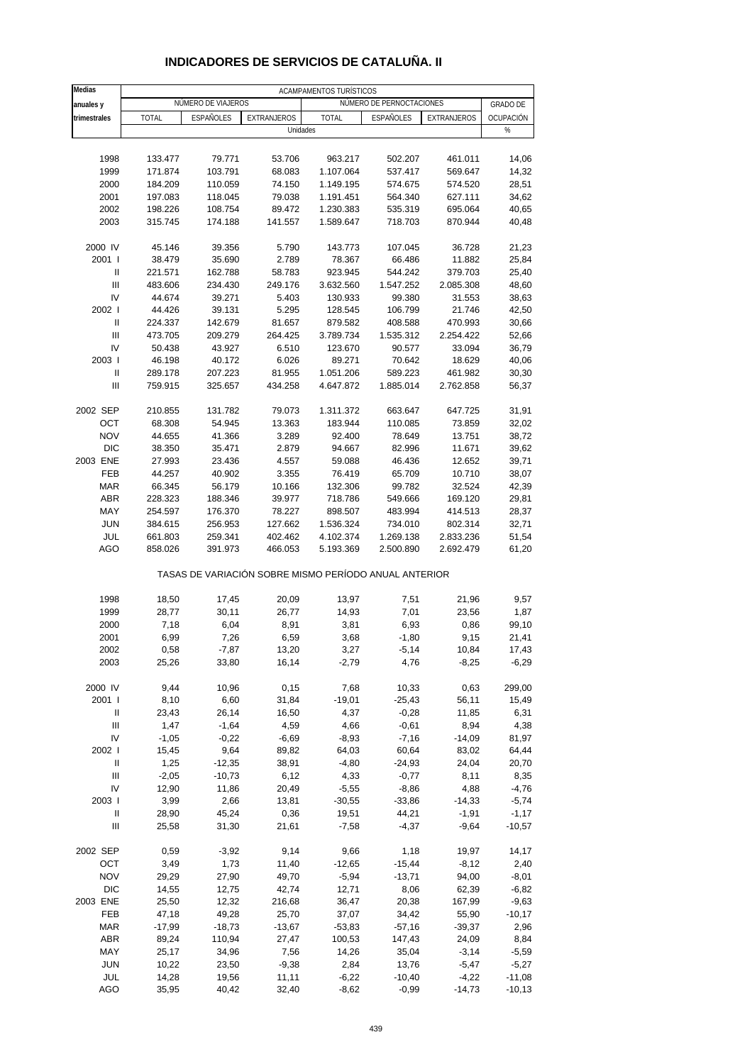| Medias                             |              |                    |                                                       | ACAMPAMENTOS TURÍSTICOS |                          |             |                 |
|------------------------------------|--------------|--------------------|-------------------------------------------------------|-------------------------|--------------------------|-------------|-----------------|
| anuales y                          |              | NÚMERO DE VIAJEROS |                                                       |                         | NÚMERO DE PERNOCTACIONES |             | <b>GRADO DE</b> |
| trimestrales                       | <b>TOTAL</b> | <b>ESPAÑOLES</b>   | <b>EXTRANJEROS</b>                                    | <b>TOTAL</b>            | <b>ESPAÑOLES</b>         | EXTRANJEROS | OCUPACIÓN       |
|                                    |              |                    | Unidades                                              |                         |                          |             | %               |
|                                    |              |                    |                                                       |                         |                          |             |                 |
| 1998                               | 133.477      | 79.771             | 53.706                                                | 963.217                 | 502.207                  | 461.011     | 14,06           |
| 1999                               | 171.874      | 103.791            | 68.083                                                | 1.107.064               | 537.417                  | 569.647     | 14,32           |
| 2000                               | 184.209      | 110.059            | 74.150                                                | 1.149.195               | 574.675                  | 574.520     | 28,51           |
| 2001                               | 197.083      | 118.045            | 79.038                                                | 1.191.451               | 564.340                  | 627.111     | 34,62           |
| 2002                               | 198.226      | 108.754            | 89.472                                                | 1.230.383               | 535.319                  | 695.064     | 40,65           |
| 2003                               | 315.745      | 174.188            | 141.557                                               | 1.589.647               | 718.703                  | 870.944     | 40,48           |
| 2000 IV                            | 45.146       | 39.356             | 5.790                                                 | 143.773                 | 107.045                  | 36.728      | 21,23           |
| 2001 l                             | 38.479       | 35.690             | 2.789                                                 | 78.367                  | 66.486                   | 11.882      | 25,84           |
| Ш                                  | 221.571      | 162.788            | 58.783                                                | 923.945                 | 544.242                  | 379.703     | 25,40           |
| Ш                                  | 483.606      | 234.430            | 249.176                                               | 3.632.560               | 1.547.252                | 2.085.308   | 48,60           |
| IV                                 | 44.674       | 39.271             | 5.403                                                 | 130.933                 | 99.380                   | 31.553      | 38,63           |
| 2002 l                             | 44.426       | 39.131             | 5.295                                                 | 128.545                 | 106.799                  | 21.746      | 42,50           |
| Ш                                  | 224.337      | 142.679            | 81.657                                                | 879.582                 | 408.588                  | 470.993     | 30,66           |
| Ш                                  | 473.705      | 209.279            | 264.425                                               | 3.789.734               | 1.535.312                | 2.254.422   | 52,66           |
| IV                                 | 50.438       | 43.927             | 6.510                                                 | 123.670                 | 90.577                   | 33.094      | 36,79           |
| 2003                               | 46.198       | 40.172             | 6.026                                                 | 89.271                  | 70.642                   | 18.629      | 40,06           |
| Ш                                  | 289.178      | 207.223            | 81.955                                                | 1.051.206               | 589.223                  | 461.982     | 30,30           |
| Ш                                  | 759.915      | 325.657            | 434.258                                               | 4.647.872               | 1.885.014                | 2.762.858   | 56,37           |
| 2002 SEP                           | 210.855      | 131.782            | 79.073                                                | 1.311.372               | 663.647                  | 647.725     | 31,91           |
| OCT                                | 68.308       | 54.945             | 13.363                                                | 183.944                 | 110.085                  | 73.859      | 32,02           |
| <b>NOV</b>                         | 44.655       | 41.366             | 3.289                                                 | 92.400                  | 78.649                   | 13.751      | 38,72           |
| <b>DIC</b>                         | 38.350       | 35.471             | 2.879                                                 | 94.667                  | 82.996                   | 11.671      | 39,62           |
| 2003 ENE                           | 27.993       | 23.436             | 4.557                                                 | 59.088                  | 46.436                   | 12.652      | 39,71           |
| <b>FEB</b>                         | 44.257       | 40.902             | 3.355                                                 | 76.419                  | 65.709                   | 10.710      | 38,07           |
| <b>MAR</b>                         | 66.345       | 56.179             | 10.166                                                | 132.306                 | 99.782                   | 32.524      | 42,39           |
| ABR                                | 228.323      | 188.346            | 39.977                                                | 718.786                 | 549.666                  | 169.120     | 29,81           |
| MAY                                | 254.597      | 176.370            | 78.227                                                | 898.507                 | 483.994                  | 414.513     | 28,37           |
| <b>JUN</b>                         | 384.615      | 256.953            | 127.662                                               | 1.536.324               | 734.010                  | 802.314     | 32,71           |
| JUL                                | 661.803      | 259.341            | 402.462                                               | 4.102.374               | 1.269.138                | 2.833.236   | 51,54           |
| AGO                                | 858.026      | 391.973            | 466.053                                               | 5.193.369               | 2.500.890                | 2.692.479   | 61,20           |
|                                    |              |                    | TASAS DE VARIACIÓN SOBRE MISMO PERÍODO ANUAL ANTERIOR |                         |                          |             |                 |
| 1998                               | 18,50        | 17,45              | 20,09                                                 | 13,97                   | 7,51                     | 21,96       | 9,57            |
| 1999                               | 28,77        | 30,11              | 26,77                                                 | 14,93                   | 7,01                     | 23,56       | 1,87            |
| 2000                               | 7,18         | 6,04               | 8,91                                                  | 3,81                    | 6,93                     | 0,86        | 99,10           |
| 2001                               | 6,99         | 7,26               | 6,59                                                  | 3,68                    | $-1,80$                  | 9,15        | 21,41           |
| 2002                               | 0,58         | $-7,87$            | 13,20                                                 | 3,27                    | $-5,14$                  | 10,84       | 17,43           |
| 2003                               | 25,26        | 33,80              | 16,14                                                 | $-2,79$                 | 4,76                     | $-8,25$     | $-6,29$         |
| 2000 IV                            | 9,44         | 10,96              | 0, 15                                                 | 7,68                    | 10,33                    | 0,63        | 299,00          |
| 2001 l                             | 8,10         | 6,60               | 31,84                                                 | $-19,01$                | $-25,43$                 | 56,11       | 15,49           |
| Ш                                  | 23,43        | 26,14              | 16,50                                                 | 4,37                    | $-0,28$                  | 11,85       | 6,31            |
| $\ensuremath{\mathsf{III}}\xspace$ | 1,47         | $-1,64$            | 4,59                                                  | 4,66                    | $-0,61$                  | 8,94        | 4,38            |
| IV                                 | $-1,05$      | $-0,22$            | $-6,69$                                               | $-8,93$                 | $-7,16$                  | $-14,09$    | 81,97           |
| 2002 l                             | 15,45        | 9,64               | 89,82                                                 | 64,03                   | 60,64                    | 83,02       | 64,44           |
| Ш                                  | 1,25         | $-12,35$           | 38,91                                                 | $-4,80$                 | $-24,93$                 | 24,04       | 20,70           |
| Ш                                  | $-2,05$      | $-10,73$           | 6,12                                                  | 4,33                    | $-0,77$                  | 8,11        | 8,35            |
| IV                                 | 12,90        | 11,86              | 20,49                                                 | $-5,55$                 | $-8,86$                  | 4,88        | $-4,76$         |
| 2003                               | 3,99         | 2,66               | 13,81                                                 | $-30,55$                | $-33,86$                 | $-14,33$    | $-5,74$         |
| Ш                                  | 28,90        | 45,24              | 0,36                                                  | 19,51                   | 44,21                    | $-1,91$     | $-1,17$         |
| $\ensuremath{\mathsf{III}}\xspace$ | 25,58        | 31,30              | 21,61                                                 | $-7,58$                 | $-4,37$                  | $-9,64$     | $-10,57$        |
| 2002 SEP                           | 0,59         | $-3,92$            | 9,14                                                  | 9,66                    | 1,18                     | 19,97       | 14,17           |
| OCT                                | 3,49         | 1,73               | 11,40                                                 | $-12,65$                | $-15,44$                 | $-8,12$     | 2,40            |
| <b>NOV</b>                         | 29,29        | 27,90              | 49,70                                                 | $-5,94$                 | $-13,71$                 | 94,00       | $-8,01$         |
| <b>DIC</b>                         | 14,55        | 12,75              | 42,74                                                 | 12,71                   | 8,06                     | 62,39       | $-6,82$         |
| 2003 ENE                           | 25,50        | 12,32              | 216,68                                                | 36,47                   | 20,38                    | 167,99      | $-9,63$         |
| FEB                                | 47,18        | 49,28              | 25,70                                                 | 37,07                   | 34,42                    | 55,90       | $-10,17$        |
| <b>MAR</b>                         | $-17,99$     | $-18,73$           | $-13,67$                                              | $-53,83$                | $-57,16$                 | $-39,37$    | 2,96            |
| <b>ABR</b>                         | 89,24        | 110,94             | 27,47                                                 | 100,53                  | 147,43                   | 24,09       | 8,84            |
| MAY                                | 25,17        | 34,96              | 7,56                                                  | 14,26                   | 35,04                    | $-3,14$     | $-5,59$         |
| <b>JUN</b>                         | 10,22        | 23,50              | $-9,38$                                               | 2,84                    | 13,76                    | $-5,47$     | $-5,27$         |
| JUL                                | 14,28        | 19,56              | 11,11                                                 | $-6,22$                 | $-10,40$                 | $-4,22$     | $-11,08$        |
| <b>AGO</b>                         | 35,95        | 40,42              | 32,40                                                 | $-8,62$                 | $-0,99$                  | $-14,73$    | $-10, 13$       |

#### **INDICADORES DE SERVICIOS DE CATALUÑA. II**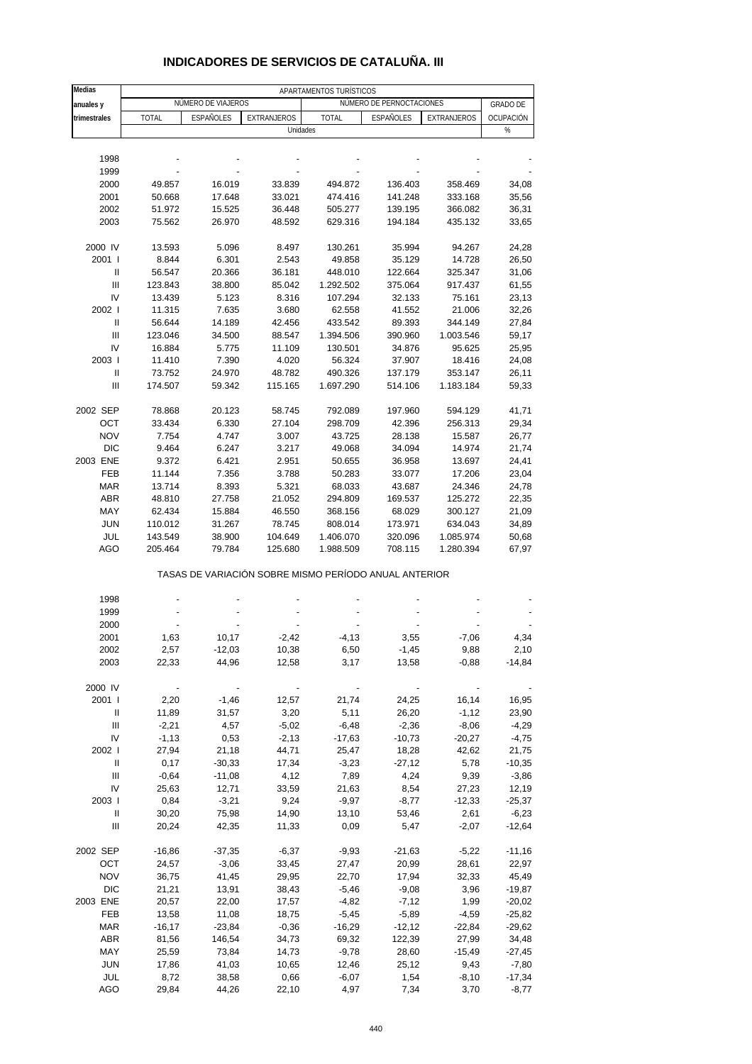| Medias                             | APARTAMENTOS TURÍSTICOS |                    |             |                                                       |                          |             |                 |  |  |  |
|------------------------------------|-------------------------|--------------------|-------------|-------------------------------------------------------|--------------------------|-------------|-----------------|--|--|--|
| anuales y                          |                         | NÚMERO DE VIAJEROS |             |                                                       | NÚMERO DE PERNOCTACIONES |             | <b>GRADO DE</b> |  |  |  |
| trimestrales                       | <b>TOTAL</b>            | <b>ESPAÑOLES</b>   | EXTRANJEROS | <b>TOTAL</b>                                          | <b>ESPAÑOLES</b>         | EXTRANJEROS | OCUPACIÓN       |  |  |  |
|                                    |                         |                    | Unidades    |                                                       |                          |             | %               |  |  |  |
|                                    |                         |                    |             |                                                       |                          |             |                 |  |  |  |
| 1998                               |                         |                    |             |                                                       |                          |             |                 |  |  |  |
| 1999                               |                         |                    |             |                                                       |                          |             |                 |  |  |  |
| 2000                               | 49.857                  | 16.019             | 33.839      | 494.872                                               | 136.403                  | 358.469     | 34,08           |  |  |  |
| 2001                               | 50.668                  | 17.648             | 33.021      | 474.416                                               | 141.248                  | 333.168     | 35,56           |  |  |  |
| 2002                               | 51.972                  | 15.525             | 36.448      | 505.277                                               | 139.195                  | 366.082     | 36,31           |  |  |  |
| 2003                               | 75.562                  | 26.970             | 48.592      | 629.316                                               | 194.184                  | 435.132     | 33,65           |  |  |  |
|                                    |                         |                    |             |                                                       |                          |             |                 |  |  |  |
| 2000 IV                            | 13.593                  | 5.096              | 8.497       | 130.261                                               | 35.994                   | 94.267      | 24,28           |  |  |  |
| 2001 l                             | 8.844                   | 6.301              | 2.543       | 49.858                                                | 35.129                   | 14.728      | 26,50           |  |  |  |
| Ш                                  | 56.547                  | 20.366             | 36.181      | 448.010                                               | 122.664                  | 325.347     | 31,06           |  |  |  |
| $\ensuremath{\mathsf{III}}\xspace$ | 123.843                 | 38.800             | 85.042      | 1.292.502                                             | 375.064                  | 917.437     | 61,55           |  |  |  |
| IV                                 | 13.439                  | 5.123              | 8.316       | 107.294                                               | 32.133                   | 75.161      | 23,13           |  |  |  |
| 2002                               | 11.315                  | 7.635              | 3.680       | 62.558                                                | 41.552                   | 21.006      | 32,26           |  |  |  |
| $\, \parallel$                     | 56.644                  | 14.189             | 42.456      | 433.542                                               | 89.393                   | 344.149     | 27,84           |  |  |  |
| $\mathbf{III}$                     | 123.046                 | 34.500             | 88.547      | 1.394.506                                             | 390.960                  | 1.003.546   | 59,17           |  |  |  |
| IV                                 | 16.884                  | 5.775              | 11.109      | 130.501                                               | 34.876                   | 95.625      | 25,95           |  |  |  |
| 2003                               | 11.410                  | 7.390              | 4.020       | 56.324                                                | 37.907                   | 18.416      | 24,08           |  |  |  |
| Ш                                  | 73.752                  | 24.970             | 48.782      | 490.326                                               | 137.179                  | 353.147     | 26,11           |  |  |  |
| $\ensuremath{\mathsf{III}}\xspace$ | 174.507                 | 59.342             | 115.165     | 1.697.290                                             | 514.106                  | 1.183.184   | 59,33           |  |  |  |
|                                    |                         |                    |             |                                                       |                          |             |                 |  |  |  |
| 2002 SEP                           | 78.868                  | 20.123             | 58.745      | 792.089                                               | 197.960                  | 594.129     | 41,71           |  |  |  |
|                                    | 33.434                  |                    | 27.104      | 298.709                                               |                          |             |                 |  |  |  |
| OCT<br><b>NOV</b>                  |                         | 6.330              |             |                                                       | 42.396                   | 256.313     | 29,34           |  |  |  |
|                                    | 7.754                   | 4.747              | 3.007       | 43.725                                                | 28.138                   | 15.587      | 26,77           |  |  |  |
| <b>DIC</b>                         | 9.464                   | 6.247              | 3.217       | 49.068                                                | 34.094                   | 14.974      | 21,74           |  |  |  |
| 2003 ENE                           | 9.372                   | 6.421              | 2.951       | 50.655                                                | 36.958                   | 13.697      | 24,41           |  |  |  |
| FEB                                | 11.144                  | 7.356              | 3.788       | 50.283                                                | 33.077                   | 17.206      | 23,04           |  |  |  |
| <b>MAR</b>                         | 13.714                  | 8.393              | 5.321       | 68.033                                                | 43.687                   | 24.346      | 24,78           |  |  |  |
| <b>ABR</b>                         | 48.810                  | 27.758             | 21.052      | 294.809                                               | 169.537                  | 125.272     | 22,35           |  |  |  |
| MAY                                | 62.434                  | 15.884             | 46.550      | 368.156                                               | 68.029                   | 300.127     | 21,09           |  |  |  |
| <b>JUN</b>                         | 110.012                 | 31.267             | 78.745      | 808.014                                               | 173.971                  | 634.043     | 34,89           |  |  |  |
| JUL                                | 143.549                 | 38.900             | 104.649     | 1.406.070                                             | 320.096                  | 1.085.974   | 50,68           |  |  |  |
| <b>AGO</b>                         | 205.464                 | 79.784             | 125.680     | 1.988.509                                             | 708.115                  | 1.280.394   | 67,97           |  |  |  |
|                                    |                         |                    |             | TASAS DE VARIACIÓN SOBRE MISMO PERÍODO ANUAL ANTERIOR |                          |             |                 |  |  |  |
|                                    |                         |                    |             |                                                       |                          |             |                 |  |  |  |
| 1998                               |                         |                    |             |                                                       |                          |             |                 |  |  |  |
| 1999                               |                         |                    |             |                                                       |                          |             |                 |  |  |  |
| 2000                               |                         |                    |             |                                                       |                          |             |                 |  |  |  |
| 2001                               | 1,63                    | 10,17              | $-2,42$     | $-4, 13$                                              | 3,55                     | $-7,06$     | 4,34            |  |  |  |
| 2002                               | 2,57                    | $-12,03$           | 10,38       | 6,50                                                  | $-1,45$                  | 9,88        | 2,10            |  |  |  |
| 2003                               | 22,33                   | 44,96              | 12,58       | 3,17                                                  | 13,58                    | $-0,88$     | $-14,84$        |  |  |  |
|                                    |                         |                    |             |                                                       |                          |             |                 |  |  |  |
| 2000 IV                            |                         |                    |             |                                                       |                          |             |                 |  |  |  |
| 2001 l                             | 2,20                    | $-1,46$            | 12,57       | 21,74                                                 | 24,25                    | 16, 14      | 16,95           |  |  |  |
| Ш                                  | 11,89                   | 31,57              | 3,20        | 5,11                                                  | 26,20                    | $-1,12$     | 23,90           |  |  |  |
| Ш                                  | $-2,21$                 | 4,57               | $-5,02$     | $-6,48$                                               | $-2,36$                  | $-8,06$     | $-4,29$         |  |  |  |
| IV                                 | $-1,13$                 | 0,53               | $-2,13$     | $-17,63$                                              | $-10,73$                 | $-20,27$    | $-4,75$         |  |  |  |
| 2002                               | 27,94                   | 21,18              | 44,71       | 25,47                                                 | 18,28                    | 42,62       | 21,75           |  |  |  |
| Ш                                  | 0,17                    | $-30,33$           | 17,34       | $-3,23$                                               | $-27,12$                 | 5,78        | $-10,35$        |  |  |  |
| III                                | $-0,64$                 | $-11,08$           | 4,12        | 7,89                                                  | 4,24                     | 9,39        | $-3,86$         |  |  |  |
| IV                                 | 25,63                   | 12,71              | 33,59       | 21,63                                                 | 8,54                     | 27,23       | 12,19           |  |  |  |
| 2003                               | 0,84                    | $-3,21$            | 9,24        | $-9,97$                                               | $-8,77$                  | $-12,33$    | $-25,37$        |  |  |  |
| Ш                                  | 30,20                   | 75,98              | 14,90       | 13,10                                                 | 53,46                    | 2,61        | $-6,23$         |  |  |  |
| Ш                                  | 20,24                   | 42,35              | 11,33       | 0,09                                                  | 5,47                     | $-2,07$     | $-12,64$        |  |  |  |
| 2002 SEP                           | $-16,86$                | $-37,35$           | $-6,37$     | $-9,93$                                               | $-21,63$                 | $-5,22$     | $-11,16$        |  |  |  |
| OCT                                | 24,57                   | $-3,06$            | 33,45       | 27,47                                                 | 20,99                    | 28,61       | 22,97           |  |  |  |
| <b>NOV</b>                         | 36,75                   | 41,45              | 29,95       | 22,70                                                 | 17,94                    | 32,33       | 45,49           |  |  |  |
| DIC                                | 21,21                   | 13,91              | 38,43       | $-5,46$                                               | $-9,08$                  | 3,96        | $-19,87$        |  |  |  |
| 2003 ENE                           | 20,57                   | 22,00              | 17,57       | $-4,82$                                               | $-7,12$                  | 1,99        | $-20,02$        |  |  |  |
| FEB                                | 13,58                   | 11,08              | 18,75       | $-5,45$                                               | $-5,89$                  | $-4,59$     | $-25,82$        |  |  |  |
| MAR                                | $-16,17$                | $-23,84$           | $-0,36$     | $-16,29$                                              | $-12,12$                 | $-22,84$    | $-29,62$        |  |  |  |
| ABR                                | 81,56                   | 146,54             | 34,73       | 69,32                                                 | 122,39                   | 27,99       | 34,48           |  |  |  |
| MAY                                | 25,59                   | 73,84              | 14,73       | $-9,78$                                               | 28,60                    | $-15,49$    | -27,45          |  |  |  |
| <b>JUN</b>                         | 17,86                   | 41,03              | 10,65       | 12,46                                                 | 25,12                    | 9,43        | $-7,80$         |  |  |  |
| JUL                                | 8,72                    | 38,58              | 0,66        | $-6,07$                                               | 1,54                     | $-8,10$     | $-17,34$        |  |  |  |

### **INDICADORES DE SERVICIOS DE CATALUÑA. III**

AGO 29,84 44,26 22,10 4,97 7,34 3,70 -8,77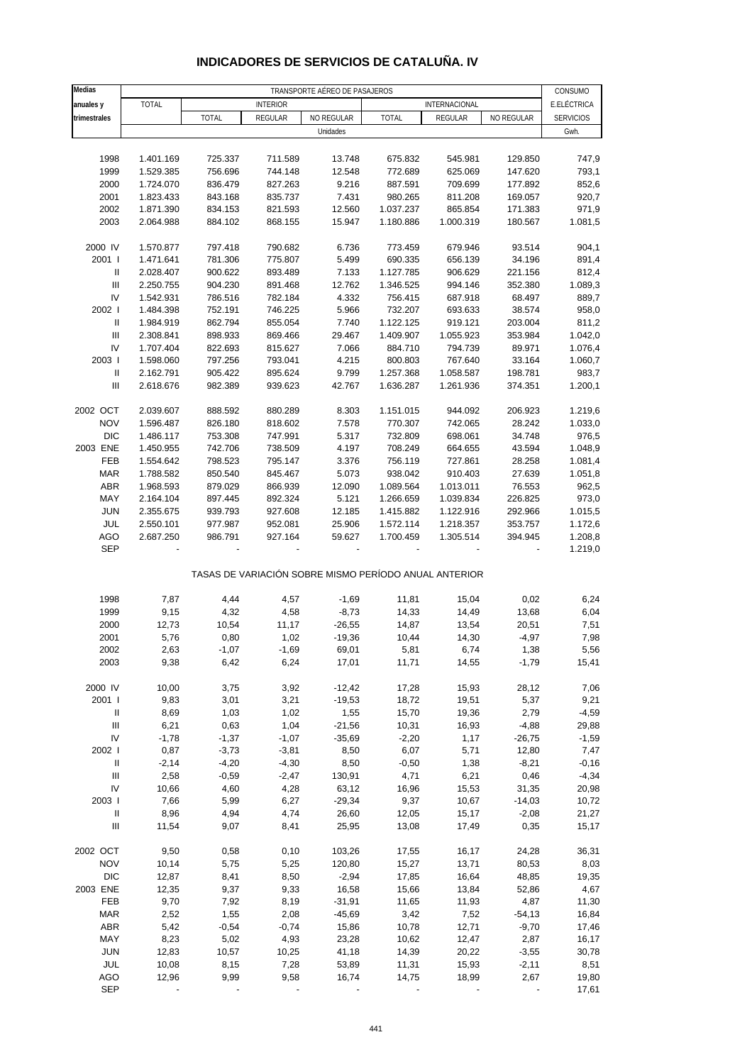| Medias                             | TRANSPORTE AÉREO DE PASAJEROS |                    |                    |                |                                                       |                    |                  | CONSUMO          |
|------------------------------------|-------------------------------|--------------------|--------------------|----------------|-------------------------------------------------------|--------------------|------------------|------------------|
| anuales y                          | <b>TOTAL</b>                  |                    | <b>INTERIOR</b>    |                |                                                       | INTERNACIONAL      |                  | E.ELÉCTRICA      |
| trimestrales                       |                               | TOTAL              | REGULAR            | NO REGULAR     | <b>TOTAL</b>                                          | REGULAR            | NO REGULAR       | <b>SERVICIOS</b> |
|                                    |                               |                    |                    | Unidades       |                                                       |                    |                  | Gwh.             |
|                                    |                               |                    |                    |                |                                                       |                    |                  |                  |
| 1998                               | 1.401.169                     | 725.337            | 711.589            | 13.748         | 675.832                                               | 545.981            | 129.850          | 747,9            |
| 1999                               | 1.529.385                     | 756.696            | 744.148            | 12.548         | 772.689                                               | 625.069            | 147.620          | 793,1            |
| 2000                               | 1.724.070                     | 836.479            | 827.263            | 9.216          | 887.591                                               | 709.699            | 177.892          | 852,6            |
| 2001                               | 1.823.433                     | 843.168            | 835.737            | 7.431          | 980.265                                               | 811.208            | 169.057          | 920,7            |
| 2002                               | 1.871.390                     | 834.153            | 821.593            | 12.560         | 1.037.237                                             | 865.854            | 171.383          | 971,9            |
| 2003                               | 2.064.988                     | 884.102            | 868.155            | 15.947         | 1.180.886                                             | 1.000.319          | 180.567          | 1.081,5          |
| 2000 IV                            | 1.570.877                     | 797.418            | 790.682            | 6.736          | 773.459                                               | 679.946            | 93.514           | 904,1            |
| 2001 l                             | 1.471.641                     | 781.306            | 775.807            | 5.499          | 690.335                                               | 656.139            | 34.196           | 891,4            |
| Ш                                  | 2.028.407                     | 900.622            | 893.489            | 7.133          | 1.127.785                                             | 906.629            | 221.156          | 812,4            |
| Ш                                  | 2.250.755                     | 904.230            | 891.468            | 12.762         | 1.346.525                                             | 994.146            | 352.380          | 1.089,3          |
| IV                                 | 1.542.931                     | 786.516            | 782.184            | 4.332          | 756.415                                               | 687.918            | 68.497           | 889,7            |
| 2002 l                             | 1.484.398                     | 752.191            | 746.225            | 5.966          | 732.207                                               | 693.633            | 38.574           | 958,0            |
| Ш                                  | 1.984.919                     | 862.794            | 855.054            | 7.740          | 1.122.125                                             | 919.121            | 203.004          | 811,2            |
| $\ensuremath{\mathsf{III}}\xspace$ | 2.308.841                     | 898.933            | 869.466            | 29.467         | 1.409.907                                             | 1.055.923          | 353.984          | 1.042,0          |
| IV                                 | 1.707.404                     | 822.693            | 815.627            | 7.066          | 884.710                                               | 794.739            | 89.971           | 1.076,4          |
| 2003                               | 1.598.060                     | 797.256            | 793.041            | 4.215          | 800.803                                               | 767.640            | 33.164           | 1.060,7          |
| $\ensuremath{\mathsf{II}}$         | 2.162.791                     | 905.422            | 895.624            | 9.799          | 1.257.368                                             | 1.058.587          | 198.781          | 983,7            |
| $\ensuremath{\mathsf{III}}\xspace$ | 2.618.676                     | 982.389            | 939.623            | 42.767         | 1.636.287                                             | 1.261.936          | 374.351          | 1.200,1          |
|                                    |                               |                    |                    |                |                                                       |                    |                  |                  |
| 2002 OCT                           | 2.039.607                     | 888.592            | 880.289            | 8.303          | 1.151.015                                             | 944.092            | 206.923          | 1.219,6          |
| <b>NOV</b><br><b>DIC</b>           | 1.596.487                     | 826.180            | 818.602            | 7.578          | 770.307                                               | 742.065<br>698.061 | 28.242<br>34.748 | 1.033,0<br>976,5 |
| 2003 ENE                           | 1.486.117<br>1.450.955        | 753.308<br>742.706 | 747.991<br>738.509 | 5.317<br>4.197 | 732.809<br>708.249                                    | 664.655            | 43.594           | 1.048,9          |
| FEB                                | 1.554.642                     | 798.523            | 795.147            | 3.376          | 756.119                                               | 727.861            | 28.258           | 1.081,4          |
| <b>MAR</b>                         | 1.788.582                     | 850.540            | 845.467            | 5.073          | 938.042                                               | 910.403            | 27.639           | 1.051,8          |
| ABR                                | 1.968.593                     | 879.029            | 866.939            | 12.090         | 1.089.564                                             | 1.013.011          | 76.553           | 962,5            |
| MAY                                | 2.164.104                     | 897.445            | 892.324            | 5.121          | 1.266.659                                             | 1.039.834          | 226.825          | 973,0            |
| <b>JUN</b>                         | 2.355.675                     | 939.793            | 927.608            | 12.185         | 1.415.882                                             | 1.122.916          | 292.966          | 1.015,5          |
| JUL                                | 2.550.101                     | 977.987            | 952.081            | 25.906         | 1.572.114                                             | 1.218.357          | 353.757          | 1.172,6          |
| AGO                                | 2.687.250                     | 986.791            | 927.164            | 59.627         | 1.700.459                                             | 1.305.514          | 394.945          | 1.208,8          |
| <b>SEP</b>                         |                               |                    |                    |                |                                                       |                    |                  | 1.219,0          |
|                                    |                               |                    |                    |                |                                                       |                    |                  |                  |
|                                    |                               |                    |                    |                | TASAS DE VARIACIÓN SOBRE MISMO PERÍODO ANUAL ANTERIOR |                    |                  |                  |
|                                    |                               |                    |                    |                |                                                       |                    |                  |                  |
| 1998                               | 7,87                          | 4,44               | 4,57               | $-1,69$        | 11,81                                                 | 15,04              | 0,02             | 6,24             |
| 1999                               | 9,15                          | 4,32               | 4,58               | $-8,73$        | 14,33                                                 | 14,49              | 13,68            | 6,04             |
| 2000                               | 12,73                         | 10,54              | 11,17              | $-26,55$       | 14,87                                                 | 13,54              | 20,51            | 7,51             |
| 2001                               | 5,76<br>2,63                  | 0,80               | 1,02               | $-19,36$       | 10,44                                                 | 14,30              | $-4,97$          | 7,98             |
| 2002<br>2003                       | 9,38                          | $-1,07$<br>6,42    | $-1,69$<br>6,24    | 69,01<br>17,01 | 5,81<br>11,71                                         | 6,74<br>14,55      | 1,38<br>$-1,79$  | 5,56<br>15,41    |
|                                    |                               |                    |                    |                |                                                       |                    |                  |                  |
| 2000 IV                            | 10,00                         | 3,75               | 3,92               | $-12,42$       | 17,28                                                 | 15,93              | 28,12            | 7,06             |
| 2001 l                             | 9,83                          | 3,01               | 3,21               | $-19,53$       | 18,72                                                 | 19,51              | 5,37             | 9,21             |
| Ш                                  | 8,69                          | 1,03               | 1,02               | 1,55           | 15,70                                                 | 19,36              | 2,79             | $-4,59$          |
| Ш                                  | 6,21                          | 0,63               | 1,04               | $-21,56$       | 10,31                                                 | 16,93              | $-4,88$          | 29,88            |
| IV                                 | $-1,78$                       | $-1,37$            | $-1,07$            | $-35,69$       | $-2,20$                                               | 1,17               | $-26,75$         | $-1,59$          |
| 2002                               | 0,87                          | $-3,73$            | $-3,81$            | 8,50           | 6,07                                                  | 5,71               | 12,80            | 7,47             |
| Ш                                  | $-2,14$                       | $-4,20$            | $-4,30$            | 8,50           | $-0,50$                                               | 1,38               | $-8,21$          | $-0,16$          |
| $\ensuremath{\mathsf{III}}\xspace$ | 2,58                          | $-0,59$            | $-2,47$            | 130,91         | 4,71                                                  | 6,21               | 0,46             | $-4,34$          |
| IV                                 | 10,66                         | 4,60               | 4,28               | 63,12          | 16,96                                                 | 15,53              | 31,35            | 20,98            |
| 2003                               | 7,66                          | 5,99               | 6,27               | $-29,34$       | 9,37                                                  | 10,67              | $-14,03$         | 10,72            |
| Ш                                  | 8,96                          | 4,94               | 4,74               | 26,60          | 12,05                                                 | 15,17              | $-2,08$          | 21,27            |
| $\ensuremath{\mathsf{III}}\xspace$ | 11,54                         | 9,07               | 8,41               | 25,95          | 13,08                                                 | 17,49              | 0,35             | 15,17            |
|                                    |                               |                    |                    |                |                                                       |                    |                  |                  |
| 2002 OCT                           | 9,50                          | 0,58               | 0,10               | 103,26         | 17,55                                                 | 16,17              | 24,28            | 36,31            |
| <b>NOV</b>                         | 10,14                         | 5,75               | 5,25               | 120,80         | 15,27                                                 | 13,71              | 80,53            | 8,03             |
| <b>DIC</b>                         | 12,87                         | 8,41               | 8,50               | $-2,94$        | 17,85                                                 | 16,64              | 48,85            | 19,35            |
| 2003 ENE                           | 12,35                         | 9,37               | 9,33               | 16,58          | 15,66                                                 | 13,84              | 52,86            | 4,67             |
| FEB                                | 9,70                          | 7,92               | 8,19               | $-31,91$       | 11,65                                                 | 11,93              | 4,87             | 11,30            |
| <b>MAR</b>                         | 2,52                          | 1,55               | 2,08               | $-45,69$       | 3,42                                                  | 7,52               | $-54, 13$        | 16,84            |
| <b>ABR</b><br>MAY                  | 5,42                          | $-0,54$            | $-0,74$            | 15,86          | 10,78                                                 | 12,71              | $-9,70$          | 17,46            |
| <b>JUN</b>                         | 8,23<br>12,83                 | 5,02<br>10,57      | 4,93<br>10,25      | 23,28<br>41,18 | 10,62<br>14,39                                        | 12,47<br>20,22     | 2,87<br>$-3,55$  | 16,17<br>30,78   |
| JUL                                | 10,08                         | 8,15               | 7,28               | 53,89          | 11,31                                                 | 15,93              | $-2,11$          | 8,51             |
| <b>AGO</b>                         | 12,96                         | 9,99               | 9,58               | 16,74          | 14,75                                                 | 18,99              | 2,67             | 19,80            |
| <b>SEP</b>                         |                               |                    |                    |                |                                                       |                    |                  | 17,61            |

### **INDICADORES DE SERVICIOS DE CATALUÑA. IV**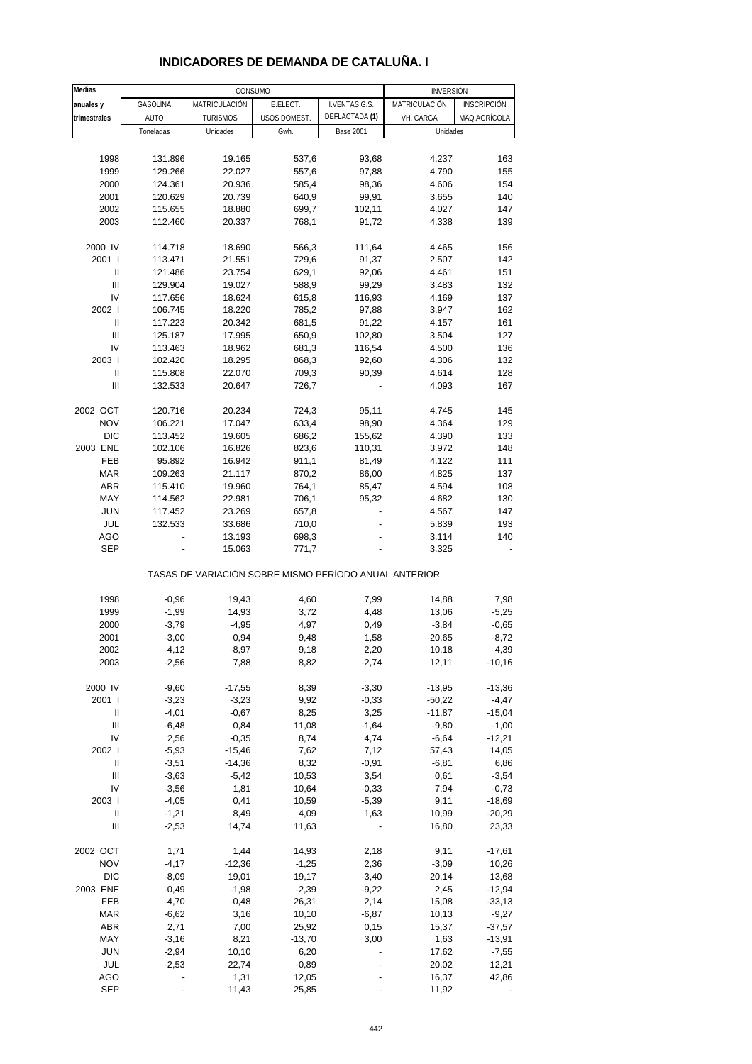| Medias                             |                |                 | CONSUMO      |                                                       | <b>INVERSIÓN</b> |              |
|------------------------------------|----------------|-----------------|--------------|-------------------------------------------------------|------------------|--------------|
| anuales y                          | GASOLINA       | MATRICULACIÓN   | E.ELECT.     | I.VENTAS G.S.                                         | MATRICULACIÓN    | INSCRIPCIÓN  |
| trimestrales                       | <b>AUTO</b>    | <b>TURISMOS</b> | USOS DOMEST. | DEFLACTADA (1)                                        | VH. CARGA        | MAQ.AGRÍCOLA |
|                                    | Toneladas      | Unidades        | Gwh.         | <b>Base 2001</b>                                      | Unidades         |              |
|                                    |                |                 |              |                                                       |                  |              |
| 1998                               | 131.896        | 19.165          | 537,6        | 93,68                                                 | 4.237            | 163          |
| 1999                               | 129.266        | 22.027          | 557,6        | 97,88                                                 | 4.790            | 155          |
| 2000                               | 124.361        | 20.936          | 585,4        | 98,36                                                 | 4.606            | 154          |
| 2001                               | 120.629        | 20.739          | 640,9        | 99,91                                                 | 3.655            | 140          |
| 2002                               | 115.655        | 18.880          | 699,7        | 102,11                                                | 4.027            | 147          |
| 2003                               | 112.460        | 20.337          | 768,1        | 91,72                                                 | 4.338            | 139          |
|                                    |                |                 |              |                                                       |                  |              |
| 2000 IV                            | 114.718        | 18.690          | 566,3        | 111,64                                                | 4.465            | 156          |
| 2001 l                             | 113.471        | 21.551          | 729,6        | 91,37                                                 | 2.507            | 142          |
| $\mathbf{I}$                       | 121.486        | 23.754          | 629,1        | 92,06                                                 | 4.461            | 151          |
| Ш                                  | 129.904        | 19.027          | 588,9        | 99,29                                                 | 3.483            | 132          |
| IV                                 | 117.656        | 18.624          | 615,8        | 116,93                                                | 4.169            | 137          |
| 2002 l                             | 106.745        | 18.220          | 785,2        | 97,88                                                 | 3.947            | 162          |
| Ш                                  | 117.223        | 20.342          | 681,5        | 91,22                                                 | 4.157            | 161          |
| Ш                                  | 125.187        | 17.995          | 650,9        | 102,80                                                | 3.504            | 127          |
| IV                                 | 113.463        | 18.962          | 681,3        | 116,54                                                | 4.500            | 136          |
| 2003                               | 102.420        | 18.295          | 868,3        | 92,60                                                 | 4.306            | 132          |
| $\mathbf{I}$                       | 115.808        | 22.070          | 709,3        | 90,39                                                 | 4.614            | 128          |
| Ш                                  | 132.533        | 20.647          | 726,7        |                                                       | 4.093            | 167          |
|                                    |                |                 |              |                                                       |                  |              |
| 2002 OCT                           | 120.716        | 20.234          | 724,3        | 95,11                                                 | 4.745            | 145          |
| <b>NOV</b>                         | 106.221        | 17.047          | 633,4        | 98,90                                                 | 4.364            | 129          |
| <b>DIC</b>                         | 113.452        | 19.605          | 686,2        | 155,62                                                | 4.390            | 133          |
| 2003 ENE                           | 102.106        | 16.826          | 823,6        | 110,31                                                | 3.972            | 148          |
| <b>FEB</b>                         | 95.892         | 16.942          | 911,1        | 81,49                                                 | 4.122            | 111          |
| <b>MAR</b>                         | 109.263        | 21.117          | 870,2        | 86,00                                                 | 4.825            | 137          |
| <b>ABR</b>                         | 115.410        | 19.960          | 764,1        | 85,47                                                 | 4.594            | 108          |
| MAY                                | 114.562        | 22.981          | 706,1        | 95,32                                                 | 4.682            | 130          |
| <b>JUN</b>                         | 117.452        | 23.269          | 657,8        |                                                       | 4.567            | 147          |
| JUL                                | 132.533        | 33.686          | 710,0        |                                                       | 5.839            | 193          |
| AGO                                | $\overline{a}$ | 13.193          | 698,3        |                                                       | 3.114            | 140          |
| <b>SEP</b>                         |                | 15.063          | 771,7        |                                                       | 3.325            |              |
|                                    |                |                 |              | TASAS DE VARIACIÓN SOBRE MISMO PERÍODO ANUAL ANTERIOR |                  |              |
| 1998                               | $-0,96$        | 19,43           | 4,60         | 7,99                                                  | 14,88            | 7,98         |
| 1999                               | $-1,99$        | 14,93           | 3,72         | 4,48                                                  | 13,06            | $-5,25$      |
| 2000                               | $-3,79$        | $-4,95$         | 4,97         | 0,49                                                  | $-3,84$          | $-0,65$      |
| 2001                               | $-3,00$        | $-0,94$         | 9,48         | 1,58                                                  | $-20,65$         | $-8,72$      |
| 2002                               | $-4, 12$       | $-8,97$         | 9,18         | 2,20                                                  | 10,18            | 4,39         |
| 2003                               | $-2,56$        | 7,88            | 8,82         | $-2,74$                                               | 12,11            | $-10,16$     |
| 2000 IV                            | $-9,60$        | $-17,55$        | 8,39         | $-3,30$                                               | $-13,95$         | $-13,36$     |
| 2001 l                             | $-3,23$        | $-3,23$         | 9,92         | $-0,33$                                               | $-50,22$         | $-4,47$      |
| Ш                                  | $-4,01$        | $-0,67$         | 8,25         | 3,25                                                  | $-11,87$         | $-15,04$     |
| $\ensuremath{\mathsf{III}}\xspace$ | $-6,48$        | 0,84            | 11,08        | $-1,64$                                               | $-9,80$          | $-1,00$      |
| IV                                 | 2,56           | $-0,35$         | 8,74         | 4,74                                                  | $-6,64$          | $-12,21$     |
| 2002 l                             | $-5,93$        | $-15,46$        | 7,62         | 7,12                                                  | 57,43            | 14,05        |
| Ш                                  | $-3,51$        | $-14,36$        | 8,32         | $-0,91$                                               | $-6, 81$         | 6,86         |
| Ш                                  | $-3,63$        | $-5,42$         | 10,53        | 3,54                                                  | 0,61             | $-3,54$      |
| IV                                 | $-3,56$        | 1,81            | 10,64        | $-0,33$                                               | 7,94             | $-0,73$      |
| 2003                               | $-4,05$        | 0,41            | 10,59        | $-5,39$                                               | 9,11             | $-18,69$     |
| $\mathop{  }$                      | $-1,21$        | 8,49            | 4,09         | 1,63                                                  | 10,99            | $-20,29$     |
| Ш                                  | $-2,53$        | 14,74           | 11,63        |                                                       | 16,80            | 23,33        |
|                                    |                |                 |              |                                                       |                  |              |
| 2002 OCT                           | 1,71           | 1,44            | 14,93        | 2,18                                                  | 9,11             | $-17,61$     |
| <b>NOV</b>                         | $-4,17$        | $-12,36$        | $-1,25$      | 2,36                                                  | $-3,09$          | 10,26        |
| DIC                                | $-8,09$        | 19,01           | 19,17        | $-3,40$                                               | 20,14            | 13,68        |
| 2003 ENE                           | $-0,49$        | $-1,98$         | $-2,39$      | $-9,22$                                               | 2,45             | $-12,94$     |
| FEB                                | $-4,70$        | $-0,48$         | 26,31        | 2,14                                                  | 15,08            | $-33,13$     |
| MAR                                | $-6,62$        | 3,16            | 10,10        | $-6,87$                                               | 10,13            | $-9,27$      |
| ABR                                | 2,71           | 7,00            | 25,92        | 0,15                                                  | 15,37            | $-37,57$     |
| MAY                                | $-3,16$        | 8,21            | $-13,70$     | 3,00                                                  | 1,63             | $-13,91$     |
| <b>JUN</b>                         | $-2,94$        | 10,10           | 6,20         |                                                       | 17,62            | $-7,55$      |
| JUL                                | $-2,53$        | 22,74           | $-0,89$      |                                                       | 20,02            | 12,21        |
| AGO                                |                | 1,31            | 12,05        |                                                       | 16,37            | 42,86        |

## **INDICADORES DE DEMANDA DE CATALUÑA. I**

SEP - 11,43 25,85 - 11,92 -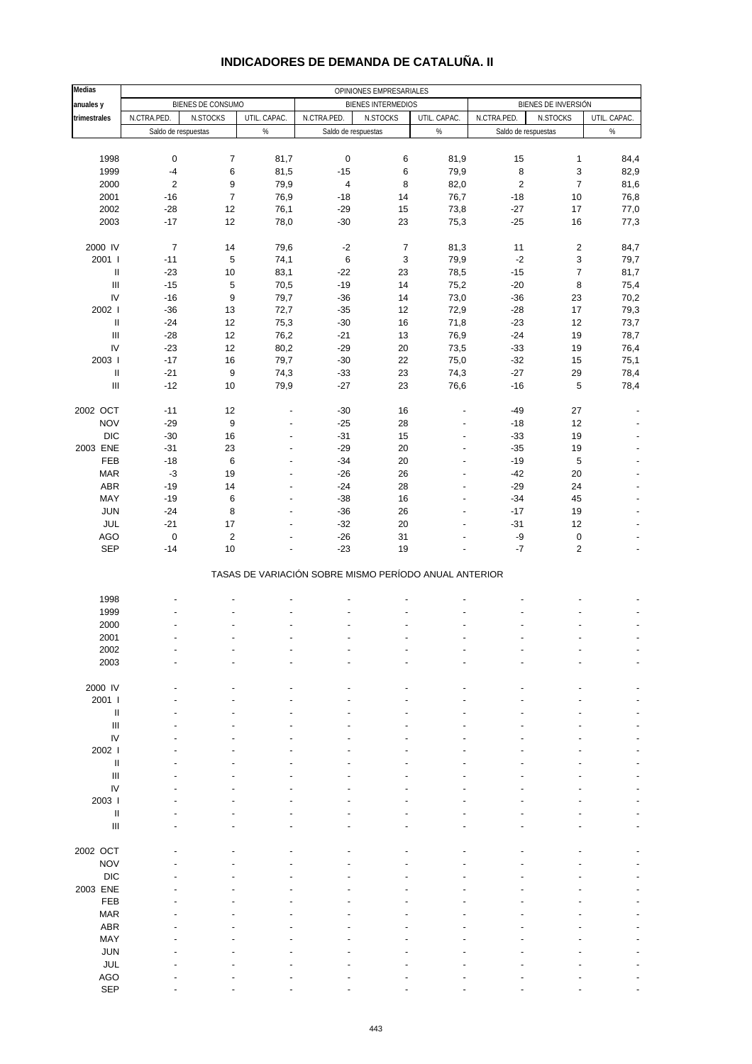| <b>Medias</b>                      | OPINIONES EMPRESARIALES |                   |                                  |                                                       |                           |                                  |                     |                                         |                          |
|------------------------------------|-------------------------|-------------------|----------------------------------|-------------------------------------------------------|---------------------------|----------------------------------|---------------------|-----------------------------------------|--------------------------|
| anuales y                          |                         | BIENES DE CONSUMO |                                  |                                                       | <b>BIENES INTERMEDIOS</b> |                                  |                     | BIENES DE INVERSIÓN                     |                          |
| trimestrales                       | N.CTRA.PED.             | N.STOCKS          | UTIL. CAPAC.                     | N.CTRA.PED.                                           | N.STOCKS                  | UTIL. CAPAC.                     | N.CTRA.PED.         | N.STOCKS                                | UTIL. CAPAC.             |
|                                    | Saldo de respuestas     |                   | %                                | Saldo de respuestas                                   |                           | $\%$                             | Saldo de respuestas |                                         | $\%$                     |
|                                    |                         |                   |                                  |                                                       |                           |                                  |                     |                                         |                          |
| 1998                               | $\pmb{0}$               | $\boldsymbol{7}$  | 81,7                             | $\pmb{0}$                                             | 6                         | 81,9                             | 15                  | $\mathbf{1}$                            | 84,4                     |
| 1999                               | $-4$                    | 6                 | 81,5                             | $-15$                                                 | 6                         | 79,9                             | 8                   | 3                                       | 82,9                     |
| 2000                               | $\sqrt{2}$              | 9                 | 79,9                             | $\sqrt{4}$                                            | 8                         | 82,0                             | $\sqrt{2}$          | $\boldsymbol{7}$                        | 81,6                     |
| 2001                               | $-16$                   | $\boldsymbol{7}$  | 76,9                             | $-18$                                                 | 14                        | 76,7                             | $-18$               | 10                                      | 76,8                     |
| 2002                               | $-28$                   | 12                | 76,1                             | $-29$                                                 | 15                        | 73,8                             | $-27$               | 17                                      | 77,0                     |
| 2003                               | $-17$                   | 12                | 78,0                             | $-30$                                                 | 23                        | 75,3                             | $-25$               | 16                                      | 77,3                     |
|                                    |                         |                   |                                  |                                                       |                           |                                  |                     |                                         |                          |
| 2000 IV<br>2001 l                  | $\overline{7}$<br>$-11$ | 14<br>5           | 79,6<br>74,1                     | $-2$<br>$\,6\,$                                       | $\overline{7}$<br>3       | 81,3<br>79,9                     | 11<br>$-2$          | $\sqrt{2}$<br>$\ensuremath{\mathsf{3}}$ | 84,7<br>79,7             |
| $\rm H$                            | $-23$                   | 10                | 83,1                             | $-22$                                                 | 23                        | 78,5                             | $-15$               | $\boldsymbol{7}$                        | 81,7                     |
| $\ensuremath{\mathsf{III}}\xspace$ | $-15$                   | 5                 | 70,5                             | $-19$                                                 | 14                        | 75,2                             | $-20$               | $\, 8$                                  | 75,4                     |
| IV                                 | $-16$                   | 9                 | 79,7                             | $-36$                                                 | 14                        | 73,0                             | $-36$               | 23                                      | 70,2                     |
| 2002                               | $-36$                   | 13                | 72,7                             | $-35$                                                 | 12                        | 72,9                             | $-28$               | 17                                      | 79,3                     |
| $\ensuremath{\mathsf{II}}$         | $-24$                   | 12                | 75,3                             | $-30$                                                 | 16                        | 71,8                             | $-23$               | 12                                      | 73,7                     |
| $\mathbf{III}$                     | $-28$                   | 12                | 76,2                             | $-21$                                                 | 13                        | 76,9                             | $-24$               | 19                                      | 78,7                     |
| IV                                 | $-23$                   | 12                | 80,2                             | $-29$                                                 | 20                        | 73,5                             | $-33$               | 19                                      | 76,4                     |
| 2003 l                             | $-17$                   | 16                | 79,7                             | $-30$                                                 | 22                        | 75,0                             | $-32$               | 15                                      | 75,1                     |
| Ш                                  | $-21$                   | $\boldsymbol{9}$  | 74,3                             | $-33$                                                 | 23                        | 74,3                             | $-27$               | 29                                      | 78,4                     |
| $\ensuremath{\mathsf{III}}\xspace$ | $-12$                   | 10                | 79,9                             | $-27$                                                 | 23                        | 76,6                             | $-16$               | $\overline{5}$                          | 78,4                     |
|                                    |                         |                   |                                  |                                                       |                           |                                  |                     |                                         |                          |
| 2002 OCT                           | $-11$                   | 12                | ٠                                | $-30$                                                 | 16                        |                                  | $-49$               | 27                                      |                          |
| <b>NOV</b>                         | $-29$                   | 9                 | $\overline{a}$                   | $-25$                                                 | 28                        | $\overline{a}$                   | $-18$               | 12                                      |                          |
| <b>DIC</b>                         | $-30$                   | 16                | ٠                                | $-31$                                                 | 15                        | $\overline{a}$                   | $-33$               | 19                                      |                          |
| 2003 ENE                           | $-31$                   | 23                | $\overline{\phantom{a}}$         | $-29$                                                 | 20                        | $\overline{a}$                   | $-35$               | 19                                      | $\overline{a}$           |
| FEB                                | $-18$                   | 6                 | $\overline{a}$                   | $-34$                                                 | 20                        | $\overline{a}$                   | $-19$               | $\overline{5}$                          |                          |
| <b>MAR</b><br>ABR                  | $-3$<br>$-19$           | 19<br>14          | $\overline{a}$<br>$\overline{a}$ | $-26$<br>$-24$                                        | 26<br>28                  | $\overline{a}$<br>$\overline{a}$ | $-42$<br>$-29$      | 20<br>24                                |                          |
| MAY                                | $-19$                   | 6                 | $\overline{a}$                   | $-38$                                                 | 16                        | $\overline{a}$                   | $-34$               | 45                                      | $\overline{\phantom{a}}$ |
| <b>JUN</b>                         | $-24$                   | 8                 | $\overline{a}$                   | $-36$                                                 | 26                        | ÷,                               | $-17$               | 19                                      |                          |
| JUL                                | $-21$                   | 17                | $\overline{a}$                   | $-32$                                                 | 20                        |                                  | $-31$               | 12                                      |                          |
| <b>AGO</b>                         | $\mathbf 0$             | $\mathbf 2$       |                                  | $-26$                                                 | 31                        |                                  | -9                  | $\pmb{0}$                               |                          |
| <b>SEP</b>                         | $-14$                   | 10                |                                  | $-23$                                                 | 19                        |                                  | $-7$                | $\sqrt{2}$                              | $\overline{a}$           |
|                                    |                         |                   |                                  |                                                       |                           |                                  |                     |                                         |                          |
|                                    |                         |                   |                                  | TASAS DE VARIACIÓN SOBRE MISMO PERÍODO ANUAL ANTERIOR |                           |                                  |                     |                                         |                          |
|                                    |                         |                   |                                  |                                                       |                           |                                  |                     |                                         |                          |
| 1998                               |                         |                   |                                  |                                                       |                           |                                  |                     |                                         |                          |
| 1999                               |                         |                   |                                  |                                                       |                           |                                  |                     |                                         |                          |
| 2000                               |                         |                   |                                  |                                                       |                           |                                  |                     |                                         |                          |
| 2001                               |                         |                   |                                  |                                                       |                           |                                  |                     |                                         | ÷,                       |
| 2002<br>2003                       |                         |                   |                                  |                                                       |                           |                                  |                     |                                         |                          |
|                                    |                         |                   |                                  |                                                       |                           |                                  |                     |                                         |                          |
| 2000 IV                            |                         |                   |                                  |                                                       |                           |                                  |                     |                                         |                          |
| 2001 l                             |                         |                   |                                  |                                                       |                           |                                  |                     |                                         |                          |
| Ш                                  |                         |                   |                                  |                                                       |                           |                                  |                     |                                         |                          |
| III                                |                         |                   |                                  |                                                       |                           |                                  |                     |                                         |                          |
| IV                                 |                         |                   |                                  |                                                       |                           |                                  |                     |                                         |                          |
| 2002                               |                         |                   |                                  |                                                       |                           |                                  |                     |                                         |                          |
| Ш                                  |                         |                   |                                  |                                                       |                           |                                  |                     |                                         |                          |
| $\ensuremath{\mathsf{III}}\xspace$ |                         |                   |                                  |                                                       |                           |                                  |                     |                                         |                          |
| IV                                 |                         |                   |                                  |                                                       |                           |                                  |                     |                                         |                          |
| 2003                               |                         |                   |                                  |                                                       |                           |                                  |                     |                                         |                          |
| $\ensuremath{\mathsf{II}}$         |                         |                   |                                  |                                                       |                           |                                  |                     |                                         |                          |
| $\ensuremath{\mathsf{III}}\xspace$ |                         |                   |                                  |                                                       |                           |                                  |                     |                                         |                          |
| 2002 OCT                           |                         |                   |                                  |                                                       |                           |                                  |                     |                                         |                          |
| <b>NOV</b>                         |                         |                   |                                  |                                                       |                           |                                  |                     |                                         |                          |
| <b>DIC</b>                         |                         |                   |                                  |                                                       |                           |                                  |                     |                                         |                          |
| 2003 ENE                           |                         |                   |                                  |                                                       |                           |                                  |                     |                                         |                          |
| FEB                                |                         |                   |                                  |                                                       |                           |                                  |                     |                                         |                          |
| <b>MAR</b>                         |                         |                   |                                  |                                                       |                           |                                  |                     |                                         |                          |
| ABR                                |                         |                   |                                  |                                                       |                           |                                  |                     |                                         |                          |
| MAY                                |                         |                   |                                  |                                                       |                           |                                  |                     |                                         |                          |
| <b>JUN</b>                         |                         |                   |                                  |                                                       |                           |                                  |                     |                                         |                          |
| JUL                                |                         |                   |                                  |                                                       |                           |                                  |                     |                                         |                          |
| <b>AGO</b>                         |                         |                   |                                  |                                                       |                           |                                  |                     |                                         |                          |

### **INDICADORES DE DEMANDA DE CATALUÑA. II**

SEP - - - - - - - - -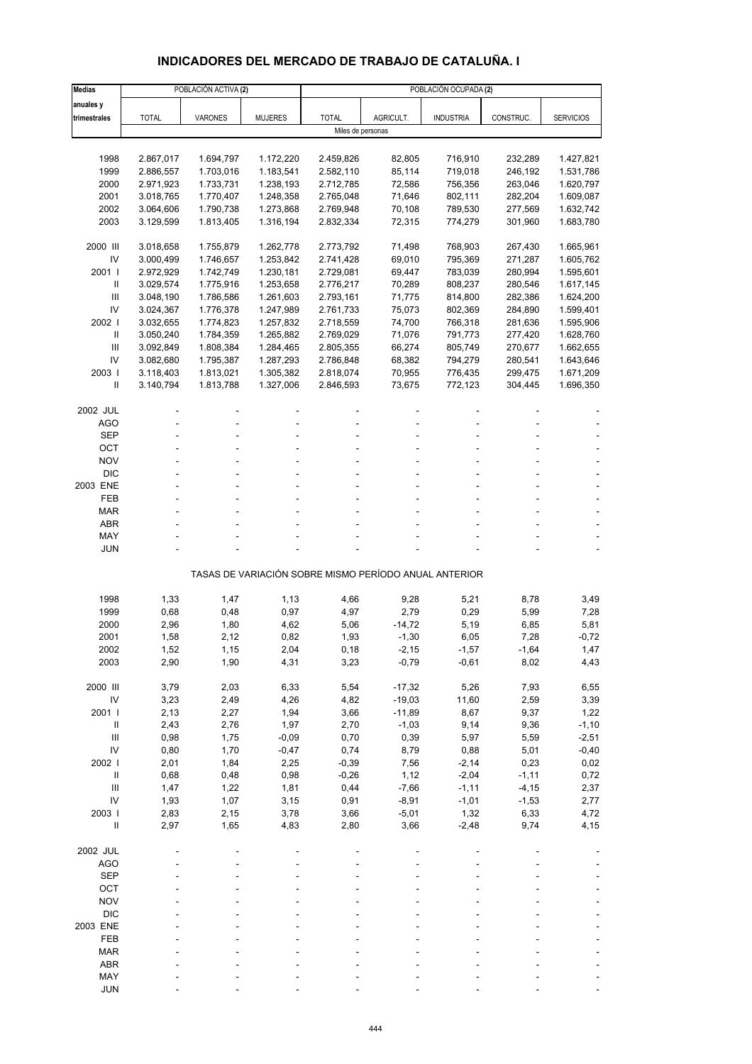# **INDICADORES DEL MERCADO DE TRABAJO DE CATALUÑA. I**

| <b>Medias</b>                            |                        | POBLACIÓN ACTIVA (2)   |                        |                        | POBLACIÓN OCUPADA (2)                                 |                    |                    |                        |  |  |  |
|------------------------------------------|------------------------|------------------------|------------------------|------------------------|-------------------------------------------------------|--------------------|--------------------|------------------------|--|--|--|
| anuales y                                |                        |                        |                        |                        |                                                       |                    |                    |                        |  |  |  |
| trimestrales                             | <b>TOTAL</b>           | <b>VARONES</b>         | <b>MUJERES</b>         | <b>TOTAL</b>           | AGRICULT.                                             | <b>INDUSTRIA</b>   | CONSTRUC.          | <b>SERVICIOS</b>       |  |  |  |
|                                          |                        |                        |                        | Miles de personas      |                                                       |                    |                    |                        |  |  |  |
|                                          |                        |                        |                        |                        |                                                       |                    |                    |                        |  |  |  |
| 1998                                     | 2.867,017              | 1.694,797              | 1.172,220              | 2.459,826              | 82,805                                                | 716,910            | 232,289            | 1.427,821              |  |  |  |
| 1999                                     | 2.886,557              | 1.703,016              | 1.183,541              | 2.582,110              | 85,114                                                | 719,018            | 246,192            | 1.531,786              |  |  |  |
| 2000<br>2001                             | 2.971,923<br>3.018,765 | 1.733,731<br>1.770,407 | 1.238,193<br>1.248,358 | 2.712,785<br>2.765,048 | 72,586<br>71,646                                      | 756,356<br>802,111 | 263,046<br>282,204 | 1.620,797<br>1.609,087 |  |  |  |
| 2002                                     | 3.064,606              | 1.790,738              | 1.273,868              | 2.769,948              | 70,108                                                | 789,530            | 277,569            | 1.632,742              |  |  |  |
| 2003                                     | 3.129,599              | 1.813,405              | 1.316,194              | 2.832,334              | 72,315                                                | 774,279            | 301,960            | 1.683,780              |  |  |  |
|                                          |                        |                        |                        |                        |                                                       |                    |                    |                        |  |  |  |
| 2000 III                                 | 3.018,658              | 1.755,879              | 1.262,778              | 2.773,792              | 71,498                                                | 768,903            | 267,430            | 1.665,961              |  |  |  |
| IV                                       | 3.000,499              | 1.746,657              | 1.253,842              | 2.741,428              | 69,010                                                | 795,369            | 271,287            | 1.605,762              |  |  |  |
| 2001 l                                   | 2.972,929              | 1.742,749              | 1.230,181              | 2.729,081              | 69,447                                                | 783,039            | 280,994            | 1.595,601              |  |  |  |
| Ш                                        | 3.029,574              | 1.775,916              | 1.253,658              | 2.776,217              | 70,289                                                | 808,237            | 280,546            | 1.617,145              |  |  |  |
| Ш                                        | 3.048,190              | 1.786,586              | 1.261,603              | 2.793,161              | 71,775                                                | 814,800            | 282,386            | 1.624,200              |  |  |  |
| IV                                       | 3.024,367              | 1.776,378              | 1.247,989              | 2.761,733              | 75,073                                                | 802,369            | 284,890            | 1.599,401              |  |  |  |
| 2002  <br>Ш                              | 3.032,655<br>3.050,240 | 1.774,823<br>1.784,359 | 1.257,832<br>1.265,882 | 2.718,559<br>2.769,029 | 74,700<br>71,076                                      | 766,318<br>791,773 | 281,636<br>277,420 | 1.595,906<br>1.628,760 |  |  |  |
| Ш                                        | 3.092,849              | 1.808,384              | 1.284,465              | 2.805,355              | 66,274                                                | 805,749            | 270,677            | 1.662,655              |  |  |  |
| IV                                       | 3.082,680              | 1.795,387              | 1.287,293              | 2.786,848              | 68,382                                                | 794,279            | 280,541            | 1.643,646              |  |  |  |
| 2003                                     | 3.118,403              | 1.813,021              | 1.305,382              | 2.818,074              | 70,955                                                | 776,435            | 299,475            | 1.671,209              |  |  |  |
| Ш                                        | 3.140,794              | 1.813,788              | 1.327,006              | 2.846,593              | 73,675                                                | 772,123            | 304,445            | 1.696,350              |  |  |  |
|                                          |                        |                        |                        |                        |                                                       |                    |                    |                        |  |  |  |
| 2002 JUL                                 |                        |                        |                        |                        |                                                       |                    |                    |                        |  |  |  |
| <b>AGO</b>                               |                        |                        |                        |                        |                                                       |                    |                    |                        |  |  |  |
| <b>SEP</b>                               |                        |                        |                        |                        |                                                       |                    |                    |                        |  |  |  |
| OCT                                      |                        |                        |                        |                        |                                                       |                    |                    |                        |  |  |  |
| <b>NOV</b><br><b>DIC</b>                 |                        |                        |                        |                        |                                                       |                    |                    |                        |  |  |  |
| 2003 ENE                                 |                        |                        |                        |                        |                                                       |                    |                    |                        |  |  |  |
| FEB                                      |                        |                        |                        |                        |                                                       |                    |                    |                        |  |  |  |
| <b>MAR</b>                               |                        |                        |                        |                        |                                                       |                    |                    |                        |  |  |  |
| ABR                                      |                        |                        |                        |                        |                                                       |                    |                    |                        |  |  |  |
| MAY                                      |                        |                        |                        |                        |                                                       |                    |                    |                        |  |  |  |
| <b>JUN</b>                               |                        |                        |                        |                        |                                                       |                    |                    |                        |  |  |  |
|                                          |                        |                        |                        |                        | TASAS DE VARIACIÓN SOBRE MISMO PERÍODO ANUAL ANTERIOR |                    |                    |                        |  |  |  |
|                                          |                        |                        |                        |                        |                                                       |                    |                    |                        |  |  |  |
| 1998                                     | 1,33                   | 1,47                   | 1,13                   | 4,66                   | 9,28<br>2,79                                          | 5,21               | 8,78               | 3,49                   |  |  |  |
| 1999<br>2000                             | 0,68<br>2,96           | 0,48<br>1,80           | 0,97<br>4,62           | 4,97<br>5,06           | $-14,72$                                              | 0,29<br>5,19       | 5,99<br>6,85       | 7,28<br>5,81           |  |  |  |
| 2001                                     | 1,58                   | 2,12                   | 0,82                   | 1,93                   | $-1,30$                                               | 6,05               | 7,28               | $-0,72$                |  |  |  |
| 2002                                     | 1,52                   | 1,15                   | 2,04                   | 0, 18                  | $-2,15$                                               | $-1,57$            | $-1,64$            | 1,47                   |  |  |  |
| 2003                                     | 2,90                   | 1,90                   | 4,31                   | 3,23                   | $-0,79$                                               | $-0,61$            | 8,02               | 4,43                   |  |  |  |
|                                          |                        |                        |                        |                        |                                                       |                    |                    |                        |  |  |  |
| 2000 III                                 | 3,79                   | 2,03                   | 6,33                   | 5,54                   | $-17,32$                                              | 5,26               | 7,93               | 6,55                   |  |  |  |
| IV                                       | 3,23                   | 2,49                   | 4,26                   | 4,82                   | $-19,03$                                              | 11,60              | 2,59               | 3,39                   |  |  |  |
| 2001 l                                   | 2,13                   | 2,27                   | 1,94                   | 3,66                   | $-11,89$                                              | 8,67               | 9,37               | 1,22                   |  |  |  |
| $\, \parallel$                           | 2,43                   | 2,76                   | 1,97                   | 2,70                   | $-1,03$                                               | 9,14               | 9,36               | $-1,10$                |  |  |  |
| $\ensuremath{\mathsf{III}}\xspace$<br>IV | 0,98                   | 1,75<br>1,70           | $-0,09$                | 0,70<br>0,74           | 0,39<br>8,79                                          | 5,97               | 5,59<br>5,01       | $-2,51$                |  |  |  |
| 2002                                     | 0,80<br>2,01           | 1,84                   | $-0,47$<br>2,25        | $-0,39$                | 7,56                                                  | 0,88<br>$-2,14$    | 0,23               | $-0,40$<br>0,02        |  |  |  |
| $\, \parallel$                           | 0,68                   | 0,48                   | 0,98                   | $-0,26$                | 1,12                                                  | $-2,04$            | $-1,11$            | 0,72                   |  |  |  |
| Ш                                        | 1,47                   | 1,22                   | 1,81                   | 0,44                   | $-7,66$                                               | $-1,11$            | $-4, 15$           | 2,37                   |  |  |  |
| IV                                       | 1,93                   | 1,07                   | 3,15                   | 0,91                   | $-8,91$                                               | $-1,01$            | $-1,53$            | 2,77                   |  |  |  |
| 2003 l                                   | 2,83                   | 2,15                   | 3,78                   | 3,66                   | $-5,01$                                               | 1,32               | 6,33               | 4,72                   |  |  |  |
| $\ensuremath{\mathsf{II}}$               | 2,97                   | 1,65                   | 4,83                   | 2,80                   | 3,66                                                  | $-2,48$            | 9,74               | 4,15                   |  |  |  |
| 2002 JUL                                 |                        |                        |                        |                        |                                                       |                    |                    |                        |  |  |  |
| <b>AGO</b>                               |                        |                        |                        |                        |                                                       |                    |                    |                        |  |  |  |
| <b>SEP</b>                               |                        |                        |                        |                        |                                                       |                    |                    |                        |  |  |  |
| OCT                                      |                        |                        |                        |                        |                                                       |                    |                    |                        |  |  |  |
| <b>NOV</b>                               |                        |                        |                        |                        |                                                       |                    |                    |                        |  |  |  |
| <b>DIC</b>                               |                        |                        |                        |                        |                                                       |                    |                    |                        |  |  |  |
| 2003 ENE                                 |                        |                        |                        |                        |                                                       |                    |                    |                        |  |  |  |
| FEB<br><b>MAR</b>                        |                        |                        |                        |                        |                                                       |                    |                    |                        |  |  |  |
| ABR                                      |                        |                        |                        |                        |                                                       |                    |                    |                        |  |  |  |
| MAY                                      |                        |                        |                        |                        |                                                       |                    |                    |                        |  |  |  |
| <b>JUN</b>                               |                        |                        |                        |                        |                                                       |                    |                    |                        |  |  |  |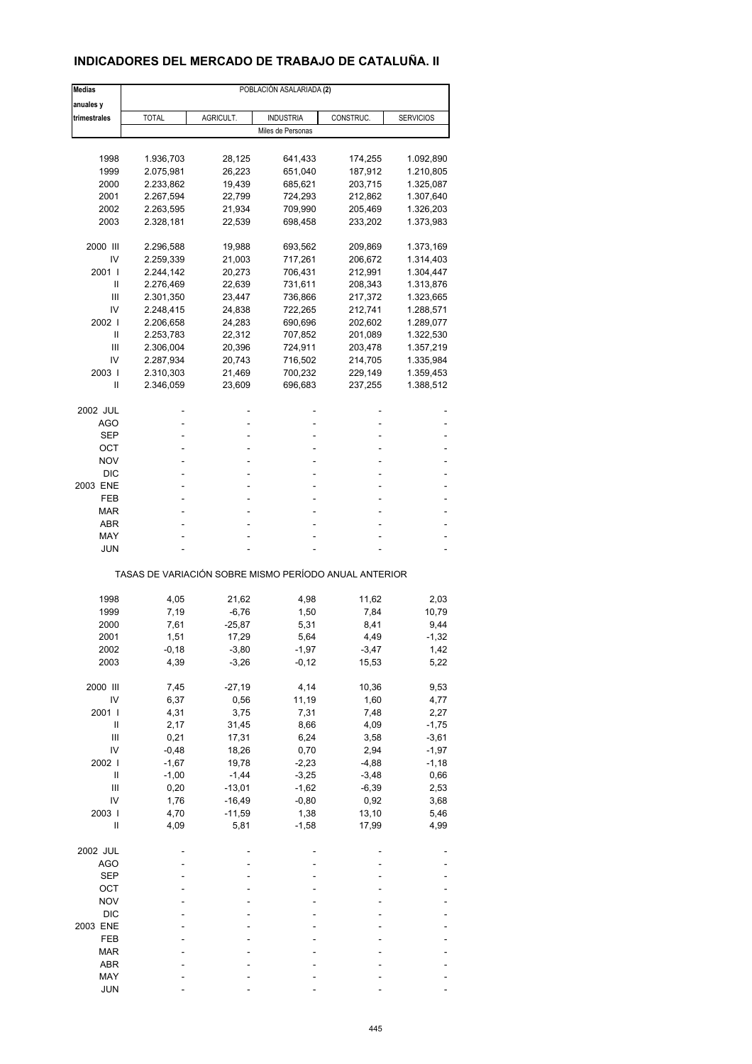## **INDICADORES DEL MERCADO DE TRABAJO DE CATALUÑA. II**

| <b>Medias</b> | POBLACIÓN ASALARIADA (2)                              |           |                   |           |                  |  |  |  |
|---------------|-------------------------------------------------------|-----------|-------------------|-----------|------------------|--|--|--|
| anuales y     |                                                       |           |                   |           |                  |  |  |  |
| trimestrales  | <b>TOTAL</b>                                          | AGRICULT. | <b>INDUSTRIA</b>  | CONSTRUC. | <b>SERVICIOS</b> |  |  |  |
|               |                                                       |           | Miles de Personas |           |                  |  |  |  |
|               |                                                       |           |                   |           |                  |  |  |  |
| 1998          | 1.936,703                                             | 28,125    | 641,433           | 174,255   | 1.092,890        |  |  |  |
| 1999          | 2.075,981                                             | 26,223    | 651,040           | 187,912   | 1.210,805        |  |  |  |
| 2000          | 2.233,862                                             | 19,439    | 685,621           | 203,715   | 1.325,087        |  |  |  |
| 2001          | 2.267,594                                             | 22,799    | 724,293           | 212,862   | 1.307,640        |  |  |  |
| 2002          | 2.263,595                                             | 21,934    | 709,990           | 205,469   | 1.326,203        |  |  |  |
| 2003          | 2.328,181                                             | 22,539    | 698,458           | 233,202   | 1.373,983        |  |  |  |
|               |                                                       |           |                   |           |                  |  |  |  |
| 2000 III      | 2.296,588                                             | 19,988    | 693,562           | 209,869   | 1.373,169        |  |  |  |
| IV            | 2.259,339                                             | 21,003    | 717,261           | 206,672   | 1.314,403        |  |  |  |
| 2001 l        | 2.244,142                                             | 20,273    | 706,431           | 212,991   | 1.304,447        |  |  |  |
| Ш             | 2.276,469                                             | 22,639    | 731,611           | 208,343   | 1.313,876        |  |  |  |
| Ш             | 2.301,350                                             | 23,447    | 736,866           | 217,372   | 1.323,665        |  |  |  |
| IV            | 2.248,415                                             | 24,838    | 722,265           | 212,741   | 1.288,571        |  |  |  |
| 2002          | 2.206,658                                             | 24,283    | 690,696           | 202,602   | 1.289,077        |  |  |  |
| Ш             | 2.253,783                                             | 22,312    | 707,852           | 201,089   | 1.322,530        |  |  |  |
| Ш             | 2.306,004                                             | 20,396    | 724,911           | 203,478   | 1.357,219        |  |  |  |
| IV            | 2.287,934                                             | 20,743    | 716,502           | 214,705   | 1.335,984        |  |  |  |
| 2003          | 2.310,303                                             | 21,469    | 700,232           | 229,149   | 1.359,453        |  |  |  |
|               |                                                       |           |                   |           |                  |  |  |  |
| Ш             | 2.346,059                                             | 23,609    | 696,683           | 237,255   | 1.388,512        |  |  |  |
| 2002 JUL      |                                                       |           |                   |           |                  |  |  |  |
| AGO           |                                                       |           | ÷                 |           |                  |  |  |  |
| SEP           |                                                       |           | ä,                |           |                  |  |  |  |
| ОСТ           |                                                       |           |                   |           |                  |  |  |  |
| <b>NOV</b>    |                                                       |           |                   |           |                  |  |  |  |
| <b>DIC</b>    |                                                       |           |                   |           |                  |  |  |  |
| 2003 ENE      |                                                       |           | ÷                 |           |                  |  |  |  |
|               |                                                       |           |                   |           |                  |  |  |  |
| FEB           |                                                       |           | ä,                |           |                  |  |  |  |
| MAR           |                                                       |           |                   |           |                  |  |  |  |
| <b>ABR</b>    |                                                       |           |                   |           |                  |  |  |  |
| MAY           |                                                       |           |                   |           |                  |  |  |  |
| JUN           |                                                       |           |                   |           |                  |  |  |  |
|               | TASAS DE VARIACIÓN SOBRE MISMO PERÍODO ANUAL ANTERIOR |           |                   |           |                  |  |  |  |
| 1998          | 4,05                                                  | 21,62     | 4,98              | 11,62     | 2,03             |  |  |  |
| 1999          | 7,19                                                  | $-6,76$   | 1,50              | 7,84      | 10,79            |  |  |  |
|               |                                                       |           |                   |           |                  |  |  |  |
| 2000          | 7,61                                                  | $-25,87$  | 5,31              | 8,41      | 9,44             |  |  |  |
| 2001          | 1,51                                                  | 17,29     | 5,64              | 4,49      | $-1,32$          |  |  |  |
| 2002          | -0,18                                                 | -3,80     | -1,97             | -3,47     | 1,42             |  |  |  |
| 2003          | 4,39                                                  | $-3,26$   | $-0,12$           | 15,53     | 5,22             |  |  |  |
| 2000 III      | 7,45                                                  | $-27,19$  | 4,14              | 10,36     | 9,53             |  |  |  |
| IV            | 6,37                                                  | 0,56      | 11,19             | 1,60      | 4,77             |  |  |  |
| 2001          | 4,31                                                  | 3,75      | 7,31              | 7,48      | 2,27             |  |  |  |
|               |                                                       |           |                   |           |                  |  |  |  |
| Ш             | 2,17                                                  | 31,45     | 8,66              | 4,09      | $-1,75$          |  |  |  |
| Ш             | 0,21                                                  | 17,31     | 6,24              | 3,58      | $-3,61$          |  |  |  |
| IV            | $-0,48$                                               | 18,26     | 0,70              | 2,94      | $-1,97$          |  |  |  |
| 2002 l        | $-1,67$                                               | 19,78     | $-2,23$           | $-4,88$   | $-1,18$          |  |  |  |
| Ш             | $-1,00$                                               | $-1,44$   | $-3,25$           | $-3,48$   | 0,66             |  |  |  |
| Ш             | 0,20                                                  | $-13,01$  | $-1,62$           | $-6,39$   | 2,53             |  |  |  |
| IV            | 1,76                                                  | $-16,49$  | $-0,80$           | 0,92      | 3,68             |  |  |  |
| 2003          | 4,70                                                  | $-11,59$  | 1,38              | 13,10     | 5,46             |  |  |  |
| Ш             | 4,09                                                  | 5,81      | $-1,58$           | 17,99     | 4,99             |  |  |  |
| 2002 JUL      |                                                       |           |                   |           |                  |  |  |  |
|               |                                                       |           |                   |           |                  |  |  |  |
| <b>AGO</b>    |                                                       |           |                   |           |                  |  |  |  |
| <b>SEP</b>    |                                                       |           |                   |           |                  |  |  |  |
| OCT           |                                                       |           |                   |           |                  |  |  |  |
| <b>NOV</b>    |                                                       |           |                   |           |                  |  |  |  |
| <b>DIC</b>    |                                                       |           |                   |           |                  |  |  |  |
| 2003 ENE      |                                                       |           |                   |           |                  |  |  |  |
| FEB           |                                                       |           |                   |           |                  |  |  |  |
| <b>MAR</b>    |                                                       |           |                   |           |                  |  |  |  |
| ABR           |                                                       |           |                   |           |                  |  |  |  |
| MAY           |                                                       |           |                   |           |                  |  |  |  |
| <b>JUN</b>    |                                                       |           |                   |           |                  |  |  |  |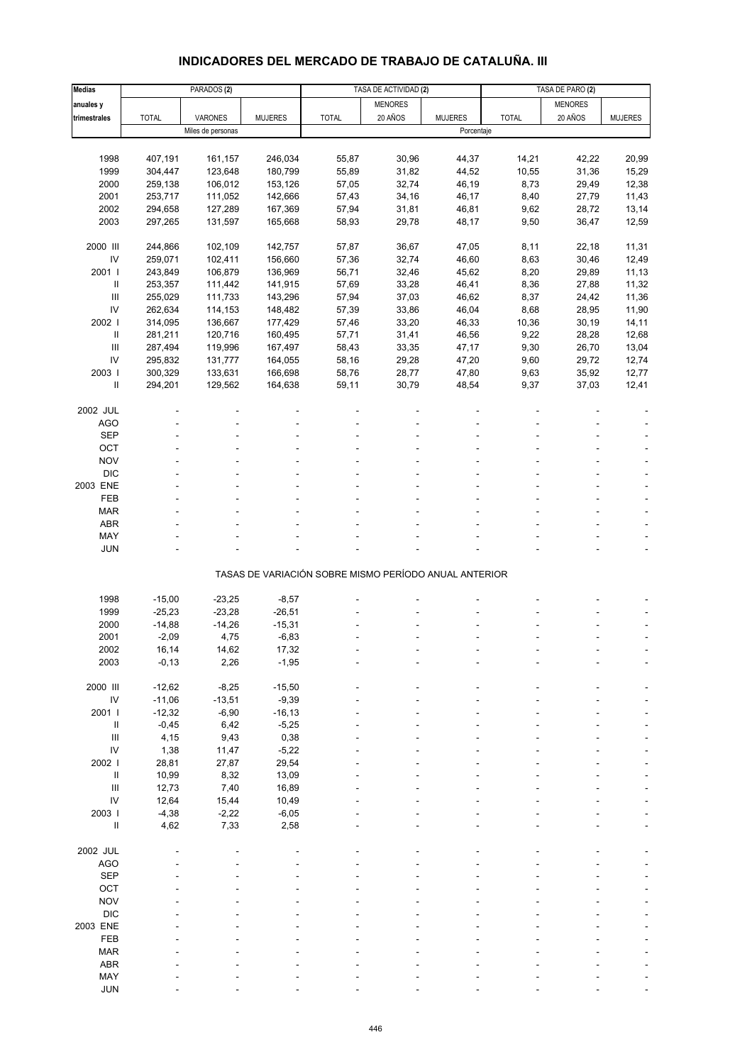# **INDICADORES DEL MERCADO DE TRABAJO DE CATALUÑA. III**

| <b>Medias</b>                      |              | PARADOS <sub>(2)</sub> |                |                                                       | TASA DE ACTIVIDAD (2) |                | TASA DE PARO (2) |                |                |
|------------------------------------|--------------|------------------------|----------------|-------------------------------------------------------|-----------------------|----------------|------------------|----------------|----------------|
| anuales y                          |              |                        |                |                                                       | <b>MENORES</b>        |                |                  | <b>MENORES</b> |                |
| trimestrales                       | <b>TOTAL</b> | VARONES                | <b>MUJERES</b> | <b>TOTAL</b>                                          | 20 AÑOS               | <b>MUJERES</b> | <b>TOTAL</b>     | 20 AÑOS        | <b>MUJERES</b> |
|                                    |              | Miles de personas      |                |                                                       |                       | Porcentaje     |                  |                |                |
|                                    |              |                        |                |                                                       |                       |                |                  |                |                |
| 1998                               | 407,191      | 161,157                | 246,034        | 55,87                                                 | 30,96                 | 44,37          | 14,21            | 42,22          | 20,99          |
| 1999                               | 304,447      | 123,648                | 180,799        | 55,89                                                 | 31,82                 | 44,52          | 10,55            | 31,36          | 15,29          |
| 2000                               | 259,138      | 106,012                | 153,126        | 57,05                                                 | 32,74                 | 46,19          | 8,73             | 29,49          | 12,38          |
|                                    |              |                        |                |                                                       |                       |                |                  |                |                |
| 2001                               | 253,717      | 111,052                | 142,666        | 57,43                                                 | 34,16                 | 46,17          | 8,40             | 27,79          | 11,43          |
| 2002                               | 294,658      | 127,289                | 167,369        | 57,94                                                 | 31,81                 | 46,81          | 9,62             | 28,72          | 13,14          |
| 2003                               | 297,265      | 131,597                | 165,668        | 58,93                                                 | 29,78                 | 48,17          | 9,50             | 36,47          | 12,59          |
| 2000 III                           |              |                        |                |                                                       |                       |                |                  |                |                |
|                                    | 244,866      | 102,109                | 142,757        | 57,87                                                 | 36,67                 | 47,05          | 8,11             | 22,18          | 11,31          |
| ${\sf IV}$                         | 259,071      | 102,411                | 156,660        | 57,36                                                 | 32,74                 | 46,60          | 8,63             | 30,46          | 12,49          |
| 2001 l                             | 243,849      | 106,879                | 136,969        | 56,71                                                 | 32,46                 | 45,62          | 8,20             | 29,89          | 11,13          |
| Ш                                  | 253,357      | 111,442                | 141,915        | 57,69                                                 | 33,28                 | 46,41          | 8,36             | 27,88          | 11,32          |
| $\ensuremath{\mathsf{III}}\xspace$ | 255,029      | 111,733                | 143,296        | 57,94                                                 | 37,03                 | 46,62          | 8,37             | 24,42          | 11,36          |
| IV                                 | 262,634      | 114,153                | 148,482        | 57,39                                                 | 33,86                 | 46,04          | 8,68             | 28,95          | 11,90          |
| 2002                               | 314,095      | 136,667                | 177,429        | 57,46                                                 | 33,20                 | 46,33          | 10,36            | 30, 19         | 14,11          |
| $\ensuremath{\mathsf{II}}\xspace$  | 281,211      | 120,716                | 160,495        | 57,71                                                 | 31,41                 | 46,56          | 9,22             | 28,28          | 12,68          |
| $\mathbf{III}$                     | 287,494      | 119,996                | 167,497        | 58,43                                                 | 33,35                 | 47,17          | 9,30             | 26,70          | 13,04          |
| IV                                 | 295,832      | 131,777                | 164,055        | 58,16                                                 | 29,28                 | 47,20          | 9,60             | 29,72          | 12,74          |
| 2003                               | 300,329      | 133,631                | 166,698        | 58,76                                                 | 28,77                 | 47,80          | 9,63             | 35,92          | 12,77          |
| Ш                                  | 294,201      | 129,562                | 164,638        | 59,11                                                 | 30,79                 | 48,54          | 9,37             | 37,03          | 12,41          |
|                                    |              |                        |                |                                                       |                       |                |                  |                |                |
| 2002 JUL                           |              |                        |                |                                                       |                       |                |                  |                |                |
| AGO                                |              |                        |                |                                                       |                       |                |                  |                |                |
| <b>SEP</b>                         |              |                        |                |                                                       |                       |                |                  |                |                |
| OCT                                |              |                        |                |                                                       |                       |                |                  |                |                |
| <b>NOV</b>                         |              |                        |                |                                                       |                       |                |                  |                |                |
| <b>DIC</b>                         |              |                        |                |                                                       |                       |                |                  |                |                |
| 2003 ENE                           |              |                        |                |                                                       |                       |                |                  |                |                |
| FEB                                |              |                        |                |                                                       |                       |                |                  |                |                |
| <b>MAR</b>                         |              |                        |                |                                                       |                       |                |                  |                |                |
| <b>ABR</b>                         |              |                        |                |                                                       |                       |                |                  |                |                |
| MAY                                |              |                        |                |                                                       |                       |                |                  |                |                |
| <b>JUN</b>                         |              |                        |                |                                                       |                       |                |                  |                |                |
|                                    |              |                        |                |                                                       |                       |                |                  |                |                |
|                                    |              |                        |                | TASAS DE VARIACIÓN SOBRE MISMO PERÍODO ANUAL ANTERIOR |                       |                |                  |                |                |
|                                    |              |                        |                |                                                       |                       |                |                  |                |                |
| 1998                               | $-15,00$     | $-23,25$               | $-8,57$        |                                                       |                       |                |                  |                |                |
| 1999                               | $-25,23$     | $-23,28$               | $-26,51$       |                                                       |                       |                |                  |                |                |
| 2000                               | $-14,88$     | $-14,26$               | $-15,31$       |                                                       |                       |                |                  |                |                |
| 2001                               | $-2,09$      | 4,75                   | $-6,83$        |                                                       |                       |                |                  |                |                |
| 2002                               | 16,14        | 14,62                  | 17,32          |                                                       |                       |                |                  |                |                |
| 2003                               | $-0,13$      | 2,26                   | $-1,95$        |                                                       |                       |                |                  |                |                |
|                                    |              |                        |                |                                                       |                       |                |                  |                |                |
| 2000 III                           | $-12,62$     | $-8,25$                | $-15,50$       |                                                       |                       |                |                  |                |                |
| ${\sf IV}$                         | $-11,06$     | $-13,51$               | $-9,39$        |                                                       |                       |                |                  |                |                |
| 2001 l                             | $-12,32$     | $-6,90$                | $-16, 13$      |                                                       |                       |                |                  |                |                |
| $\mathbf{II}$                      | $-0,45$      | 6,42                   | $-5,25$        |                                                       |                       |                |                  |                |                |
| $\ensuremath{\mathsf{III}}\xspace$ | 4,15         | 9,43                   | 0,38           |                                                       |                       |                |                  |                |                |
| IV                                 |              |                        |                |                                                       |                       |                |                  |                |                |
|                                    | 1,38         | 11,47                  | $-5,22$        |                                                       |                       |                |                  |                |                |
| 2002 l                             | 28,81        | 27,87                  | 29,54          |                                                       |                       |                |                  |                |                |
| $\ensuremath{\mathsf{II}}\xspace$  | 10,99        | 8,32                   | 13,09          |                                                       |                       |                |                  |                |                |
| $\ensuremath{\mathsf{III}}\xspace$ | 12,73        | 7,40                   | 16,89          |                                                       |                       |                |                  |                |                |
| ${\sf IV}$                         | 12,64        | 15,44                  | 10,49          |                                                       |                       |                |                  |                |                |
| 2003                               | $-4,38$      | $-2,22$                | $-6,05$        |                                                       |                       |                |                  |                |                |
| Ш                                  | 4,62         | 7,33                   | 2,58           |                                                       |                       |                |                  |                |                |
|                                    |              |                        |                |                                                       |                       |                |                  |                |                |
| 2002 JUL                           |              |                        |                |                                                       |                       |                |                  |                |                |
| AGO                                |              |                        |                |                                                       |                       |                |                  |                |                |
| <b>SEP</b>                         |              |                        |                |                                                       |                       |                |                  |                |                |
| OCT                                |              |                        |                |                                                       |                       |                |                  |                |                |
| <b>NOV</b>                         |              |                        |                |                                                       |                       |                |                  |                |                |
| <b>DIC</b>                         |              |                        |                |                                                       |                       |                |                  |                |                |
| 2003 ENE                           |              |                        |                |                                                       |                       |                |                  |                |                |
| FEB                                |              |                        |                |                                                       |                       |                |                  |                |                |
| <b>MAR</b>                         |              |                        |                |                                                       |                       |                |                  |                |                |
| ABR                                |              |                        |                |                                                       |                       |                |                  |                |                |
| MAY                                |              |                        |                |                                                       |                       |                |                  |                |                |
| JUN                                |              |                        |                |                                                       |                       |                |                  |                |                |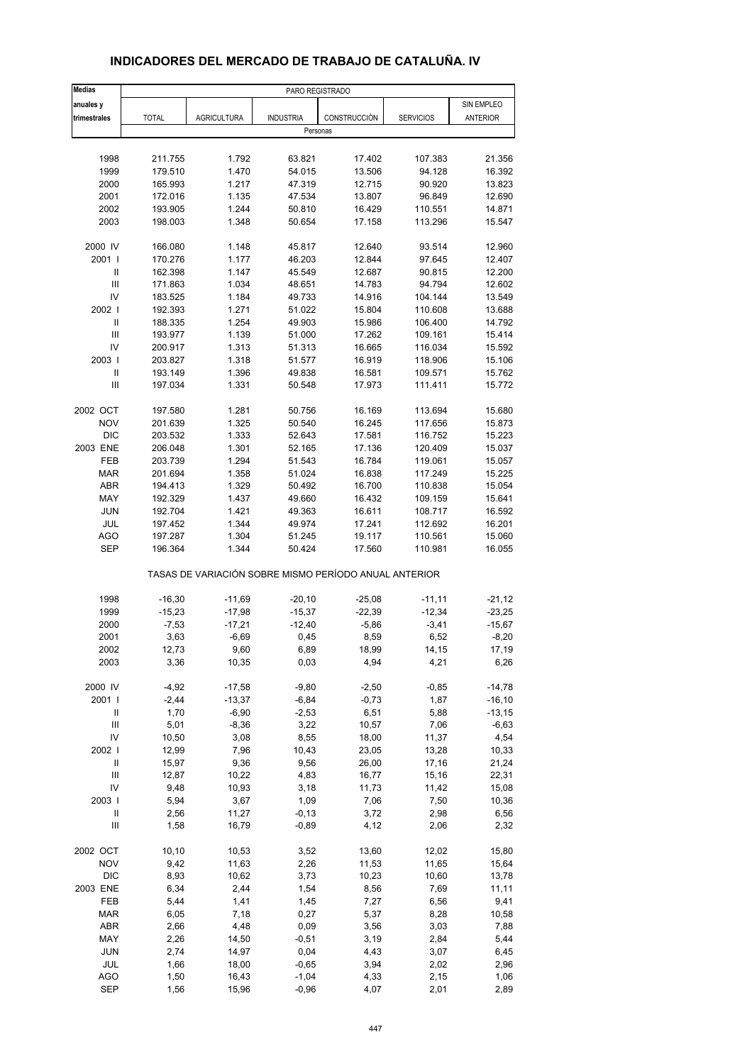| <b>Medias</b>              | PARO REGISTRADO |                    |                  |                                                       |                  |                 |
|----------------------------|-----------------|--------------------|------------------|-------------------------------------------------------|------------------|-----------------|
| anuales y                  |                 |                    |                  |                                                       |                  | SIN EMPLEO      |
| trimestrales               | <b>TOTAL</b>    | <b>AGRICULTURA</b> | <b>INDUSTRIA</b> | CONSTRUCCIÓN                                          | <b>SERVICIOS</b> | <b>ANTERIOR</b> |
|                            |                 |                    | Personas         |                                                       |                  |                 |
|                            |                 |                    |                  |                                                       |                  |                 |
| 1998                       | 211.755         | 1.792              | 63.821           | 17.402                                                | 107.383          | 21.356          |
| 1999                       | 179.510         | 1.470              | 54.015           | 13.506                                                | 94.128           | 16.392          |
| 2000                       | 165.993         | 1.217              | 47.319           | 12.715                                                | 90.920           | 13.823          |
| 2001                       | 172.016         | 1.135              | 47.534           | 13.807                                                | 96.849           | 12.690          |
| 2002                       | 193.905         | 1.244              | 50.810           | 16.429                                                | 110.551          | 14.871          |
| 2003                       | 198.003         | 1.348              | 50.654           | 17.158                                                | 113.296          | 15.547          |
| 2000 IV                    | 166.080         | 1.148              | 45.817           | 12.640                                                | 93.514           | 12.960          |
| 2001 l                     | 170.276         | 1.177              | 46.203           | 12.844                                                | 97.645           | 12.407          |
| Ш                          | 162.398         | 1.147              | 45.549           | 12.687                                                | 90.815           | 12.200          |
| $\mathsf{III}$             | 171.863         | 1.034              | 48.651           | 14.783                                                | 94.794           | 12.602          |
| IV                         | 183.525         | 1.184              | 49.733           | 14.916                                                | 104.144          | 13.549          |
| 2002 l                     | 192.393         | 1.271              | 51.022           | 15.804                                                | 110.608          | 13.688          |
| $\mathbf{II}$              | 188.335         | 1.254              | 49.903           | 15.986                                                | 106.400          | 14.792          |
| Ш                          | 193.977         | 1.139              | 51.000           | 17.262                                                | 109.161          | 15.414          |
| IV                         |                 |                    |                  |                                                       |                  |                 |
| 2003                       | 200.917         | 1.313              | 51.313           | 16.665                                                | 116.034          | 15.592          |
|                            | 203.827         | 1.318              | 51.577           | 16.919                                                | 118.906          | 15.106          |
| $\ensuremath{\mathsf{II}}$ | 193.149         | 1.396              | 49.838           | 16.581                                                | 109.571          | 15.762          |
| Ш                          | 197.034         | 1.331              | 50.548           | 17.973                                                | 111.411          | 15.772          |
| 2002 OCT                   | 197.580         | 1.281              | 50.756           | 16.169                                                | 113.694          | 15.680          |
| <b>NOV</b>                 | 201.639         | 1.325              | 50.540           | 16.245                                                | 117.656          | 15.873          |
| <b>DIC</b>                 | 203.532         | 1.333              | 52.643           | 17.581                                                | 116.752          | 15.223          |
| 2003 ENE                   | 206.048         | 1.301              | 52.165           | 17.136                                                | 120.409          | 15.037          |
| FEB                        | 203.739         | 1.294              | 51.543           | 16.784                                                | 119.061          | 15.057          |
| <b>MAR</b>                 | 201.694         | 1.358              | 51.024           | 16.838                                                | 117.249          | 15.225          |
| ABR                        | 194.413         | 1.329              | 50.492           | 16.700                                                | 110.838          | 15.054          |
| MAY                        | 192.329         | 1.437              | 49.660           | 16.432                                                | 109.159          | 15.641          |
| <b>JUN</b>                 | 192.704         | 1.421              | 49.363           | 16.611                                                | 108.717          | 16.592          |
| <b>JUL</b>                 | 197.452         | 1.344              | 49.974           | 17.241                                                | 112.692          | 16.201          |
| <b>AGO</b>                 | 197.287         | 1.304              | 51.245           | 19.117                                                | 110.561          | 15.060          |
| <b>SEP</b>                 | 196.364         | 1.344              | 50.424           | 17.560                                                | 110.981          | 16.055          |
|                            |                 |                    |                  | TASAS DE VARIACIÓN SOBRE MISMO PERÍODO ANUAL ANTERIOR |                  |                 |
|                            |                 |                    |                  |                                                       |                  |                 |
| 1998                       | $-16,30$        | $-11,69$           | $-20, 10$        | $-25,08$                                              | $-11,11$         | $-21,12$        |
| 1999                       | $-15,23$        | $-17,98$           | $-15,37$         | $-22,39$                                              | $-12,34$         | $-23,25$        |
| 2000                       | $-7,53$         | $-17,21$           | $-12,40$         | $-5,86$                                               | $-3,41$          | $-15,67$        |
| 2001                       | 3,63            | $-6,69$            | 0,45             | 8,59                                                  | 6,52             | $-8,20$         |
| 2002<br>2003               | 12,73<br>3,36   | 9,60<br>10,35      | 6,89<br>0,03     | 18,99<br>4,94                                         | 14,15<br>4,21    | 17,19<br>6,26   |
|                            |                 |                    |                  |                                                       |                  |                 |
| 2000 IV                    | $-4,92$         | $-17,58$           | $-9,80$          | $-2,50$                                               | $-0,85$          | $-14,78$        |
| 2001 l                     | $-2,44$         | $-13,37$           | $-6,84$          | $-0,73$                                               | 1,87             | $-16, 10$       |
| $\ensuremath{\mathsf{II}}$ | 1,70            | $-6,90$            | $-2,53$          | 6,51                                                  | 5,88             | $-13,15$        |
| $\mathsf{III}$             | 5,01            | $-8,36$            | 3,22             | 10,57                                                 | 7,06             | $-6,63$         |
| IV                         | 10,50           | 3,08               | 8,55             | 18,00                                                 | 11,37            | 4,54            |
| 2002                       | 12,99           | 7,96               | 10,43            | 23,05                                                 | 13,28            | 10,33           |
| $\sf II$                   | 15,97           | 9,36               | 9,56             | 26,00                                                 | 17,16            | 21,24           |
| Ш                          | 12,87           | 10,22              | 4,83             | 16,77                                                 | 15,16            | 22,31           |
| IV                         | 9,48            | 10,93              | 3,18             | 11,73                                                 | 11,42            | 15,08           |
| 2003                       | 5,94            | 3,67               | 1,09             | 7,06                                                  | 7,50             | 10,36           |
| Ш                          | 2,56            | 11,27              | $-0, 13$         | 3,72                                                  | 2,98             | 6,56            |
| Ш                          | 1,58            | 16,79              | $-0,89$          | 4,12                                                  | 2,06             | 2,32            |
| 2002 OCT                   | 10, 10          | 10,53              | 3,52             | 13,60                                                 | 12,02            | 15,80           |
| <b>NOV</b>                 | 9,42            | 11,63              | 2,26             | 11,53                                                 | 11,65            | 15,64           |
| <b>DIC</b>                 | 8,93            | 10,62              | 3,73             | 10,23                                                 | 10,60            | 13,78           |
| 2003 ENE                   | 6,34            | 2,44               | 1,54             | 8,56                                                  | 7,69             | 11,11           |
| FEB                        | 5,44            | 1,41               | 1,45             | 7,27                                                  | 6,56             | 9,41            |
| <b>MAR</b>                 | 6,05            | 7,18               | 0,27             | 5,37                                                  | 8,28             | 10,58           |
| ABR                        | 2,66            | 4,48               | 0,09             | 3,56                                                  | 3,03             | 7,88            |
| MAY                        | 2,26            | 14,50              | $-0,51$          | 3,19                                                  | 2,84             | 5,44            |
|                            |                 |                    |                  |                                                       |                  |                 |
| <b>JUN</b>                 | 2,74            | 14,97              | 0,04             | 4,43                                                  | 3,07             | 6,45            |
| JUL<br><b>AGO</b>          | 1,66            | 18,00              | $-0,65$          | 3,94                                                  | 2,02<br>2,15     | 2,96<br>1,06    |
|                            | 1,50            | 16,43              | $-1,04$          | 4,33                                                  |                  |                 |

#### **INDICADORES DEL MERCADO DE TRABAJO DE CATALUÑA. IV**

SEP 1,56 15,96 -0,96 4,07 2,01 2,89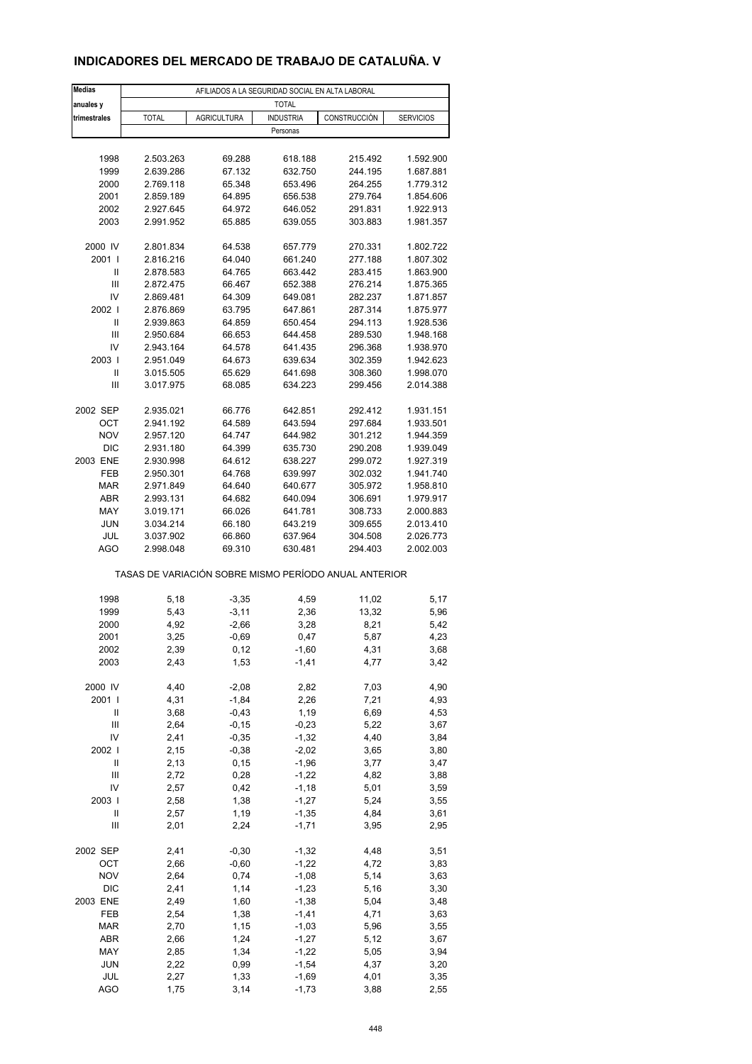### **INDICADORES DEL MERCADO DE TRABAJO DE CATALUÑA. V**

| <b>Medias</b>     | AFILIADOS A LA SEGURIDAD SOCIAL EN ALTA LABORAL |                    |                    |                                                       |                        |  |  |  |
|-------------------|-------------------------------------------------|--------------------|--------------------|-------------------------------------------------------|------------------------|--|--|--|
| anuales y         |                                                 |                    | <b>TOTAL</b>       |                                                       |                        |  |  |  |
| trimestrales      | <b>TOTAL</b>                                    | <b>AGRICULTURA</b> | <b>INDUSTRIA</b>   | CONSTRUCCIÓN                                          | <b>SERVICIOS</b>       |  |  |  |
|                   |                                                 |                    | Personas           |                                                       |                        |  |  |  |
| 1998              | 2.503.263                                       | 69.288             | 618.188            | 215.492                                               | 1.592.900              |  |  |  |
| 1999              | 2.639.286                                       | 67.132             | 632.750            | 244.195                                               | 1.687.881              |  |  |  |
| 2000              | 2.769.118                                       | 65.348             | 653.496            | 264.255                                               | 1.779.312              |  |  |  |
| 2001              | 2.859.189                                       | 64.895             | 656.538            | 279.764                                               | 1.854.606              |  |  |  |
| 2002              | 2.927.645                                       | 64.972             | 646.052            | 291.831                                               | 1.922.913              |  |  |  |
| 2003              | 2.991.952                                       | 65.885             | 639.055            | 303.883                                               | 1.981.357              |  |  |  |
|                   |                                                 |                    |                    |                                                       |                        |  |  |  |
| 2000 IV           | 2.801.834                                       | 64.538             | 657.779            | 270.331                                               | 1.802.722              |  |  |  |
| 2001              | 2.816.216                                       | 64.040             | 661.240            | 277.188                                               | 1.807.302              |  |  |  |
| Ш                 | 2.878.583                                       | 64.765             | 663.442            | 283.415                                               | 1.863.900              |  |  |  |
| Ш                 | 2.872.475                                       | 66.467             | 652.388            | 276.214                                               | 1.875.365              |  |  |  |
| IV                | 2.869.481                                       | 64.309             | 649.081            | 282.237                                               | 1.871.857              |  |  |  |
| 2002 l            | 2.876.869                                       | 63.795             | 647.861            | 287.314                                               | 1.875.977              |  |  |  |
| Ш                 | 2.939.863                                       | 64.859             | 650.454            | 294.113                                               | 1.928.536              |  |  |  |
| Ш                 | 2.950.684                                       | 66.653             | 644.458            | 289.530                                               | 1.948.168              |  |  |  |
| IV<br>2003        | 2.943.164                                       | 64.578             | 641.435            | 296.368                                               | 1.938.970              |  |  |  |
| $\mathsf{I}$      | 2.951.049<br>3.015.505                          | 64.673<br>65.629   | 639.634<br>641.698 | 302.359<br>308.360                                    | 1.942.623<br>1.998.070 |  |  |  |
| Ш                 | 3.017.975                                       | 68.085             | 634.223            | 299.456                                               | 2.014.388              |  |  |  |
|                   |                                                 |                    |                    |                                                       |                        |  |  |  |
| 2002 SEP          | 2.935.021                                       | 66.776             | 642.851            | 292.412                                               | 1.931.151              |  |  |  |
| OCT               | 2.941.192                                       | 64.589             | 643.594            | 297.684                                               | 1.933.501              |  |  |  |
| <b>NOV</b>        | 2.957.120                                       | 64.747             | 644.982            | 301.212                                               | 1.944.359              |  |  |  |
| <b>DIC</b>        | 2.931.180                                       | 64.399             | 635.730            | 290.208                                               | 1.939.049              |  |  |  |
| 2003 ENE          | 2.930.998                                       | 64.612             | 638.227            | 299.072                                               | 1.927.319              |  |  |  |
| FEB               | 2.950.301                                       | 64.768             | 639.997            | 302.032                                               | 1.941.740              |  |  |  |
| <b>MAR</b>        | 2.971.849                                       | 64.640             | 640.677            | 305.972                                               | 1.958.810              |  |  |  |
| <b>ABR</b>        | 2.993.131                                       | 64.682             | 640.094            | 306.691                                               | 1.979.917              |  |  |  |
| MAY               | 3.019.171                                       | 66.026             | 641.781            | 308.733                                               | 2.000.883              |  |  |  |
| <b>JUN</b>        | 3.034.214                                       | 66.180             | 643.219            | 309.655                                               | 2.013.410              |  |  |  |
| JUL               | 3.037.902                                       | 66.860             | 637.964            | 304.508                                               | 2.026.773              |  |  |  |
| AGO               | 2.998.048                                       | 69.310             | 630.481            | 294.403                                               | 2.002.003              |  |  |  |
|                   |                                                 |                    |                    | TASAS DE VARIACIÓN SOBRE MISMO PERÍODO ANUAL ANTERIOR |                        |  |  |  |
| 1998              | 5,18                                            | $-3,35$            | 4,59               | 11,02                                                 | 5,17                   |  |  |  |
| 1999              | 5,43                                            | $-3,11$            | 2,36               | 13,32                                                 | 5,96                   |  |  |  |
| 2000              | 4,92                                            | $-2,66$            | 3,28               | 8,21                                                  | 5,42                   |  |  |  |
| 2001              | 3,25                                            | $-0,69$            | 0,47               | 5,87                                                  | 4,23                   |  |  |  |
| 2002              | 2,39                                            | 0,12               | $-1,60$            | 4,31                                                  | 3,68                   |  |  |  |
| 2003              | 2,43                                            | 1,53               | $-1,41$            | 4,77                                                  | 3,42                   |  |  |  |
|                   |                                                 |                    |                    |                                                       |                        |  |  |  |
| 2000 IV           | 4,40                                            | $-2,08$            | 2,82               | 7,03                                                  | 4,90                   |  |  |  |
| 2001 l            | 4,31                                            | $-1,84$            | 2,26               | 7,21                                                  | 4,93                   |  |  |  |
| Ш                 | 3,68                                            | $-0,43$            | 1,19               | 6,69                                                  | 4,53                   |  |  |  |
| Ш                 | 2,64                                            | $-0, 15$           | $-0,23$            | 5,22                                                  | 3,67                   |  |  |  |
| IV                | 2,41                                            | $-0,35$            | $-1,32$            | 4,40                                                  | 3,84                   |  |  |  |
| 2002              | 2,15                                            | $-0,38$            | $-2,02$            | 3,65                                                  | 3,80                   |  |  |  |
| Ш<br>Ш            | 2,13<br>2,72                                    | 0,15<br>0,28       | $-1,96$<br>$-1,22$ | 3,77<br>4,82                                          | 3,47                   |  |  |  |
| IV                | 2,57                                            | 0,42               | $-1,18$            | 5,01                                                  | 3,88<br>3,59           |  |  |  |
| 2003              | 2,58                                            | 1,38               | $-1,27$            | 5,24                                                  | 3,55                   |  |  |  |
| Ш                 | 2,57                                            | 1,19               | $-1,35$            | 4,84                                                  | 3,61                   |  |  |  |
| Ш                 | 2,01                                            | 2,24               | $-1,71$            | 3,95                                                  | 2,95                   |  |  |  |
|                   |                                                 |                    |                    |                                                       |                        |  |  |  |
| 2002 SEP          | 2,41                                            | $-0,30$            | $-1,32$            | 4,48                                                  | 3,51                   |  |  |  |
| OCT               | 2,66                                            | $-0,60$            | $-1,22$            | 4,72                                                  | 3,83                   |  |  |  |
| <b>NOV</b>        | 2,64                                            | 0,74               | $-1,08$            | 5,14                                                  | 3,63                   |  |  |  |
| <b>DIC</b>        | 2,41                                            | 1,14               | $-1,23$            | 5,16                                                  | 3,30                   |  |  |  |
| 2003 ENE          | 2,49                                            | 1,60               | $-1,38$            | 5,04                                                  | 3,48                   |  |  |  |
| FEB               | 2,54                                            | 1,38               | $-1,41$            | 4,71                                                  | 3,63                   |  |  |  |
| <b>MAR</b>        | 2,70                                            | 1,15               | $-1,03$            | 5,96                                                  | 3,55                   |  |  |  |
| ABR               | 2,66                                            | 1,24               | $-1,27$            | 5,12                                                  | 3,67                   |  |  |  |
| MAY<br><b>JUN</b> | 2,85                                            | 1,34               | $-1,22$            | 5,05<br>4,37                                          | 3,94                   |  |  |  |
| JUL               | 2,22<br>2,27                                    | 0,99<br>1,33       | $-1,54$<br>$-1,69$ | 4,01                                                  | 3,20<br>3,35           |  |  |  |
| <b>AGO</b>        | 1,75                                            | 3,14               | $-1,73$            | 3,88                                                  | 2,55                   |  |  |  |
|                   |                                                 |                    |                    |                                                       |                        |  |  |  |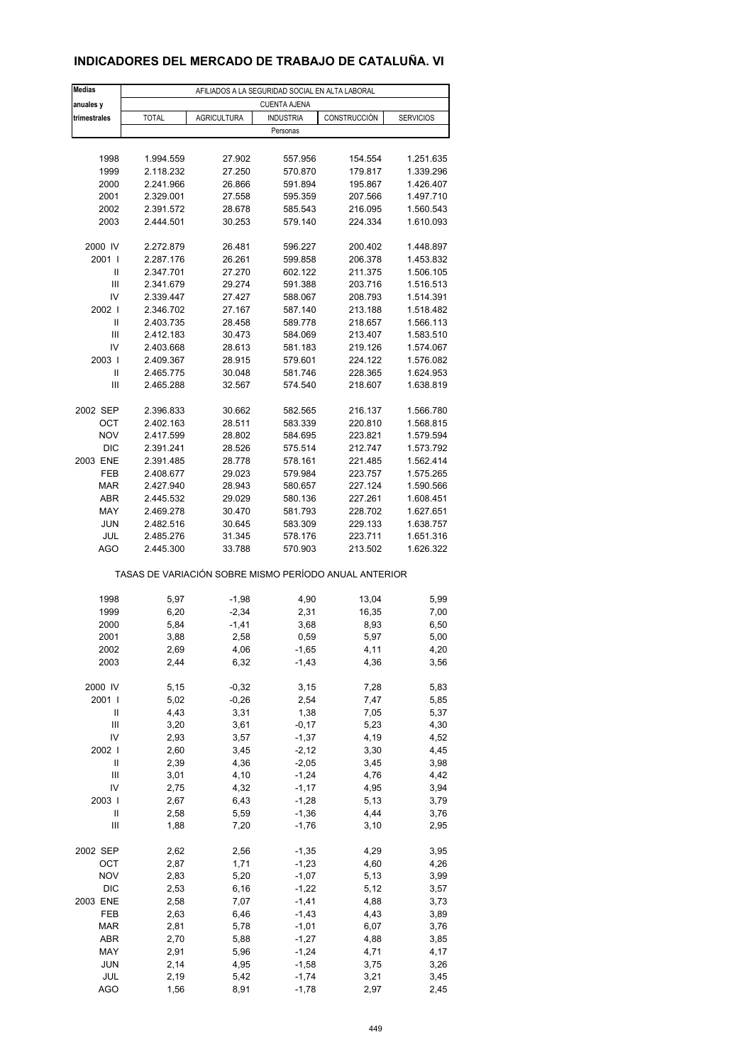### **INDICADORES DEL MERCADO DE TRABAJO DE CATALUÑA. VI**

| <b>Medias</b>  |              | AFILIADOS A LA SEGURIDAD SOCIAL EN ALTA LABORAL |                              |                                                       |                  |
|----------------|--------------|-------------------------------------------------|------------------------------|-------------------------------------------------------|------------------|
| anuales y      |              |                                                 | <b>CUENTA AJENA</b>          |                                                       |                  |
| trimestrales   | <b>TOTAL</b> | <b>AGRICULTURA</b>                              | <b>INDUSTRIA</b><br>Personas | CONSTRUCCIÓN                                          | <b>SERVICIOS</b> |
|                |              |                                                 |                              |                                                       |                  |
| 1998           | 1.994.559    | 27.902                                          | 557.956                      | 154.554                                               | 1.251.635        |
| 1999           | 2.118.232    | 27.250                                          | 570.870                      | 179.817                                               | 1.339.296        |
| 2000           | 2.241.966    | 26.866                                          | 591.894                      | 195.867                                               | 1.426.407        |
| 2001           | 2.329.001    | 27.558                                          | 595.359                      | 207.566                                               | 1.497.710        |
| 2002           | 2.391.572    | 28.678                                          | 585.543                      | 216.095                                               | 1.560.543        |
| 2003           | 2.444.501    | 30.253                                          | 579.140                      | 224.334                                               | 1.610.093        |
| 2000 IV        | 2.272.879    | 26.481                                          | 596.227                      | 200.402                                               | 1.448.897        |
| 2001 l         | 2.287.176    | 26.261                                          | 599.858                      | 206.378                                               | 1.453.832        |
| Ш              | 2.347.701    | 27.270                                          | 602.122                      | 211.375                                               | 1.506.105        |
| $\mathsf{III}$ | 2.341.679    | 29.274                                          | 591.388                      |                                                       | 1.516.513        |
| IV             |              |                                                 |                              | 203.716                                               |                  |
|                | 2.339.447    | 27.427                                          | 588.067                      | 208.793                                               | 1.514.391        |
| 2002           | 2.346.702    | 27.167                                          | 587.140                      | 213.188                                               | 1.518.482        |
| $\mathsf{I}$   | 2.403.735    | 28.458                                          | 589.778                      | 218.657                                               | 1.566.113        |
| Ш              | 2.412.183    | 30.473                                          | 584.069                      | 213.407                                               | 1.583.510        |
| IV             | 2.403.668    | 28.613                                          | 581.183                      | 219.126                                               | 1.574.067        |
| 2003           | 2.409.367    | 28.915                                          | 579.601                      | 224.122                                               | 1.576.082        |
| Ш              | 2.465.775    | 30.048                                          | 581.746                      | 228.365                                               | 1.624.953        |
| Ш              | 2.465.288    | 32.567                                          | 574.540                      | 218.607                                               | 1.638.819        |
| 2002 SEP       | 2.396.833    | 30.662                                          | 582.565                      | 216.137                                               | 1.566.780        |
| ОСТ            | 2.402.163    | 28.511                                          | 583.339                      | 220.810                                               | 1.568.815        |
| <b>NOV</b>     | 2.417.599    | 28.802                                          | 584.695                      | 223.821                                               | 1.579.594        |
| <b>DIC</b>     | 2.391.241    | 28.526                                          | 575.514                      | 212.747                                               | 1.573.792        |
|                |              |                                                 |                              |                                                       |                  |
| 2003 ENE       | 2.391.485    | 28.778                                          | 578.161                      | 221.485                                               | 1.562.414        |
| FEB            | 2.408.677    | 29.023                                          | 579.984                      | 223.757                                               | 1.575.265        |
| <b>MAR</b>     | 2.427.940    | 28.943                                          | 580.657                      | 227.124                                               | 1.590.566        |
| <b>ABR</b>     | 2.445.532    | 29.029                                          | 580.136                      | 227.261                                               | 1.608.451        |
| MAY            | 2.469.278    | 30.470                                          | 581.793                      | 228.702                                               | 1.627.651        |
| <b>JUN</b>     | 2.482.516    | 30.645                                          | 583.309                      | 229.133                                               | 1.638.757        |
| JUL            | 2.485.276    | 31.345                                          | 578.176                      | 223.711                                               | 1.651.316        |
| AGO            | 2.445.300    | 33.788                                          | 570.903                      | 213.502                                               | 1.626.322        |
|                |              |                                                 |                              | TASAS DE VARIACIÓN SOBRE MISMO PERÍODO ANUAL ANTERIOR |                  |
| 1998           | 5,97         | $-1,98$                                         | 4,90                         | 13,04                                                 | 5,99             |
| 1999           | 6,20         | $-2,34$                                         | 2,31                         | 16,35                                                 | 7,00             |
| 2000           | 5,84         | $-1,41$                                         | 3,68                         | 8,93                                                  | 6,50             |
|                |              |                                                 |                              |                                                       |                  |
| 2001           | 3,88         | 2,58                                            | 0,59                         | 5,97                                                  | 5,00             |
| 2002           | 2,69         | 4,06                                            | $-1,65$                      | 4,11                                                  | 4,20             |
| 2003           | 2,44         | 6,32                                            | $-1,43$                      | 4,36                                                  | 3,56             |
| 2000 IV        | 5,15         | $-0,32$                                         | 3,15                         | 7,28                                                  | 5,83             |
| 2001 l         | 5,02         | $-0,26$                                         | 2,54                         | 7,47                                                  | 5,85             |
| Ш              | 4,43         | 3,31                                            | 1,38                         | 7,05                                                  | 5,37             |
| Ш              | 3,20         | 3,61                                            | $-0,17$                      | 5,23                                                  | 4,30             |
| IV             | 2,93         | 3,57                                            | $-1,37$                      | 4,19                                                  | 4,52             |
| 2002           | 2,60         | 3,45                                            | $-2,12$                      | 3,30                                                  | 4,45             |
| Ш              | 2,39         | 4,36                                            | $-2,05$                      | 3,45                                                  | 3,98             |
| $\mathsf{III}$ | 3,01         | 4,10                                            | $-1,24$                      | 4,76                                                  | 4,42             |
| IV             | 2,75         | 4,32                                            | $-1, 17$                     | 4,95                                                  | 3,94             |
| 2003           | 2,67         | 6,43                                            | $-1,28$                      | 5,13                                                  | 3,79             |
| Ш              | 2,58         | 5,59                                            | $-1,36$                      | 4,44                                                  | 3,76             |
| Ш              | 1,88         | 7,20                                            | $-1,76$                      | 3,10                                                  | 2,95             |
|                |              |                                                 |                              |                                                       |                  |
| 2002 SEP       | 2,62         | 2,56                                            | $-1,35$                      | 4,29                                                  | 3,95             |
| OCT            | 2,87         | 1,71                                            | $-1,23$                      | 4,60                                                  | 4,26             |
| <b>NOV</b>     | 2,83         | 5,20                                            | $-1,07$                      | 5,13                                                  | 3,99             |
| DIC            | 2,53         | 6,16                                            | $-1,22$                      | 5,12                                                  | 3,57             |
| 2003 ENE       | 2,58         | 7,07                                            | $-1,41$                      | 4,88                                                  | 3,73             |
| FEB            | 2,63         | 6,46                                            | $-1,43$                      | 4,43                                                  | 3,89             |
| <b>MAR</b>     | 2,81         | 5,78                                            | $-1,01$                      | 6,07                                                  | 3,76             |
| ABR            | 2,70         | 5,88                                            | $-1,27$                      | 4,88                                                  | 3,85             |
| MAY            | 2,91         | 5,96                                            | $-1,24$                      | 4,71                                                  | 4,17             |
| <b>JUN</b>     | 2,14         | 4,95                                            | $-1,58$                      | 3,75                                                  | 3,26             |
| JUL            | 2,19         | 5,42                                            | $-1,74$                      | 3,21                                                  | 3,45             |
| <b>AGO</b>     | 1,56         | 8,91                                            | $-1,78$                      | 2,97                                                  | 2,45             |
|                |              |                                                 |                              |                                                       |                  |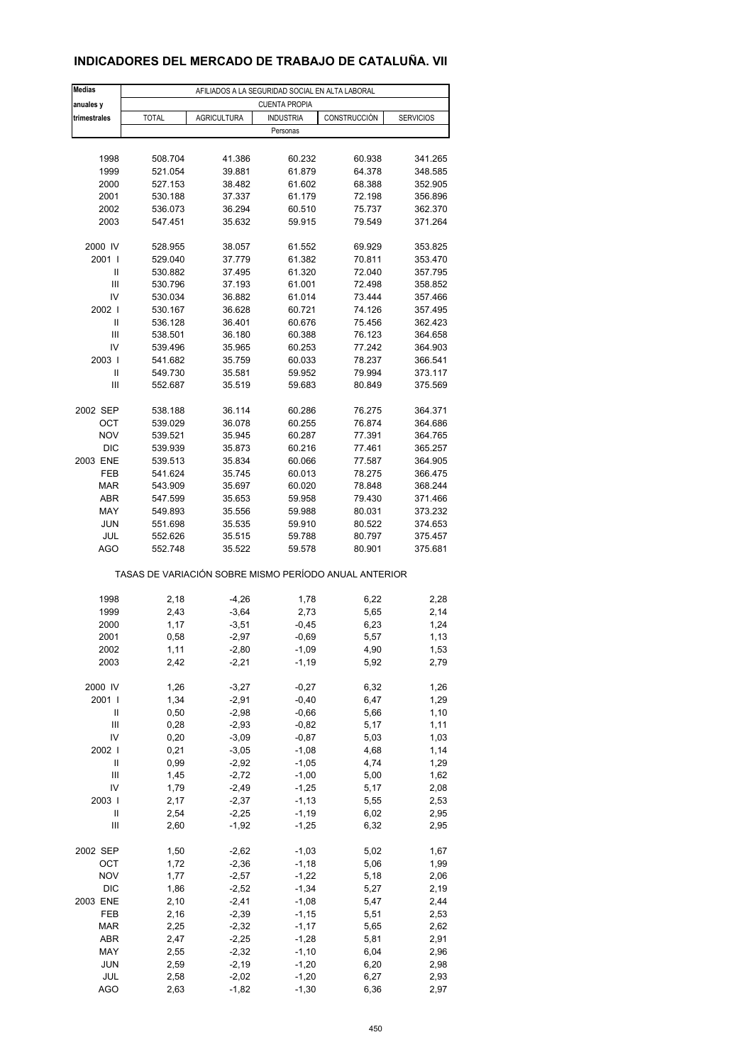### **INDICADORES DEL MERCADO DE TRABAJO DE CATALUÑA. VII**

| <b>Medias</b>     |                                                       | AFILIADOS A LA SEGURIDAD SOCIAL EN ALTA LABORAL |                      |                  |                    |
|-------------------|-------------------------------------------------------|-------------------------------------------------|----------------------|------------------|--------------------|
| anuales y         |                                                       |                                                 | <b>CUENTA PROPIA</b> |                  |                    |
| trimestrales      | <b>TOTAL</b>                                          | <b>AGRICULTURA</b>                              | <b>INDUSTRIA</b>     | CONSTRUCCIÓN     | <b>SERVICIOS</b>   |
|                   |                                                       |                                                 | Personas             |                  |                    |
|                   |                                                       |                                                 |                      |                  |                    |
| 1998              | 508.704                                               | 41.386                                          | 60.232               | 60.938           | 341.265            |
| 1999              | 521.054                                               | 39.881                                          | 61.879               | 64.378           | 348.585            |
| 2000<br>2001      | 527.153<br>530.188                                    | 38.482<br>37.337                                | 61.602<br>61.179     | 68.388<br>72.198 | 352.905<br>356.896 |
| 2002              | 536.073                                               | 36.294                                          | 60.510               | 75.737           | 362.370            |
| 2003              | 547.451                                               | 35.632                                          | 59.915               | 79.549           | 371.264            |
|                   |                                                       |                                                 |                      |                  |                    |
| 2000 IV           | 528.955                                               | 38.057                                          | 61.552               | 69.929           | 353.825            |
| 2001 l            | 529.040                                               | 37.779                                          | 61.382               | 70.811           | 353.470            |
| Ш                 | 530.882                                               | 37.495                                          | 61.320               | 72.040           | 357.795            |
| Ш                 | 530.796                                               | 37.193                                          | 61.001               | 72.498           | 358.852            |
| IV                | 530.034                                               | 36.882                                          | 61.014               | 73.444           | 357.466            |
| 2002              | 530.167                                               | 36.628                                          | 60.721               | 74.126           | 357.495            |
| $\mathsf{I}$      | 536.128                                               | 36.401                                          | 60.676               | 75.456           | 362.423            |
| Ш                 | 538.501                                               | 36.180                                          | 60.388               | 76.123           | 364.658            |
| IV                | 539.496                                               | 35.965                                          | 60.253               | 77.242           | 364.903            |
| 2003  <br>Ш       | 541.682<br>549.730                                    | 35.759                                          | 60.033               | 78.237           | 366.541<br>373.117 |
| Ш                 | 552.687                                               | 35.581<br>35.519                                | 59.952<br>59.683     | 79.994<br>80.849 | 375.569            |
|                   |                                                       |                                                 |                      |                  |                    |
| 2002 SEP          | 538.188                                               | 36.114                                          | 60.286               | 76.275           | 364.371            |
| OCT               | 539.029                                               | 36.078                                          | 60.255               | 76.874           | 364.686            |
| <b>NOV</b>        | 539.521                                               | 35.945                                          | 60.287               | 77.391           | 364.765            |
| <b>DIC</b>        | 539.939                                               | 35.873                                          | 60.216               | 77.461           | 365.257            |
| 2003 ENE          | 539.513                                               | 35.834                                          | 60.066               | 77.587           | 364.905            |
| FEB               | 541.624                                               | 35.745                                          | 60.013               | 78.275           | 366.475            |
| <b>MAR</b>        | 543.909                                               | 35.697                                          | 60.020               | 78.848           | 368.244            |
| <b>ABR</b>        | 547.599                                               | 35.653                                          | 59.958               | 79.430           | 371.466            |
| MAY               | 549.893                                               | 35.556                                          | 59.988               | 80.031           | 373.232            |
| <b>JUN</b>        | 551.698                                               | 35.535                                          | 59.910               | 80.522           | 374.653            |
| JUL               | 552.626                                               | 35.515                                          | 59.788               | 80.797           | 375.457            |
| <b>AGO</b>        | 552.748                                               | 35.522                                          | 59.578               | 80.901           | 375.681            |
|                   | TASAS DE VARIACIÓN SOBRE MISMO PERÍODO ANUAL ANTERIOR |                                                 |                      |                  |                    |
|                   |                                                       |                                                 |                      |                  |                    |
| 1998              | 2,18                                                  | $-4,26$                                         | 1,78                 | 6,22             | 2,28               |
| 1999<br>2000      | 2,43<br>1,17                                          | $-3,64$<br>$-3,51$                              | 2,73<br>$-0,45$      | 5,65<br>6,23     | 2,14<br>1,24       |
| 2001              | 0,58                                                  | $-2,97$                                         | $-0,69$              | 5,57             | 1,13               |
| 2002              | 1,11                                                  | -2,80                                           | -1,09                | 4,90             | 1,53               |
| 2003              | 2,42                                                  | $-2,21$                                         | $-1,19$              | 5,92             | 2,79               |
|                   |                                                       |                                                 |                      |                  |                    |
| 2000 IV           | 1,26                                                  | $-3,27$                                         | $-0,27$              | 6,32             | 1,26               |
| 2001 l            | 1,34                                                  | $-2,91$                                         | $-0,40$              | 6,47             | 1,29               |
| Ш                 | 0,50                                                  | $-2,98$                                         | $-0,66$              | 5,66             | 1,10               |
| Ш                 | 0,28                                                  | $-2,93$                                         | $-0,82$              | 5,17             | 1,11               |
| IV                | 0,20                                                  | $-3,09$                                         | $-0,87$              | 5,03             | 1,03               |
| 2002              | 0,21                                                  | $-3,05$                                         | $-1,08$              | 4,68             | 1,14               |
| Ш                 | 0,99                                                  | $-2,92$                                         | $-1,05$              | 4,74             | 1,29               |
| Ш                 | 1,45                                                  | $-2,72$                                         | $-1,00$              | 5,00             | 1,62               |
| IV                | 1,79                                                  | $-2,49$                                         | $-1,25$              | 5,17             | 2,08               |
| 2003  <br>Ш       | 2,17<br>2,54                                          | $-2,37$<br>$-2,25$                              | $-1, 13$<br>$-1,19$  | 5,55<br>6,02     | 2,53               |
| $\mathsf{III}$    | 2,60                                                  | $-1,92$                                         | $-1,25$              | 6,32             | 2,95<br>2,95       |
|                   |                                                       |                                                 |                      |                  |                    |
| 2002 SEP          | 1,50                                                  | $-2,62$                                         | $-1,03$              | 5,02             | 1,67               |
| OCT               | 1,72                                                  | $-2,36$                                         | $-1,18$              | 5,06             | 1,99               |
| <b>NOV</b>        | 1,77                                                  | $-2,57$                                         | $-1,22$              | 5,18             | 2,06               |
| DIC               | 1,86                                                  | $-2,52$                                         | $-1,34$              | 5,27             | 2,19               |
| 2003 ENE          | 2,10                                                  | $-2,41$                                         | $-1,08$              | 5,47             | 2,44               |
| FEB               | 2,16                                                  | $-2,39$                                         | $-1, 15$             | 5,51             | 2,53               |
| <b>MAR</b>        | 2,25                                                  | $-2,32$                                         | $-1,17$              | 5,65             | 2,62               |
| ABR               | 2,47                                                  | $-2,25$                                         | $-1,28$              | 5,81             | 2,91               |
| MAY               | 2,55                                                  | $-2,32$                                         | $-1,10$              | 6,04             | 2,96               |
| <b>JUN</b>        | 2,59                                                  | $-2,19$                                         | $-1,20$              | 6,20             | 2,98               |
| JUL<br><b>AGO</b> | 2,58<br>2,63                                          | $-2,02$<br>$-1,82$                              | $-1,20$<br>$-1,30$   | 6,27<br>6,36     | 2,93<br>2,97       |
|                   |                                                       |                                                 |                      |                  |                    |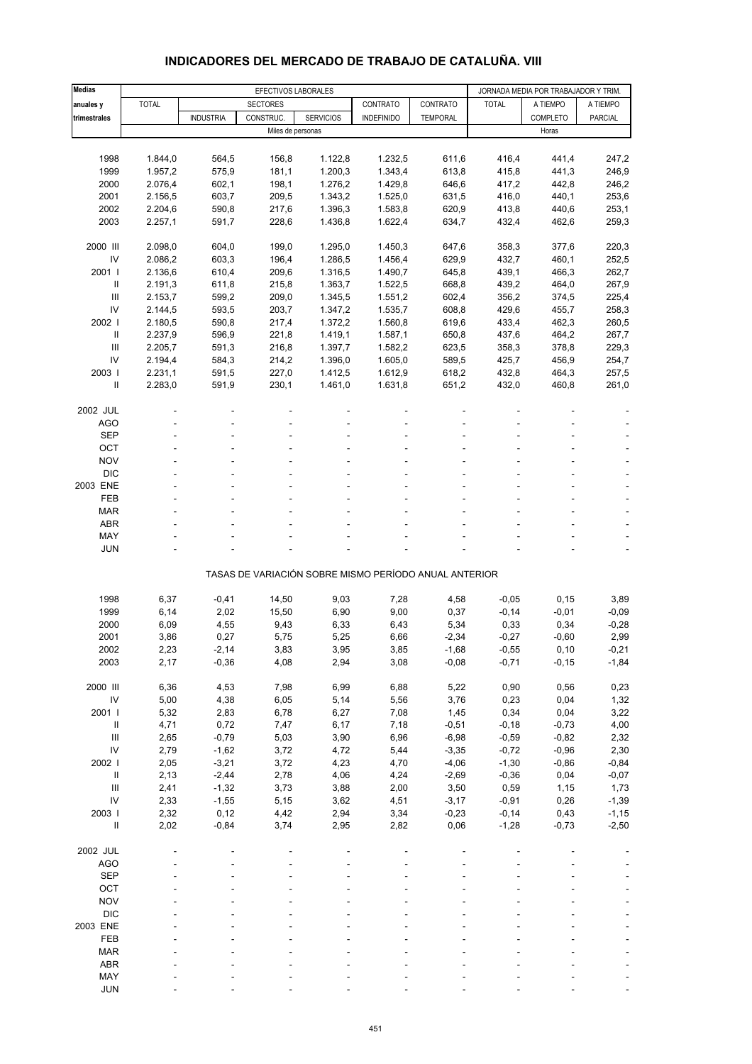| <b>Medias</b>                      |              | EFECTIVOS LABORALES |                   |                                                       |                   |                    |                    | JORNADA MEDIA POR TRABAJADOR Y TRIM. |              |
|------------------------------------|--------------|---------------------|-------------------|-------------------------------------------------------|-------------------|--------------------|--------------------|--------------------------------------|--------------|
| anuales y                          | <b>TOTAL</b> |                     | <b>SECTORES</b>   |                                                       | CONTRATO          | CONTRATO           | <b>TOTAL</b>       | A TIEMPO                             | A TIEMPO     |
| trimestrales                       |              | <b>INDUSTRIA</b>    | CONSTRUC.         | <b>SERVICIOS</b>                                      | <b>INDEFINIDO</b> | TEMPORAL           |                    | COMPLETO                             | PARCIAL      |
|                                    |              |                     | Miles de personas |                                                       |                   |                    |                    | Horas                                |              |
|                                    |              |                     |                   |                                                       |                   |                    |                    |                                      |              |
| 1998                               | 1.844,0      | 564,5               | 156,8             | 1.122,8                                               | 1.232,5           | 611,6              | 416,4              | 441,4                                | 247,2        |
| 1999                               | 1.957,2      | 575,9               | 181,1             | 1.200,3                                               | 1.343,4           | 613,8              | 415,8              | 441,3                                | 246,9        |
| 2000                               | 2.076,4      | 602,1               | 198,1             | 1.276,2                                               | 1.429,8           | 646,6              | 417,2              | 442,8                                | 246,2        |
| 2001                               | 2.156,5      | 603,7               | 209,5             | 1.343,2                                               | 1.525,0           | 631,5              | 416,0              | 440,1                                | 253,6        |
| 2002                               | 2.204,6      | 590,8               | 217,6             | 1.396,3                                               | 1.583,8           | 620,9              | 413,8              | 440,6                                | 253,1        |
| 2003                               | 2.257,1      | 591,7               | 228,6             | 1.436,8                                               | 1.622,4           | 634,7              | 432,4              | 462,6                                | 259,3        |
|                                    |              |                     |                   |                                                       |                   |                    |                    |                                      |              |
| 2000 III                           | 2.098,0      | 604,0               | 199,0             | 1.295,0                                               | 1.450,3           | 647,6              | 358,3              | 377,6                                | 220,3        |
| IV                                 | 2.086,2      | 603,3               | 196,4             | 1.286,5                                               | 1.456,4           | 629,9              | 432,7              | 460,1                                | 252,5        |
| 2001 l                             | 2.136,6      | 610,4               | 209,6             | 1.316,5                                               | 1.490,7           | 645,8              | 439,1              | 466,3                                | 262,7        |
| Ш                                  | 2.191,3      | 611,8               | 215,8             | 1.363,7                                               | 1.522,5           | 668,8              | 439,2              | 464,0                                | 267,9        |
| Ш                                  | 2.153,7      | 599,2               | 209,0             | 1.345,5                                               | 1.551,2           | 602,4              | 356,2              | 374,5                                | 225,4        |
| IV                                 | 2.144,5      | 593,5               | 203,7             | 1.347,2                                               | 1.535,7           | 608,8              | 429,6              | 455,7                                | 258,3        |
| 2002                               | 2.180,5      | 590,8               | 217,4             | 1.372,2                                               | 1.560,8           | 619,6              | 433,4              | 462,3                                | 260,5        |
| Ш                                  | 2.237,9      | 596,9               | 221,8             | 1.419,1                                               | 1.587,1           | 650,8              | 437,6              | 464,2                                | 267,7        |
| Ш                                  | 2.205,7      | 591,3               | 216,8             | 1.397,7                                               | 1.582,2           | 623,5              | 358,3              | 378,8                                | 229,3        |
| IV                                 | 2.194,4      | 584,3               | 214,2             | 1.396,0                                               | 1.605,0           | 589,5              | 425,7              | 456,9                                | 254,7        |
| 2003                               | 2.231,1      | 591,5               | 227,0             | 1.412,5                                               | 1.612,9           | 618,2              | 432,8              | 464,3                                | 257,5        |
| Ш                                  | 2.283,0      | 591,9               | 230,1             | 1.461,0                                               | 1.631,8           | 651,2              | 432,0              | 460,8                                | 261,0        |
|                                    |              |                     |                   |                                                       |                   |                    |                    |                                      |              |
| 2002 JUL                           |              |                     |                   |                                                       |                   |                    |                    |                                      |              |
| <b>AGO</b>                         |              |                     |                   |                                                       |                   |                    |                    |                                      |              |
| <b>SEP</b>                         |              |                     |                   |                                                       |                   |                    |                    |                                      |              |
| OCT                                |              |                     |                   |                                                       |                   |                    |                    |                                      |              |
| <b>NOV</b>                         |              |                     |                   |                                                       |                   |                    |                    |                                      |              |
| <b>DIC</b>                         |              |                     |                   |                                                       |                   |                    |                    |                                      |              |
| 2003 ENE                           |              |                     |                   |                                                       |                   |                    |                    |                                      |              |
| FEB                                |              |                     |                   |                                                       |                   |                    |                    |                                      |              |
| <b>MAR</b>                         |              |                     |                   |                                                       |                   |                    |                    |                                      |              |
| <b>ABR</b>                         |              |                     |                   |                                                       |                   |                    |                    |                                      |              |
| MAY                                |              |                     |                   |                                                       |                   |                    |                    |                                      |              |
| <b>JUN</b>                         |              |                     |                   |                                                       |                   |                    |                    |                                      |              |
|                                    |              |                     |                   |                                                       |                   |                    |                    |                                      |              |
|                                    |              |                     |                   | TASAS DE VARIACIÓN SOBRE MISMO PERÍODO ANUAL ANTERIOR |                   |                    |                    |                                      |              |
|                                    |              |                     |                   |                                                       |                   |                    |                    |                                      |              |
| 1998                               | 6,37         | $-0,41$             | 14,50             | 9,03                                                  | 7,28              | 4,58               | $-0,05$            | 0, 15                                | 3,89         |
| 1999                               | 6,14         | 2,02                | 15,50             | 6,90                                                  | 9,00              | 0,37               | $-0,14$            | $-0,01$                              | $-0,09$      |
| 2000                               | 6,09         | 4,55                | 9,43              | 6,33                                                  | 6,43              | 5,34               | 0,33               | 0,34                                 | $-0,28$      |
| 2001                               | 3,86         | 0,27                | 5,75              | 5,25                                                  | 6,66              | $-2,34$            | $-0,27$            | $-0,60$                              | 2,99         |
| 2002                               | 2,23         | $-2,14$             | 3,83              | 3,95                                                  | 3,85              | -1,68              | $-0,55$            | 0,10                                 | -0,21        |
| 2003                               | 2,17         | $-0,36$             | 4,08              | 2,94                                                  | 3,08              | $-0,08$            | $-0,71$            | $-0,15$                              | $-1,84$      |
|                                    |              |                     |                   |                                                       |                   |                    |                    |                                      |              |
| 2000 III                           | 6,36         | 4,53                | 7,98              | 6,99                                                  | 6,88              | 5,22               | 0,90               | 0,56                                 | 0,23         |
| ${\sf IV}$                         | 5,00         | 4,38                | 6,05              | 5,14                                                  | 5,56              | 3,76               | 0,23               | 0,04                                 | 1,32         |
| 2001 l                             | 5,32         | 2,83                | 6,78              | 6,27                                                  | 7,08              | 1,45               | 0,34               | 0,04                                 | 3,22         |
| $\ensuremath{\mathsf{II}}$<br>Ш    | 4,71<br>2,65 | 0,72<br>$-0,79$     | 7,47<br>5,03      | 6,17<br>3,90                                          | 7,18<br>6,96      | $-0,51$<br>$-6,98$ | $-0,18$<br>$-0,59$ | $-0,73$<br>$-0,82$                   | 4,00<br>2,32 |
| IV                                 | 2,79         | $-1,62$             | 3,72              | 4,72                                                  | 5,44              | $-3,35$            | $-0,72$            | $-0,96$                              | 2,30         |
| 2002 l                             | 2,05         | $-3,21$             | 3,72              | 4,23                                                  | 4,70              | $-4,06$            | $-1,30$            | $-0,86$                              | $-0,84$      |
| Ш                                  | 2,13         | $-2,44$             | 2,78              | 4,06                                                  | 4,24              | $-2,69$            | $-0,36$            | 0,04                                 | $-0,07$      |
| $\ensuremath{\mathsf{III}}\xspace$ | 2,41         | $-1,32$             | 3,73              | 3,88                                                  | 2,00              | 3,50               | 0,59               | 1,15                                 | 1,73         |
| IV                                 | 2,33         | $-1,55$             | 5,15              | 3,62                                                  | 4,51              | $-3,17$            | $-0,91$            | 0,26                                 | $-1,39$      |
| 2003 l                             | 2,32         | 0,12                | 4,42              | 2,94                                                  | 3,34              | $-0,23$            | $-0,14$            | 0,43                                 | $-1, 15$     |
| $\ensuremath{\mathsf{II}}$         | 2,02         | $-0,84$             | 3,74              | 2,95                                                  | 2,82              | 0,06               | $-1,28$            | $-0,73$                              | $-2,50$      |
|                                    |              |                     |                   |                                                       |                   |                    |                    |                                      |              |
| 2002 JUL                           |              |                     |                   |                                                       |                   |                    |                    |                                      |              |
| <b>AGO</b>                         |              |                     |                   |                                                       |                   |                    |                    |                                      |              |
| <b>SEP</b>                         |              |                     |                   |                                                       |                   |                    |                    |                                      |              |
| OCT                                |              |                     |                   |                                                       |                   |                    |                    |                                      |              |
| <b>NOV</b>                         |              |                     |                   |                                                       |                   |                    |                    |                                      |              |
| DIC                                |              |                     |                   |                                                       |                   |                    |                    |                                      |              |
| 2003 ENE                           |              |                     |                   |                                                       |                   |                    |                    |                                      |              |
| FEB                                |              |                     |                   |                                                       |                   |                    |                    |                                      |              |
| <b>MAR</b>                         |              |                     |                   |                                                       |                   |                    |                    |                                      |              |
| ABR                                |              |                     |                   |                                                       |                   |                    |                    |                                      |              |

#### **INDICADORES DEL MERCADO DE TRABAJO DE CATALUÑA. VIII**

 MAY - - - - - ---- JUN - - - - - ----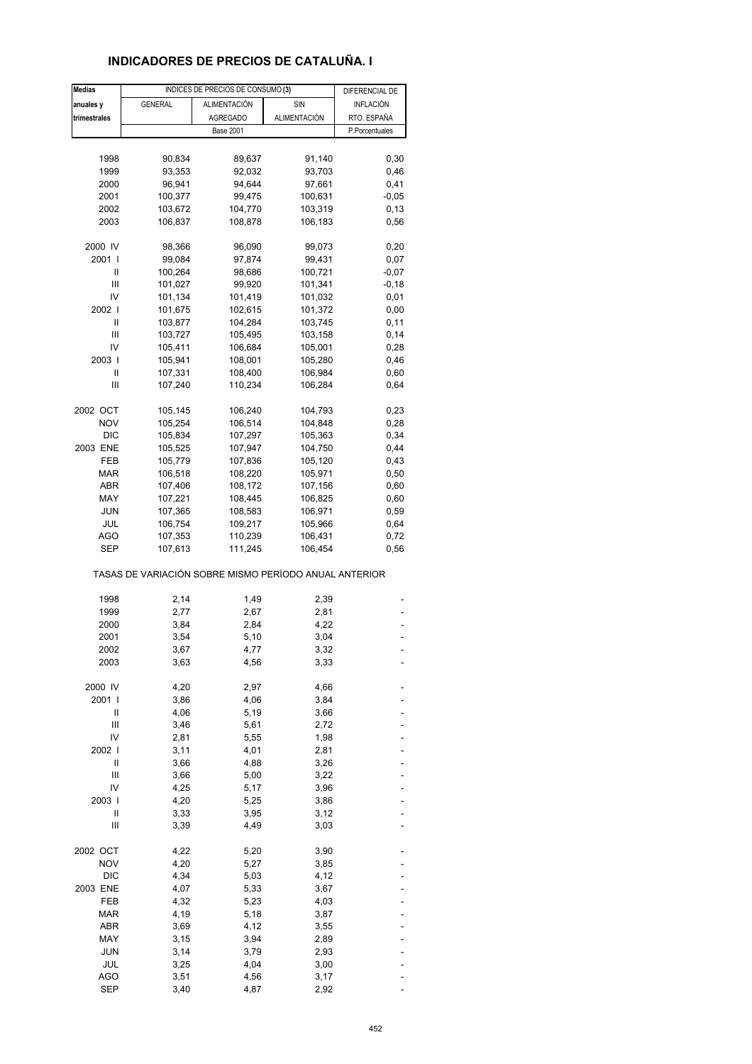# **INDICADORES DE PRECIOS DE CATALUÑA. I**

| <b>Medias</b> |                                                       | INDICES DE PRECIOS DE CONSUMO (3) |              | DIFERENCIAL DE |  |
|---------------|-------------------------------------------------------|-----------------------------------|--------------|----------------|--|
| anuales y     | <b>GENERAL</b>                                        | <b>ALIMENTACIÓN</b>               | SIN          | INFLACIÓN      |  |
| trimestrales  |                                                       | <b>AGREGADO</b>                   | ALIMENTACIÓN | RTO. ESPAÑA    |  |
|               |                                                       | <b>Base 2001</b>                  |              | P.Porcentuales |  |
|               |                                                       |                                   |              |                |  |
|               |                                                       | 89,637                            |              |                |  |
| 1998          | 90,834                                                |                                   | 91,140       | 0,30           |  |
| 1999          | 93,353                                                | 92,032                            | 93,703       | 0,46           |  |
| 2000          | 96,941                                                | 94,644                            | 97,661       | 0,41           |  |
| 2001          | 100,377                                               | 99,475                            | 100,631      | $-0,05$        |  |
| 2002          | 103,672                                               | 104,770                           | 103,319      | 0, 13          |  |
| 2003          | 106,837                                               | 108,878                           | 106,183      | 0,56           |  |
| 2000 IV       | 98,366                                                | 96,090                            | 99,073       | 0,20           |  |
| 2001 l        | 99,084                                                | 97,874                            | 99,431       | 0,07           |  |
| Ш             | 100,264                                               | 98,686                            | 100,721      | $-0,07$        |  |
| Ш             | 101,027                                               | 99,920                            | 101,341      | $-0,18$        |  |
| IV            | 101,134                                               | 101,419                           | 101,032      | 0,01           |  |
| 2002 l        | 101,675                                               | 102,615                           | 101,372      | 0,00           |  |
| Ш             | 103,877                                               | 104,284                           | 103,745      | 0,11           |  |
| Ш             | 103,727                                               | 105,495                           | 103,158      | 0,14           |  |
| IV            | 105,411                                               | 106,684                           | 105,001      | 0,28           |  |
| 2003          | 105,941                                               | 108,001                           | 105,280      | 0,46           |  |
| Ш             | 107,331                                               | 108,400                           | 106,984      | 0,60           |  |
| Ш             | 107,240                                               | 110,234                           | 106,284      | 0,64           |  |
|               |                                                       |                                   |              |                |  |
| 2002 OCT      | 105,145                                               | 106,240                           | 104,793      | 0,23           |  |
| <b>NOV</b>    | 105,254                                               | 106,514                           | 104,848      | 0,28           |  |
| <b>DIC</b>    | 105,834                                               | 107,297                           | 105,363      | 0,34           |  |
| 2003 ENE      | 105,525                                               | 107,947                           | 104,750      | 0,44           |  |
| FEB           | 105,779                                               | 107,836                           | 105,120      | 0,43           |  |
| MAR           | 106,518                                               | 108,220                           | 105,971      | 0,50           |  |
| ABR           | 107,406                                               | 108,172                           | 107,156      | 0,60           |  |
| MAY           | 107,221                                               | 108,445                           | 106,825      | 0,60           |  |
| JUN           | 107,365                                               | 108,583                           | 106,971      | 0,59           |  |
| JUL           | 106,754                                               | 109,217                           | 105,966      | 0,64           |  |
| AGO           | 107,353                                               | 110,239                           | 106,431      | 0,72           |  |
| <b>SEP</b>    | 107,613                                               | 111,245                           | 106,454      | 0,56           |  |
|               | TASAS DE VARIACIÓN SOBRE MISMO PERÍODO ANUAL ANTERIOR |                                   |              |                |  |
| 1998          | 2,14                                                  | 1,49                              | 2,39         |                |  |
| 1999          | 2,77                                                  | 2,67                              | 2,81         |                |  |
| 2000          | 3,84                                                  | 2,84                              | 4,22         |                |  |
| 2001          | 3,54                                                  | 5,10                              | 3,04         |                |  |
| 2002          | 3,67                                                  | 4,77                              | 3,32         |                |  |
| 2003          | 3,63                                                  | 4,56                              | 3,33         |                |  |
| 2000 IV       | 4,20                                                  | 2,97                              | 4,66         |                |  |
| 2001 l        | 3,86                                                  | 4,06                              | 3,84         |                |  |
| Ш             | 4,06                                                  | 5,19                              | 3,66         |                |  |
| Ш             | 3,46                                                  | 5,61                              | 2,72         |                |  |
| IV            | 2,81                                                  | 5,55                              | 1,98         |                |  |
| 2002          | 3,11                                                  | 4,01                              | 2,81         |                |  |
| Ш             | 3,66                                                  | 4,88                              | 3,26         |                |  |
| Ш             | 3,66                                                  | 5,00                              | 3,22         |                |  |
| IV            | 4,25                                                  |                                   | 3,96         |                |  |
| 2003          | 4,20                                                  | 5,17<br>5,25                      |              |                |  |
|               |                                                       |                                   | 3,86         |                |  |
| Ш             | 3,33                                                  | 3,95                              | 3,12         |                |  |
| Ш             | 3,39                                                  | 4,49                              | 3,03         |                |  |
| 2002 OCT      | 4,22                                                  | 5,20                              | 3,90         |                |  |
| <b>NOV</b>    | 4,20                                                  | 5,27                              | 3,85         |                |  |
| <b>DIC</b>    | 4,34                                                  | 5,03                              | 4,12         |                |  |
| 2003 ENE      | 4,07                                                  | 5,33                              | 3,67         |                |  |
| FEB           | 4,32                                                  | 5,23                              | 4,03         |                |  |
| <b>MAR</b>    | 4,19                                                  | 5,18                              | 3,87         |                |  |
| <b>ABR</b>    | 3,69                                                  | 4,12                              | 3,55         |                |  |
| MAY           | 3,15                                                  | 3,94                              | 2,89         |                |  |
| JUN           | 3,14                                                  | 3,79                              | 2,93         |                |  |
| JUL           | 3,25                                                  | 4,04                              | 3,00         |                |  |
| <b>AGO</b>    | 3,51                                                  | 4,56                              | 3,17         |                |  |
| <b>SEP</b>    | 3,40                                                  | 4,87                              | 2,92         |                |  |
|               |                                                       |                                   |              |                |  |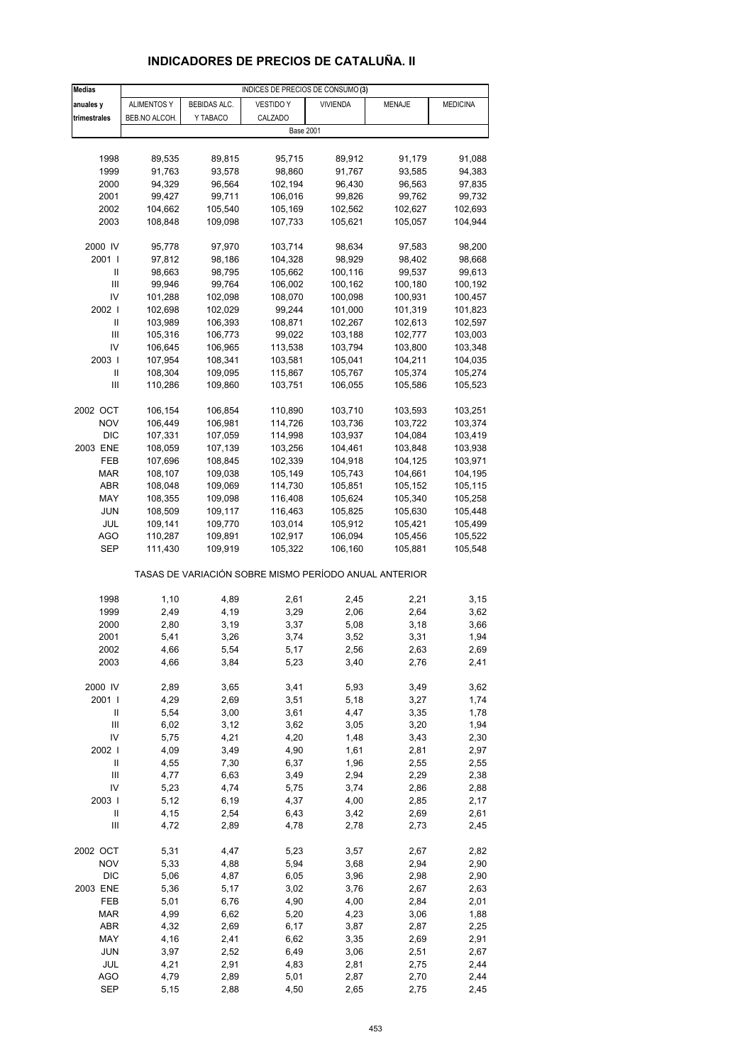# **INDICADORES DE PRECIOS DE CATALUÑA. II**

| <b>Medias</b>  |                    |                    | INDICES DE PRECIOS DE CONSUMO (3)                     |                    |                    |                    |
|----------------|--------------------|--------------------|-------------------------------------------------------|--------------------|--------------------|--------------------|
| anuales y      | <b>ALIMENTOS Y</b> | BEBIDAS ALC.       | <b>VESTIDO Y</b>                                      | <b>VIVIENDA</b>    | MENAJE             | <b>MEDICINA</b>    |
| trimestrales   | BEB.NO ALCOH.      | Y TABACO           | CALZADO                                               |                    |                    |                    |
|                |                    |                    | <b>Base 2001</b>                                      |                    |                    |                    |
|                |                    |                    |                                                       |                    |                    |                    |
| 1998           | 89,535             | 89,815             | 95,715                                                | 89,912             | 91,179             | 91,088             |
| 1999           | 91,763             | 93,578             | 98,860                                                | 91,767             | 93,585             | 94,383             |
| 2000           | 94,329             | 96,564             | 102,194                                               | 96,430             | 96,563             | 97,835             |
| 2001           | 99,427             | 99,711             | 106,016                                               | 99,826             | 99,762             | 99,732             |
| 2002           | 104,662            | 105,540            | 105,169                                               | 102,562            | 102,627            | 102,693            |
| 2003           | 108,848            | 109,098            | 107,733                                               | 105,621            | 105,057            | 104,944            |
|                |                    |                    |                                                       |                    |                    |                    |
| 2000 IV        | 95,778             | 97,970             | 103,714                                               | 98,634             | 97,583             | 98,200             |
| 2001 l         | 97,812             | 98,186             | 104,328                                               | 98,929             | 98,402             | 98,668             |
| Ш              | 98,663             | 98,795             | 105,662                                               | 100,116            | 99,537             | 99,613             |
| Ш              | 99,946             | 99,764             | 106,002                                               | 100,162            | 100,180            | 100,192            |
| IV             | 101,288            | 102,098            | 108,070                                               | 100,098            | 100,931            | 100,457            |
| 2002           | 102,698            | 102,029            | 99,244                                                | 101,000            | 101,319            | 101,823            |
| Ш              | 103,989            | 106,393            | 108,871                                               | 102,267            | 102,613            | 102,597            |
| Ш<br>IV        | 105,316            | 106,773            | 99,022<br>113,538                                     | 103,188            | 102,777            | 103,003            |
| 2003           | 106,645<br>107,954 | 106,965<br>108,341 | 103,581                                               | 103,794<br>105,041 | 103,800<br>104,211 | 103,348<br>104,035 |
| Ш              | 108,304            | 109,095            | 115,867                                               | 105,767            | 105,374            | 105,274            |
| $\mathbf{III}$ | 110,286            | 109,860            | 103,751                                               | 106,055            | 105,586            | 105,523            |
|                |                    |                    |                                                       |                    |                    |                    |
| 2002 OCT       | 106,154            | 106,854            | 110,890                                               | 103,710            | 103,593            | 103,251            |
| <b>NOV</b>     | 106,449            | 106,981            | 114,726                                               | 103,736            | 103,722            | 103,374            |
| <b>DIC</b>     | 107,331            | 107,059            | 114,998                                               | 103,937            | 104,084            | 103,419            |
| 2003 ENE       | 108,059            | 107,139            | 103,256                                               | 104,461            | 103,848            | 103,938            |
| FEB            | 107,696            | 108,845            | 102,339                                               | 104,918            | 104,125            | 103,971            |
| <b>MAR</b>     | 108,107            | 109,038            | 105,149                                               | 105,743            | 104,661            | 104,195            |
| ABR            | 108,048            | 109,069            | 114,730                                               | 105,851            | 105,152            | 105,115            |
| MAY            | 108,355            | 109,098            | 116,408                                               | 105,624            | 105,340            | 105,258            |
| JUN            | 108,509            | 109,117            | 116,463                                               | 105,825            | 105,630            | 105,448            |
| JUL            | 109,141            | 109,770            | 103,014                                               | 105,912            | 105,421            | 105,499            |
| AGO            | 110,287            | 109,891            | 102,917                                               | 106,094            | 105,456            | 105,522            |
| SEP            | 111,430            | 109,919            | 105,322                                               | 106,160            | 105,881            | 105,548            |
|                |                    |                    | TASAS DE VARIACIÓN SOBRE MISMO PERÍODO ANUAL ANTERIOR |                    |                    |                    |
| 1998           | 1,10               | 4,89               | 2,61                                                  | 2,45               | 2,21               | 3,15               |
| 1999           | 2,49               | 4,19               | 3,29                                                  | 2,06               | 2,64               | 3,62               |
| 2000           | 2,80               | 3,19               | 3,37                                                  | 5,08               | 3,18               | 3,66               |
| 2001           | 5,41               | 3,26               | 3,74                                                  | 3,52               | 3,31               | 1,94               |
| 2002           | 4,66               | 5,54               | 5,17                                                  | 2,56               | 2,63               | 2,69               |
| 2003           | 4,66               | 3,84               | 5,23                                                  | 3,40               | 2,76               | 2,41               |
|                |                    |                    |                                                       |                    |                    |                    |
| 2000 IV        | 2,89               | 3,65               | 3,41                                                  | 5,93               | 3,49               | 3,62               |
| 2001 l         | 4,29               | 2,69               | 3,51                                                  | 5,18               | 3,27               | 1,74               |
| Ш              | 5,54               | 3,00               | 3,61                                                  | 4,47               | 3,35               | 1,78               |
| $\mathsf{III}$ | 6,02               | 3,12               | 3,62                                                  | 3,05               | 3,20               | 1,94               |
| IV             | 5,75               | 4,21               | 4,20                                                  | 1,48               | 3,43               | 2,30               |
| 2002           | 4,09               | 3,49               | 4,90                                                  | 1,61               | 2,81               | 2,97               |
| $\sf II$       | 4,55               | 7,30               | 6,37                                                  | 1,96               | 2,55               | 2,55               |
| $\mathsf{III}$ | 4,77               | 6,63               | 3,49                                                  | 2,94               | 2,29               | 2,38               |
| IV<br>2003     | 5,23<br>5,12       | 4,74               | 5,75<br>4,37                                          | 3,74               | 2,86               | 2,88<br>2,17       |
| $\sf II$       | 4,15               | 6,19<br>2,54       | 6,43                                                  | 4,00<br>3,42       | 2,85<br>2,69       | 2,61               |
| Ш              | 4,72               | 2,89               | 4,78                                                  | 2,78               | 2,73               | 2,45               |
|                |                    |                    |                                                       |                    |                    |                    |
| 2002 OCT       | 5,31               | 4,47               | 5,23                                                  | 3,57               | 2,67               | 2,82               |
| <b>NOV</b>     | 5,33               | 4,88               | 5,94                                                  | 3,68               | 2,94               | 2,90               |
| <b>DIC</b>     | 5,06               | 4,87               | 6,05                                                  | 3,96               | 2,98               | 2,90               |
| 2003 ENE       | 5,36               | 5,17               | 3,02                                                  | 3,76               | 2,67               | 2,63               |
| FEB            | 5,01               | 6,76               | 4,90                                                  | 4,00               | 2,84               | 2,01               |
| <b>MAR</b>     | 4,99               | 6,62               | 5,20                                                  | 4,23               | 3,06               | 1,88               |
| ABR            | 4,32               | 2,69               | 6,17                                                  | 3,87               | 2,87               | 2,25               |
| MAY            | 4,16               | 2,41               | 6,62                                                  | 3,35               | 2,69               | 2,91               |
| JUN            | 3,97               | 2,52               | 6,49                                                  | 3,06               | 2,51               | 2,67               |
| JUL            | 4,21               | 2,91               | 4,83                                                  | 2,81               | 2,75               | 2,44               |
| AGO            | 4,79               | 2,89               | 5,01                                                  | 2,87               | 2,70               | 2,44               |
| <b>SEP</b>     | 5,15               | 2,88               | 4,50                                                  | 2,65               | 2,75               | 2,45               |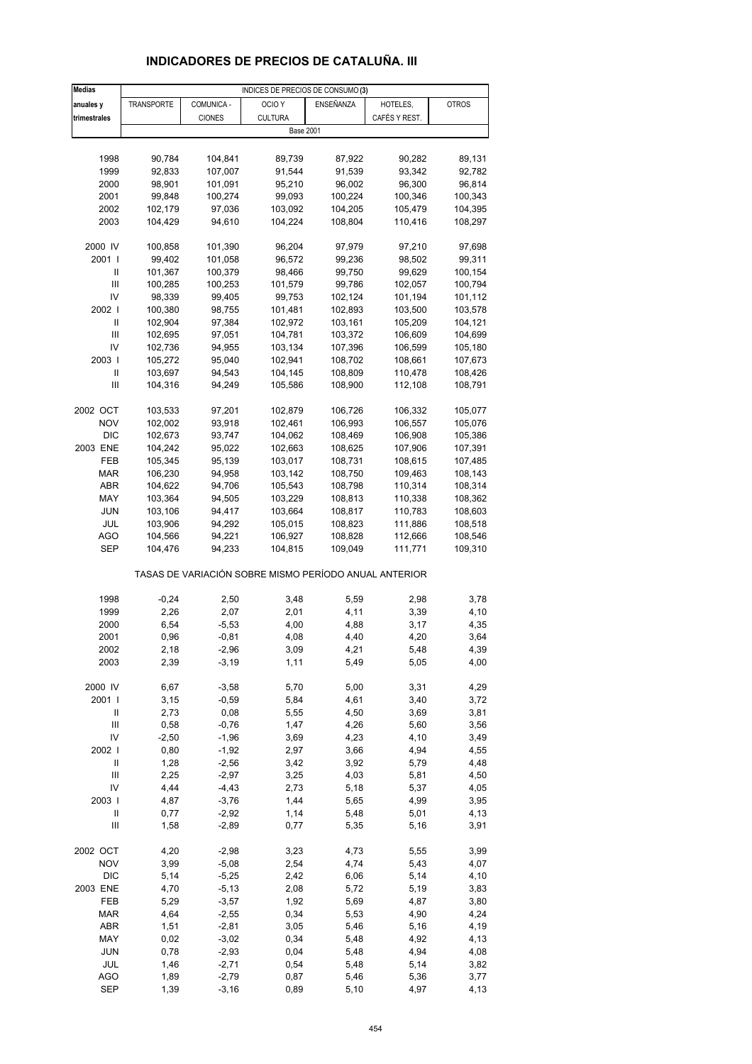# **INDICADORES DE PRECIOS DE CATALUÑA. III**

| <b>Medias</b>              |                                                       |               | INDICES DE PRECIOS DE CONSUMO (3) |           |               |              |  |  |  |
|----------------------------|-------------------------------------------------------|---------------|-----------------------------------|-----------|---------------|--------------|--|--|--|
| anuales y                  | TRANSPORTE                                            | COMUNICA -    | OCIO <sub>Y</sub>                 | ENSEÑANZA | HOTELES,      | <b>OTROS</b> |  |  |  |
| trimestrales               |                                                       | <b>CIONES</b> | <b>CULTURA</b>                    |           | CAFÉS Y REST. |              |  |  |  |
|                            |                                                       |               | <b>Base 2001</b>                  |           |               |              |  |  |  |
|                            |                                                       |               |                                   |           |               |              |  |  |  |
| 1998                       | 90,784                                                | 104,841       | 89,739                            | 87,922    | 90,282        | 89,131       |  |  |  |
| 1999                       | 92,833                                                | 107,007       | 91,544                            | 91,539    | 93,342        | 92,782       |  |  |  |
| 2000                       | 98,901                                                | 101,091       | 95,210                            | 96,002    | 96,300        | 96,814       |  |  |  |
| 2001                       |                                                       | 100,274       | 99,093                            | 100,224   | 100,346       | 100,343      |  |  |  |
| 2002                       | 99,848                                                |               | 103,092                           |           |               | 104,395      |  |  |  |
|                            | 102,179                                               | 97,036        |                                   | 104,205   | 105,479       |              |  |  |  |
| 2003                       | 104,429                                               | 94,610        | 104,224                           | 108,804   | 110,416       | 108,297      |  |  |  |
| 2000 IV                    | 100,858                                               | 101,390       | 96,204                            | 97,979    | 97,210        | 97,698       |  |  |  |
| 2001 l                     | 99,402                                                | 101,058       | 96,572                            | 99,236    | 98,502        | 99,311       |  |  |  |
| Ш                          | 101,367                                               | 100,379       | 98,466                            | 99,750    | 99,629        | 100,154      |  |  |  |
| Ш                          | 100,285                                               | 100,253       | 101,579                           | 99,786    | 102,057       | 100,794      |  |  |  |
| IV                         | 98,339                                                |               | 99,753                            | 102,124   |               |              |  |  |  |
|                            |                                                       | 99,405        |                                   |           | 101,194       | 101,112      |  |  |  |
| 2002                       | 100,380                                               | 98,755        | 101,481                           | 102,893   | 103,500       | 103,578      |  |  |  |
| Ш                          | 102,904                                               | 97,384        | 102,972                           | 103,161   | 105,209       | 104,121      |  |  |  |
| $\mathsf{III}$             | 102,695                                               | 97,051        | 104,781                           | 103,372   | 106,609       | 104,699      |  |  |  |
| IV                         | 102,736                                               | 94,955        | 103,134                           | 107,396   | 106,599       | 105,180      |  |  |  |
| 2003                       | 105,272                                               | 95,040        | 102,941                           | 108,702   | 108,661       | 107,673      |  |  |  |
| Ш                          | 103,697                                               | 94,543        | 104,145                           | 108,809   | 110,478       | 108,426      |  |  |  |
| Ш                          | 104,316                                               | 94,249        | 105,586                           | 108,900   | 112,108       | 108,791      |  |  |  |
|                            |                                                       |               |                                   |           |               |              |  |  |  |
| 2002 OCT                   | 103,533                                               | 97,201        | 102,879                           | 106,726   | 106,332       | 105,077      |  |  |  |
| <b>NOV</b>                 | 102,002                                               | 93,918        | 102,461                           | 106,993   | 106,557       | 105,076      |  |  |  |
| <b>DIC</b>                 | 102,673                                               | 93,747        | 104,062                           | 108,469   | 106,908       | 105,386      |  |  |  |
| 2003 ENE                   | 104,242                                               | 95,022        | 102,663                           | 108,625   | 107,906       | 107,391      |  |  |  |
| FEB                        | 105,345                                               | 95,139        | 103,017                           | 108,731   | 108,615       | 107,485      |  |  |  |
| <b>MAR</b>                 | 106,230                                               | 94,958        | 103,142                           | 108,750   | 109,463       | 108,143      |  |  |  |
| ABR                        | 104,622                                               | 94,706        | 105,543                           | 108,798   | 110,314       | 108,314      |  |  |  |
| MAY                        | 103,364                                               | 94,505        | 103,229                           | 108,813   | 110,338       | 108,362      |  |  |  |
| JUN                        | 103,106                                               | 94,417        | 103,664                           | 108,817   | 110,783       | 108,603      |  |  |  |
| JUL                        | 103,906                                               | 94,292        | 105,015                           | 108,823   | 111,886       | 108,518      |  |  |  |
| AGO                        | 104,566                                               | 94,221        | 106,927                           | 108,828   | 112,666       | 108,546      |  |  |  |
| SEP                        | 104,476                                               | 94,233        | 104,815                           | 109,049   | 111,771       | 109,310      |  |  |  |
|                            | TASAS DE VARIACIÓN SOBRE MISMO PERÍODO ANUAL ANTERIOR |               |                                   |           |               |              |  |  |  |
| 1998                       | $-0,24$                                               | 2,50          | 3,48                              | 5,59      | 2,98          | 3,78         |  |  |  |
| 1999                       | 2,26                                                  | 2,07          | 2,01                              | 4,11      | 3,39          | 4,10         |  |  |  |
| 2000                       | 6,54                                                  | $-5,53$       | 4,00                              | 4,88      | 3,17          | 4,35         |  |  |  |
| 2001                       | 0,96                                                  | $-0,81$       | 4,08                              | 4,40      | 4,20          | 3,64         |  |  |  |
| 2002                       | 2,18                                                  | $-2,96$       | 3,09                              | 4,21      | 5,48          | 4,39         |  |  |  |
|                            |                                                       |               |                                   |           | 5,05          |              |  |  |  |
| 2003                       | 2,39                                                  | $-3,19$       | 1,11                              | 5,49      |               | 4,00         |  |  |  |
| 2000 IV                    | 6,67                                                  | $-3,58$       | 5,70                              | 5,00      | 3,31          | 4,29         |  |  |  |
| 2001 l                     | 3,15                                                  | $-0,59$       | 5,84                              | 4,61      | 3,40          | 3,72         |  |  |  |
| Ш                          | 2,73                                                  | 0,08          | 5,55                              | 4,50      | 3,69          | 3,81         |  |  |  |
| $\mathsf{III}$             | 0,58                                                  | $-0,76$       | 1,47                              | 4,26      | 5,60          | 3,56         |  |  |  |
| IV                         | $-2,50$                                               | $-1,96$       | 3,69                              | 4,23      | 4,10          | 3,49         |  |  |  |
| 2002 l                     | 0,80                                                  | $-1,92$       | 2,97                              | 3,66      | 4,94          | 4,55         |  |  |  |
| $\ensuremath{\mathsf{II}}$ | 1,28                                                  | $-2,56$       | 3,42                              | 3,92      | 5,79          | 4,48         |  |  |  |
| $\mathsf{III}$             | 2,25                                                  | $-2,97$       | 3,25                              | 4,03      | 5,81          | 4,50         |  |  |  |
| IV                         | 4,44                                                  | $-4,43$       | 2,73                              | 5,18      | 5,37          | 4,05         |  |  |  |
| 2003                       | 4,87                                                  | $-3,76$       | 1,44                              | 5,65      | 4,99          | 3,95         |  |  |  |
| $\ensuremath{\mathsf{II}}$ | 0,77                                                  | $-2,92$       | 1,14                              | 5,48      | 5,01          | 4,13         |  |  |  |
| Ш                          | 1,58                                                  | $-2,89$       | 0,77                              | 5,35      | 5,16          | 3,91         |  |  |  |
|                            |                                                       |               |                                   |           |               |              |  |  |  |
| 2002 OCT                   | 4,20                                                  | $-2,98$       | 3,23                              | 4,73      | 5,55          | 3,99         |  |  |  |
| <b>NOV</b>                 | 3,99                                                  | $-5,08$       | 2,54                              | 4,74      | 5,43          | 4,07         |  |  |  |
| <b>DIC</b>                 | 5,14                                                  | $-5,25$       | 2,42                              | 6,06      | 5,14          | 4,10         |  |  |  |
| 2003 ENE                   | 4,70                                                  | $-5,13$       | 2,08                              | 5,72      | 5,19          | 3,83         |  |  |  |
| FEB                        | 5,29                                                  | $-3,57$       | 1,92                              | 5,69      | 4,87          | 3,80         |  |  |  |
| <b>MAR</b>                 | 4,64                                                  | $-2,55$       | 0,34                              | 5,53      | 4,90          | 4,24         |  |  |  |
| ABR                        | 1,51                                                  | $-2,81$       | 3,05                              | 5,46      | 5,16          | 4,19         |  |  |  |
| MAY                        | 0,02                                                  | $-3,02$       | 0,34                              | 5,48      | 4,92          | 4,13         |  |  |  |
| JUN                        | 0,78                                                  | $-2,93$       | 0,04                              | 5,48      | 4,94          | 4,08         |  |  |  |
| JUL                        | 1,46                                                  | $-2,71$       | 0,54                              | 5,48      | 5,14          | 3,82         |  |  |  |
| <b>AGO</b>                 | 1,89                                                  | $-2,79$       | 0,87                              | 5,46      | 5,36          | 3,77         |  |  |  |
| <b>SEP</b>                 | 1,39                                                  | $-3,16$       | 0,89                              | 5,10      | 4,97          | 4,13         |  |  |  |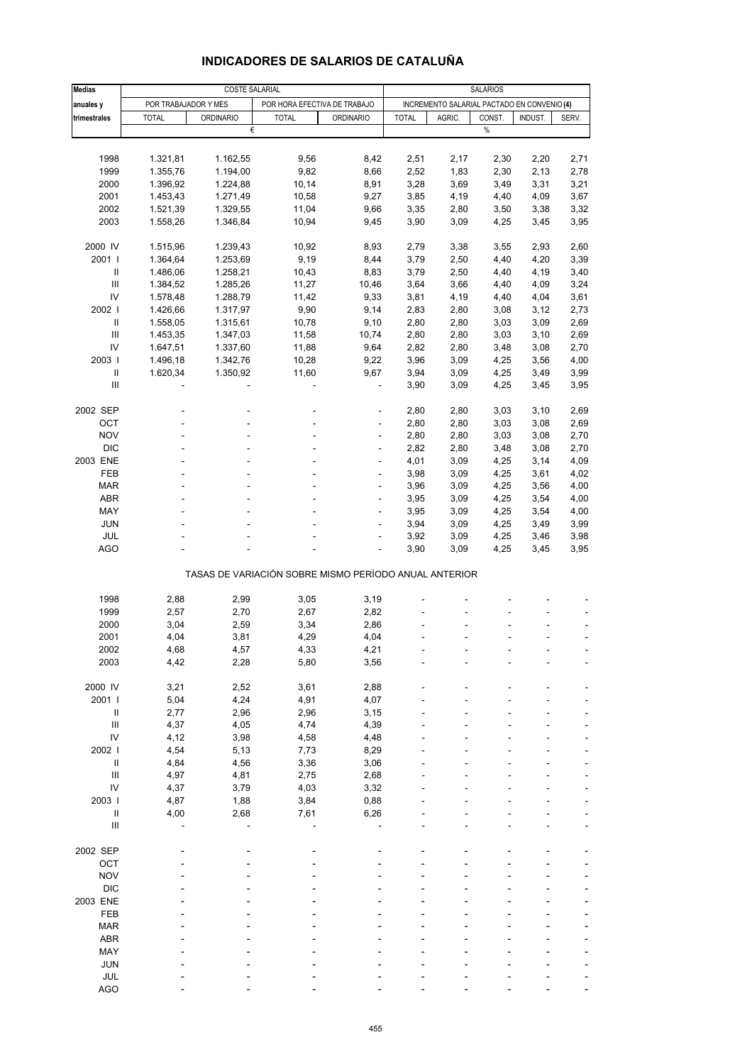| <b>Medias</b>                      |                      | COSTE SALARIAL       |                                                       |                          |              |              | <b>SALARIOS</b>                             |              |              |
|------------------------------------|----------------------|----------------------|-------------------------------------------------------|--------------------------|--------------|--------------|---------------------------------------------|--------------|--------------|
| anuales y                          | POR TRABAJADOR Y MES |                      | POR HORA EFECTIVA DE TRABAJO                          |                          |              |              | INCREMENTO SALARIAL PACTADO EN CONVENIO (4) |              |              |
| trimestrales                       | <b>TOTAL</b>         | <b>ORDINARIO</b>     | <b>TOTAL</b>                                          | <b>ORDINARIO</b>         | <b>TOTAL</b> | AGRIC.       | CONST.                                      | INDUST.      | SERV.        |
|                                    |                      | €                    |                                                       |                          |              |              | %                                           |              |              |
|                                    |                      |                      |                                                       |                          |              |              |                                             |              |              |
| 1998                               | 1.321,81             | 1.162,55             | 9,56                                                  | 8,42                     | 2,51         | 2,17         | 2,30                                        | 2,20         | 2,71         |
| 1999                               | 1.355,76             | 1.194,00             | 9,82                                                  | 8,66                     | 2,52         | 1,83         | 2,30                                        | 2,13         | 2,78         |
| 2000                               | 1.396,92             | 1.224,88             | 10, 14                                                | 8,91                     | 3,28         | 3,69         | 3,49                                        | 3,31         | 3,21         |
| 2001                               | 1.453,43             | 1.271,49             | 10,58                                                 | 9,27                     | 3,85         | 4,19         | 4,40                                        | 4,09         | 3,67         |
| 2002                               | 1.521,39             | 1.329,55             | 11,04                                                 | 9,66                     | 3,35         | 2,80         | 3,50                                        | 3,38         | 3,32         |
| 2003                               | 1.558,26             | 1.346,84             | 10,94                                                 | 9,45                     | 3,90         | 3,09         | 4,25                                        | 3,45         | 3,95         |
|                                    | 1.515,96             |                      |                                                       |                          |              |              |                                             |              |              |
| 2000 IV<br>2001 l                  |                      | 1.239,43             | 10,92                                                 | 8,93                     | 2,79<br>3,79 | 3,38         | 3,55                                        | 2,93         | 2,60         |
| Ш                                  | 1.364,64<br>1.486,06 | 1.253,69<br>1.258,21 | 9,19<br>10,43                                         | 8,44<br>8,83             | 3,79         | 2,50<br>2,50 | 4,40<br>4,40                                | 4,20<br>4,19 | 3,39<br>3,40 |
| Ш                                  | 1.384,52             | 1.285,26             | 11,27                                                 | 10,46                    | 3,64         | 3,66         | 4,40                                        | 4,09         | 3,24         |
| IV                                 | 1.578,48             | 1.288,79             | 11,42                                                 | 9,33                     | 3,81         | 4,19         | 4,40                                        | 4,04         | 3,61         |
| 2002                               | 1.426,66             |                      | 9,90                                                  | 9,14                     | 2,83         |              |                                             | 3,12         | 2,73         |
| Ш                                  | 1.558,05             | 1.317,97             |                                                       |                          | 2,80         | 2,80         | 3,08                                        |              | 2,69         |
| Ш                                  |                      | 1.315,61             | 10,78                                                 | 9,10                     |              | 2,80         | 3,03                                        | 3,09         |              |
| IV                                 | 1.453,35             | 1.347,03             | 11,58                                                 | 10,74                    | 2,80         | 2,80         | 3,03                                        | 3,10         | 2,69         |
| 2003                               | 1.647,51<br>1.496,18 | 1.337,60<br>1.342,76 | 11,88<br>10,28                                        | 9,64<br>9,22             | 2,82<br>3,96 | 2,80<br>3,09 | 3,48<br>4,25                                | 3,08<br>3,56 | 2,70<br>4,00 |
| Ш                                  |                      | 1.350,92             |                                                       |                          |              |              |                                             |              |              |
| Ш                                  | 1.620,34             |                      | 11,60                                                 | 9,67                     | 3,94<br>3,90 | 3,09<br>3,09 | 4,25<br>4,25                                | 3,49<br>3,45 | 3,99<br>3,95 |
|                                    |                      |                      |                                                       |                          |              |              |                                             |              |              |
| 2002 SEP                           |                      |                      |                                                       | ÷                        | 2,80         | 2,80         | 3,03                                        | 3,10         | 2,69         |
| OCT                                |                      |                      |                                                       | ä,                       | 2,80         | 2,80         | 3,03                                        | 3,08         | 2,69         |
| <b>NOV</b>                         |                      |                      | L,                                                    | ÷                        | 2,80         | 2,80         | 3,03                                        | 3,08         | 2,70         |
| <b>DIC</b>                         |                      |                      | ä,                                                    | ÷                        | 2,82         | 2,80         | 3,48                                        | 3,08         | 2,70         |
| 2003 ENE                           |                      |                      |                                                       | ä,                       | 4,01         | 3,09         | 4,25                                        | 3,14         | 4,09         |
| FEB                                |                      | ÷                    | ٠                                                     | $\overline{\phantom{a}}$ | 3,98         | 3,09         | 4,25                                        | 3,61         | 4,02         |
| <b>MAR</b>                         |                      |                      |                                                       | ä,                       | 3,96         | 3,09         | 4,25                                        | 3,56         | 4,00         |
| ABR                                |                      |                      |                                                       | ä,                       | 3,95         | 3,09         | 4,25                                        | 3,54         | 4,00         |
| MAY                                |                      | ÷                    | ٠                                                     | $\overline{\phantom{a}}$ | 3,95         | 3,09         | 4,25                                        | 3,54         | 4,00         |
| <b>JUN</b>                         |                      |                      |                                                       | ä,                       | 3,94         | 3,09         | 4,25                                        | 3,49         | 3,99         |
| JUL                                |                      |                      |                                                       |                          | 3,92         | 3,09         | 4,25                                        | 3,46         | 3,98         |
| <b>AGO</b>                         |                      |                      |                                                       | ÷,                       | 3,90         | 3,09         | 4,25                                        | 3,45         | 3,95         |
|                                    |                      |                      |                                                       |                          |              |              |                                             |              |              |
|                                    |                      |                      | TASAS DE VARIACIÓN SOBRE MISMO PERÍODO ANUAL ANTERIOR |                          |              |              |                                             |              |              |
|                                    |                      |                      |                                                       |                          |              |              |                                             |              |              |
| 1998                               | 2,88                 | 2,99                 | 3,05                                                  | 3,19                     |              |              |                                             |              |              |
| 1999                               | 2,57                 | 2,70                 | 2,67                                                  | 2,82                     |              |              |                                             |              |              |
| 2000                               | 3,04                 | 2,59                 | 3,34                                                  | 2,86                     |              |              |                                             |              |              |
| 2001                               | 4,04                 | 3,81                 | 4,29                                                  | 4,04                     |              |              |                                             |              |              |
| 2002                               | 4,68                 | 4,57                 | 4,33                                                  | 4,21                     |              |              |                                             |              |              |
| 2003                               | 4,42                 | 2,28                 | 5,80                                                  | 3,56                     |              |              |                                             |              |              |
| 2000 IV                            | 3,21                 | 2,52                 | 3,61                                                  | 2,88                     |              |              |                                             |              |              |
| 2001 l                             |                      | 4,24                 | 4,91                                                  | 4,07                     |              |              |                                             |              |              |
| $\ensuremath{\mathsf{II}}$         | 5,04<br>2,77         | 2,96                 | 2,96                                                  | 3,15                     |              |              |                                             |              |              |
| $\ensuremath{\mathsf{III}}\xspace$ | 4,37                 | 4,05                 | 4,74                                                  | 4,39                     |              |              |                                             |              |              |
| IV                                 | 4,12                 | 3,98                 | 4,58                                                  | 4,48                     |              |              |                                             |              |              |
| 2002                               | 4,54                 | 5,13                 | 7,73                                                  | 8,29                     |              |              |                                             |              |              |
| Ш                                  | 4,84                 | 4,56                 | 3,36                                                  | 3,06                     |              |              |                                             |              |              |
| $\ensuremath{\mathsf{III}}\xspace$ | 4,97                 | 4,81                 | 2,75                                                  | 2,68                     |              |              |                                             |              |              |
| IV                                 | 4,37                 | 3,79                 | 4,03                                                  | 3,32                     |              |              |                                             |              |              |
| 2003                               | 4,87                 | 1,88                 | 3,84                                                  | 0,88                     |              |              |                                             |              |              |
| $\ensuremath{\mathsf{II}}$         | 4,00                 | 2,68                 | 7,61                                                  | 6,26                     |              |              |                                             |              |              |
| Ш                                  |                      |                      |                                                       |                          |              |              |                                             |              |              |
|                                    |                      |                      |                                                       |                          |              |              |                                             |              |              |
| 2002 SEP                           |                      |                      |                                                       |                          |              |              |                                             |              |              |
| OCT                                |                      |                      |                                                       |                          |              |              |                                             |              |              |
| <b>NOV</b>                         |                      |                      |                                                       |                          |              |              |                                             |              |              |
| <b>DIC</b>                         |                      |                      |                                                       |                          |              |              |                                             |              |              |
| 2003 ENE                           |                      |                      |                                                       |                          |              |              |                                             |              |              |
| FEB                                |                      |                      |                                                       |                          |              |              |                                             |              |              |
| <b>MAR</b>                         |                      |                      |                                                       |                          |              |              |                                             |              |              |
| ABR                                |                      |                      |                                                       |                          |              |              |                                             |              |              |
| MAY                                |                      |                      |                                                       |                          |              |              |                                             |              |              |
| <b>JUN</b>                         |                      |                      |                                                       |                          |              |              |                                             |              |              |
| JUL                                |                      |                      |                                                       |                          |              |              |                                             |              |              |

## **INDICADORES DE SALARIOS DE CATALUÑA**

AGO - - - - - - ---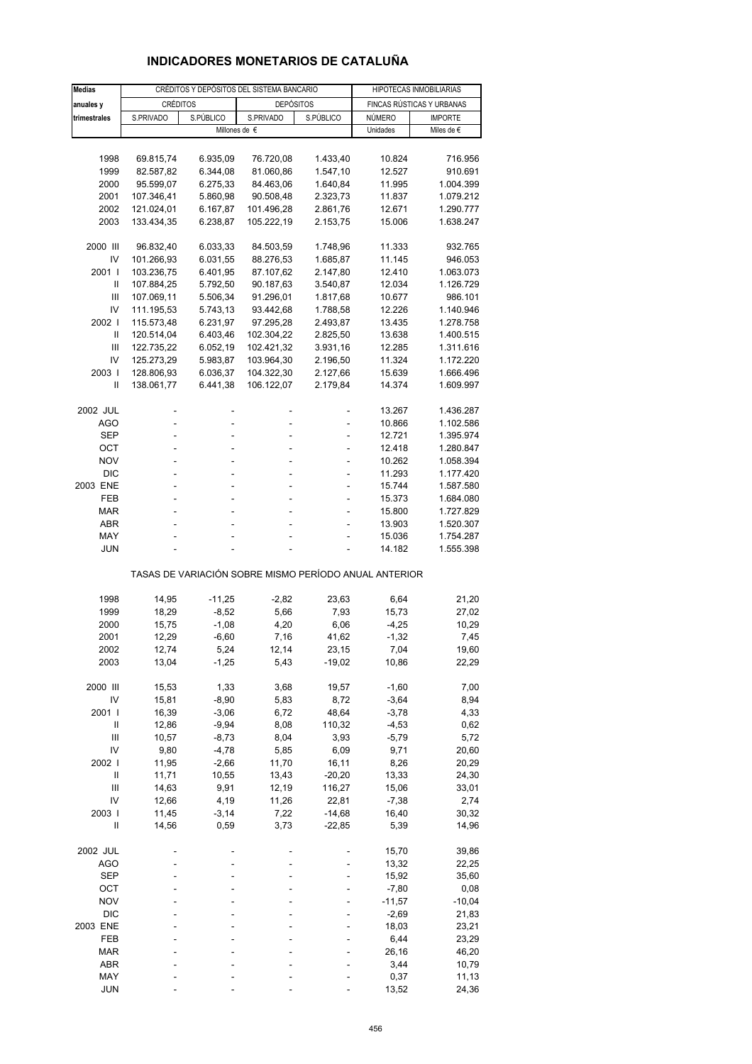# **INDICADORES MONETARIOS DE CATALUÑA**

| <b>Medias</b>  |                          | CRÉDITOS Y DEPÓSITOS DEL SISTEMA BANCARIO |                                                       | HIPOTECAS INMOBILIARIAS |                  |                           |
|----------------|--------------------------|-------------------------------------------|-------------------------------------------------------|-------------------------|------------------|---------------------------|
| anuales y      | <b>CRÉDITOS</b>          |                                           | <b>DEPÓSITOS</b>                                      |                         |                  | FINCAS RÚSTICAS Y URBANAS |
| trimestrales   | S.PRIVADO                | S.PÚBLICO                                 | S.PRIVADO                                             | S.PÚBLICO               | NÚMERO           | <b>IMPORTE</b>            |
|                |                          |                                           | Millones de €                                         |                         | Unidades         | Miles de €                |
|                |                          |                                           |                                                       |                         |                  |                           |
| 1998           | 69.815,74                | 6.935,09                                  | 76.720,08                                             | 1.433,40                | 10.824           | 716.956                   |
| 1999           | 82.587,82                | 6.344,08                                  | 81.060,86                                             | 1.547,10                | 12.527           | 910.691                   |
| 2000           | 95.599,07                | 6.275,33                                  | 84.463,06                                             | 1.640,84                | 11.995           | 1.004.399                 |
| 2001           | 107.346,41               | 5.860,98                                  | 90.508,48                                             | 2.323,73                | 11.837           | 1.079.212                 |
| 2002           | 121.024,01               | 6.167,87                                  | 101.496,28                                            | 2.861,76                | 12.671           | 1.290.777                 |
| 2003           | 133.434,35               | 6.238,87                                  | 105.222,19                                            | 2.153,75                | 15.006           | 1.638.247                 |
|                |                          |                                           |                                                       |                         |                  |                           |
| 2000 III       | 96.832,40                | 6.033,33                                  | 84.503,59                                             | 1.748,96                | 11.333           | 932.765                   |
| IV<br>2001 l   | 101.266,93<br>103.236,75 | 6.031,55<br>6.401,95                      | 88.276,53<br>87.107,62                                | 1.685,87<br>2.147,80    | 11.145<br>12.410 | 946.053<br>1.063.073      |
| Ш              | 107.884,25               | 5.792,50                                  | 90.187,63                                             | 3.540,87                | 12.034           | 1.126.729                 |
| Ш              | 107.069,11               | 5.506,34                                  | 91.296,01                                             | 1.817,68                | 10.677           | 986.101                   |
| IV             | 111.195,53               | 5.743,13                                  | 93.442,68                                             | 1.788,58                | 12.226           | 1.140.946                 |
| 2002           | 115.573,48               | 6.231,97                                  | 97.295,28                                             | 2.493,87                | 13.435           | 1.278.758                 |
| Ш              | 120.514,04               | 6.403,46                                  | 102.304,22                                            | 2.825,50                | 13.638           | 1.400.515                 |
| Ш              | 122.735,22               | 6.052,19                                  | 102.421,32                                            | 3.931,16                | 12.285           | 1.311.616                 |
| IV             | 125.273,29               | 5.983,87                                  | 103.964,30                                            | 2.196,50                | 11.324           | 1.172.220                 |
| 2003           | 128.806,93               | 6.036,37                                  | 104.322,30                                            | 2.127,66                | 15.639           | 1.666.496                 |
| Ш              | 138.061,77               | 6.441,38                                  | 106.122,07                                            | 2.179,84                | 14.374           | 1.609.997                 |
|                |                          |                                           |                                                       |                         |                  |                           |
| 2002 JUL       |                          |                                           |                                                       |                         | 13.267           | 1.436.287                 |
| AGO            | L,                       | L,                                        |                                                       |                         | 10.866           | 1.102.586                 |
| SEP            |                          |                                           |                                                       |                         | 12.721           | 1.395.974                 |
| OCT            | ÷                        | ä,                                        | $\overline{a}$                                        | ٠                       | 12.418           | 1.280.847                 |
| <b>NOV</b>     |                          | L,                                        |                                                       | L,                      | 10.262           | 1.058.394                 |
| <b>DIC</b>     |                          |                                           |                                                       |                         | 11.293           | 1.177.420                 |
| 2003 ENE       | ÷                        | ä,                                        | $\overline{a}$                                        | ٠                       | 15.744           | 1.587.580                 |
| FEB            |                          | L,                                        |                                                       | L,                      | 15.373           | 1.684.080                 |
| <b>MAR</b>     |                          |                                           |                                                       |                         | 15.800           | 1.727.829                 |
| ABR            |                          | ä,                                        | ÷                                                     | ÷,                      | 13.903           | 1.520.307                 |
| MAY            |                          |                                           |                                                       |                         | 15.036           | 1.754.287                 |
| <b>JUN</b>     |                          |                                           |                                                       |                         | 14.182           | 1.555.398                 |
|                |                          |                                           | TASAS DE VARIACIÓN SOBRE MISMO PERÍODO ANUAL ANTERIOR |                         |                  |                           |
| 1998           | 14,95                    | $-11,25$                                  | $-2,82$                                               | 23,63                   | 6,64             | 21,20                     |
| 1999           | 18,29                    | $-8,52$                                   | 5,66                                                  | 7,93                    | 15,73            | 27,02                     |
| 2000           | 15,75                    | $-1,08$                                   | 4,20                                                  | 6,06                    | $-4,25$          | 10,29                     |
| 2001           | 12,29                    | $-6,60$                                   | 7,16                                                  | 41,62                   | $-1,32$          | 7,45                      |
| 2002           | 12,74                    | 5,24                                      | 12,14                                                 | 23,15                   | 7,04             | 19,60                     |
| 2003           | 13,04                    | $-1,25$                                   | 5,43                                                  | $-19,02$                | 10,86            | 22,29                     |
|                |                          |                                           |                                                       |                         |                  |                           |
| 2000 III       | 15,53                    | 1,33                                      | 3,68                                                  | 19,57                   | $-1,60$          | 7,00                      |
| IV             | 15,81                    | $-8,90$                                   | 5,83                                                  | 8,72                    | $-3,64$          | 8,94                      |
| 2001           | 16,39                    | $-3,06$                                   | 6,72                                                  | 48,64                   | $-3,78$          | 4,33                      |
| Ш              | 12,86                    | $-9,94$                                   | 8,08                                                  | 110,32                  | $-4,53$          | 0,62                      |
| Ш              | 10,57                    | $-8,73$                                   | 8,04                                                  | 3,93                    | $-5,79$          | 5,72                      |
| IV             | 9,80                     | $-4,78$                                   | 5,85                                                  | 6,09                    | 9,71             | 20,60                     |
| 2002 l         | 11,95                    | $-2,66$                                   | 11,70                                                 | 16, 11                  | 8,26             | 20,29                     |
| $\sf II$       | 11,71                    | 10,55                                     | 13,43                                                 | $-20,20$                | 13,33            | 24,30                     |
| $\mathsf{III}$ | 14,63                    | 9,91                                      | 12,19                                                 | 116,27                  | 15,06            | 33,01                     |
| IV             | 12,66                    | 4,19                                      | 11,26                                                 | 22,81                   | $-7,38$          | 2,74                      |
| 2003           | 11,45                    | $-3,14$                                   | 7,22                                                  | $-14,68$                | 16,40            | 30,32                     |
| Ш              | 14,56                    | 0,59                                      | 3,73                                                  | $-22,85$                | 5,39             | 14,96                     |
| 2002 JUL       |                          |                                           |                                                       |                         | 15,70            | 39,86                     |
| <b>AGO</b>     |                          |                                           |                                                       |                         | 13,32            | 22,25                     |
| <b>SEP</b>     |                          |                                           |                                                       |                         | 15,92            | 35,60                     |
| ост            |                          |                                           |                                                       |                         | $-7,80$          | 0,08                      |
| <b>NOV</b>     |                          |                                           |                                                       |                         | $-11,57$         | $-10,04$                  |
| <b>DIC</b>     |                          |                                           |                                                       |                         | $-2,69$          | 21,83                     |
| 2003 ENE       |                          |                                           |                                                       |                         | 18,03            | 23,21                     |
| FEB            |                          |                                           |                                                       |                         | 6,44             | 23,29                     |
| MAR            |                          |                                           |                                                       |                         | 26,16            | 46,20                     |
| ABR            |                          |                                           |                                                       |                         | 3,44             | 10,79                     |
| MAY            |                          |                                           |                                                       |                         | 0,37             | 11,13                     |
| <b>JUN</b>     |                          |                                           |                                                       |                         | 13,52            | 24,36                     |